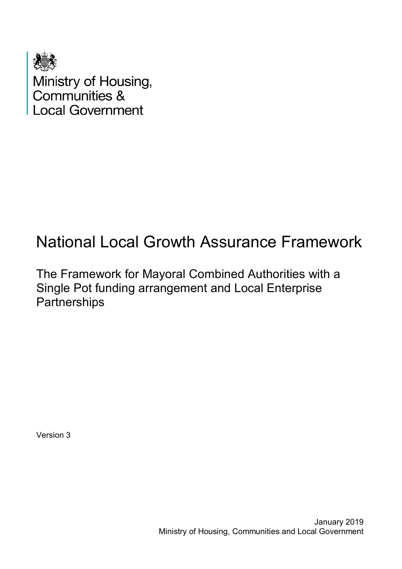

# National Local Growth Assurance Framework

The Framework for Mayoral Combined Authorities with a Single Pot funding arrangement and Local Enterprise **Partnerships** 

Version 3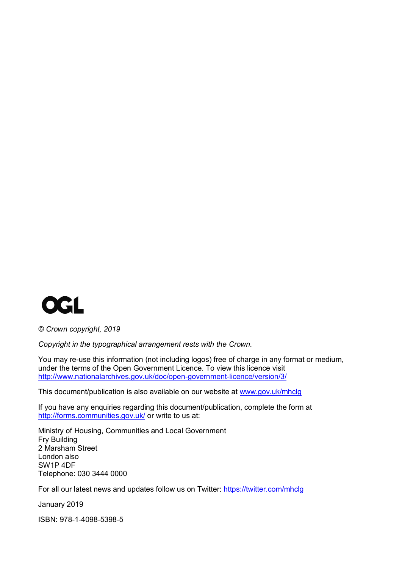

*© Crown copyright, 2019*

*Copyright in the typographical arrangement rests with the Crown.*

You may re-use this information (not including logos) free of charge in any format or medium, under the terms of the Open Government Licence. To view this licence visit <http://www.nationalarchives.gov.uk/doc/open-government-licence/version/3/>

This document/publication is also available on our website at [www.gov.uk/mhclg](http://www.gov.uk/mhclg)

If you have any enquiries regarding this document/publication, complete the form at <http://forms.communities.gov.uk/> or write to us at:

Ministry of Housing, Communities and Local Government Fry Building 2 Marsham Street London also SW1P 4DF Telephone: 030 3444 0000

For all our latest news and updates follow us on Twitter: <https://twitter.com/mhclg>

January 2019

ISBN: 978-1-4098-5398-5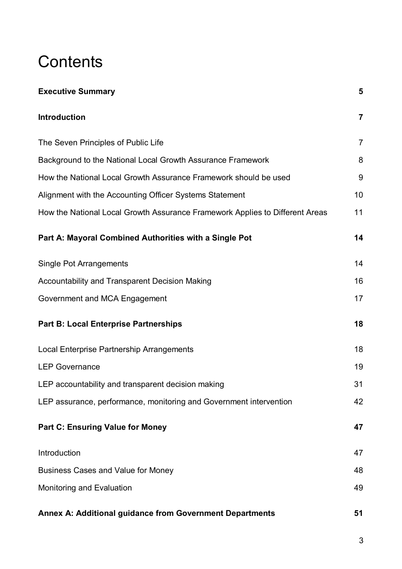# **Contents**

| <b>Executive Summary</b>                                                     | 5              |
|------------------------------------------------------------------------------|----------------|
| Introduction                                                                 | $\overline{7}$ |
| The Seven Principles of Public Life                                          | $\overline{7}$ |
| Background to the National Local Growth Assurance Framework                  | 8              |
| How the National Local Growth Assurance Framework should be used             | 9              |
| Alignment with the Accounting Officer Systems Statement                      | 10             |
| How the National Local Growth Assurance Framework Applies to Different Areas | 11             |
| Part A: Mayoral Combined Authorities with a Single Pot                       | 14             |
| <b>Single Pot Arrangements</b>                                               | 14             |
| <b>Accountability and Transparent Decision Making</b>                        | 16             |
| Government and MCA Engagement                                                | 17             |
| <b>Part B: Local Enterprise Partnerships</b>                                 | 18             |
| Local Enterprise Partnership Arrangements                                    | 18             |
| <b>LEP Governance</b>                                                        | 19             |
| LEP accountability and transparent decision making                           | 31             |
| LEP assurance, performance, monitoring and Government intervention           | 42             |
| <b>Part C: Ensuring Value for Money</b>                                      | 47             |
| Introduction                                                                 | 47             |
| <b>Business Cases and Value for Money</b>                                    | 48             |
| <b>Monitoring and Evaluation</b>                                             | 49             |
| <b>Annex A: Additional guidance from Government Departments</b>              | 51             |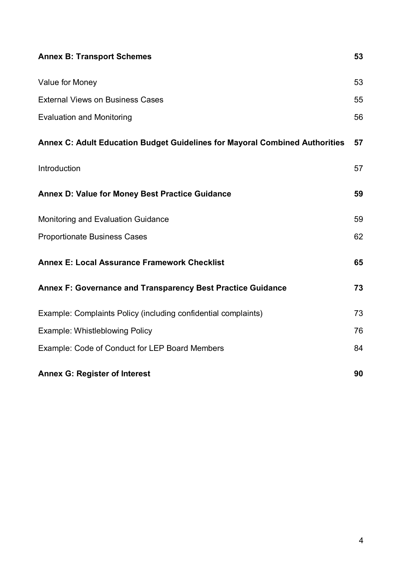| <b>Annex B: Transport Schemes</b>                                           | 53 |
|-----------------------------------------------------------------------------|----|
| Value for Money                                                             | 53 |
| <b>External Views on Business Cases</b>                                     | 55 |
| <b>Evaluation and Monitoring</b>                                            | 56 |
| Annex C: Adult Education Budget Guidelines for Mayoral Combined Authorities | 57 |
| Introduction                                                                | 57 |
| <b>Annex D: Value for Money Best Practice Guidance</b>                      | 59 |
| <b>Monitoring and Evaluation Guidance</b>                                   | 59 |
| <b>Proportionate Business Cases</b>                                         | 62 |
| <b>Annex E: Local Assurance Framework Checklist</b>                         | 65 |
| Annex F: Governance and Transparency Best Practice Guidance                 | 73 |
| Example: Complaints Policy (including confidential complaints)              | 73 |
| <b>Example: Whistleblowing Policy</b>                                       | 76 |
| Example: Code of Conduct for LEP Board Members                              | 84 |
| <b>Annex G: Register of Interest</b>                                        | 90 |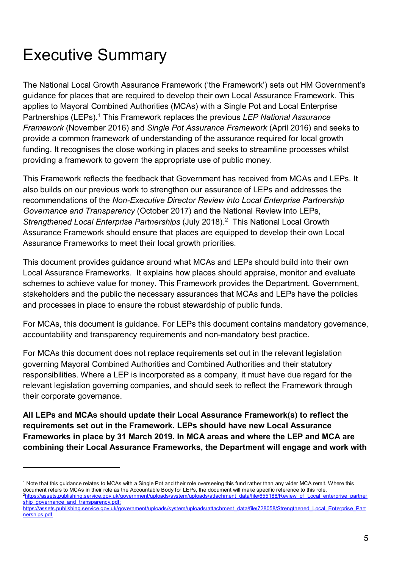# <span id="page-4-0"></span>Executive Summary

 $\overline{a}$ 

The National Local Growth Assurance Framework ('the Framework') sets out HM Government's guidance for places that are required to develop their own Local Assurance Framework. This applies to Mayoral Combined Authorities (MCAs) with a Single Pot and Local Enterprise Partnerships (LEPs). [1](#page-4-1) This Framework replaces the previous *LEP National Assurance Framework* (November 2016) and *Single Pot Assurance Framework* (April 2016) and seeks to provide a common framework of understanding of the assurance required for local growth funding. It recognises the close working in places and seeks to streamline processes whilst providing a framework to govern the appropriate use of public money.

This Framework reflects the feedback that Government has received from MCAs and LEPs. It also builds on our previous work to strengthen our assurance of LEPs and addresses the recommendations of the *Non-Executive Director Review into Local Enterprise Partnership Governance and Transparency* (October 2017) and the National Review into LEPs, *Strengthened Local Enterprise Partnerships* (July 2018). [2](#page-4-2) This National Local Growth Assurance Framework should ensure that places are equipped to develop their own Local Assurance Frameworks to meet their local growth priorities.

This document provides guidance around what MCAs and LEPs should build into their own Local Assurance Frameworks. It explains how places should appraise, monitor and evaluate schemes to achieve value for money. This Framework provides the Department, Government, stakeholders and the public the necessary assurances that MCAs and LEPs have the policies and processes in place to ensure the robust stewardship of public funds.

For MCAs, this document is guidance. For LEPs this document contains mandatory governance, accountability and transparency requirements and non-mandatory best practice.

For MCAs this document does not replace requirements set out in the relevant legislation governing Mayoral Combined Authorities and Combined Authorities and their statutory responsibilities. Where a LEP is incorporated as a company, it must have due regard for the relevant legislation governing companies, and should seek to reflect the Framework through their corporate governance.

**All LEPs and MCAs should update their Local Assurance Framework(s) to reflect the requirements set out in the Framework. LEPs should have new Local Assurance Frameworks in place by 31 March 2019. In MCA areas and where the LEP and MCA are combining their Local Assurance Frameworks, the Department will engage and work with** 

<span id="page-4-1"></span><sup>&</sup>lt;sup>1</sup> Note that this guidance relates to MCAs with a Single Pot and their role overseeing this fund rather than any wider MCA remit. Where this document refers to MCAs in their role as the Accountable Body for LEPs, the document will make specific reference to this role. 2 [https://assets.publishing.service.gov.uk/government/uploads/system/uploads/attachment\\_data/file/655188/Review\\_of\\_Local\\_enterprise\\_partner](https://assets.publishing.service.gov.uk/government/uploads/system/uploads/attachment_data/file/655188/Review_of_Local_enterprise_partnership_governance_and_transparency.pdf) [ship\\_governance\\_and\\_transparency.pdf;](https://assets.publishing.service.gov.uk/government/uploads/system/uploads/attachment_data/file/655188/Review_of_Local_enterprise_partnership_governance_and_transparency.pdf)

<span id="page-4-2"></span>[https://assets.publishing.service.gov.uk/government/uploads/system/uploads/attachment\\_data/file/728058/Strengthened\\_Local\\_Enterprise\\_Part](https://assets.publishing.service.gov.uk/government/uploads/system/uploads/attachment_data/file/728058/Strengthened_Local_Enterprise_Partnerships.pdf) [nerships.pdf](https://assets.publishing.service.gov.uk/government/uploads/system/uploads/attachment_data/file/728058/Strengthened_Local_Enterprise_Partnerships.pdf)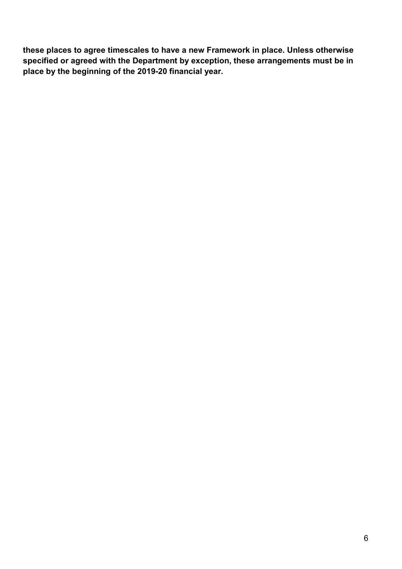**these places to agree timescales to have a new Framework in place. Unless otherwise specified or agreed with the Department by exception, these arrangements must be in place by the beginning of the 2019-20 financial year.**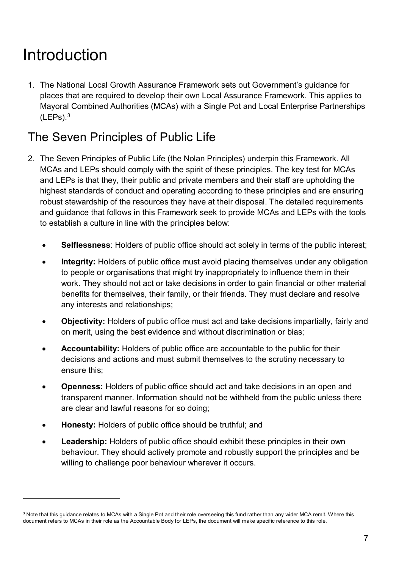# <span id="page-6-0"></span>Introduction

 $\overline{a}$ 

<span id="page-6-1"></span>1. The National Local Growth Assurance Framework sets out Government's guidance for places that are required to develop their own Local Assurance Framework. This applies to Mayoral Combined Authorities (MCAs) with a Single Pot and Local Enterprise Partnerships  $(LEPs).<sup>3</sup>$  $(LEPs).<sup>3</sup>$  $(LEPs).<sup>3</sup>$ 

# The Seven Principles of Public Life

- 2. The Seven Principles of Public Life (the Nolan Principles) underpin this Framework. All MCAs and LEPs should comply with the spirit of these principles. The key test for MCAs and LEPs is that they, their public and private members and their staff are upholding the highest standards of conduct and operating according to these principles and are ensuring robust stewardship of the resources they have at their disposal. The detailed requirements and guidance that follows in this Framework seek to provide MCAs and LEPs with the tools to establish a culture in line with the principles below:
	- **Selflessness**: Holders of public office should act solely in terms of the public interest;
	- **Integrity:** Holders of public office must avoid placing themselves under any obligation to people or organisations that might try inappropriately to influence them in their work. They should not act or take decisions in order to gain financial or other material benefits for themselves, their family, or their friends. They must declare and resolve any interests and relationships;
	- **Objectivity:** Holders of public office must act and take decisions impartially, fairly and on merit, using the best evidence and without discrimination or bias;
	- **Accountability:** Holders of public office are accountable to the public for their decisions and actions and must submit themselves to the scrutiny necessary to ensure this;
	- **Openness:** Holders of public office should act and take decisions in an open and transparent manner. Information should not be withheld from the public unless there are clear and lawful reasons for so doing;
	- **Honesty:** Holders of public office should be truthful; and
	- **Leadership:** Holders of public office should exhibit these principles in their own behaviour. They should actively promote and robustly support the principles and be willing to challenge poor behaviour wherever it occurs.

<span id="page-6-2"></span> $3$  Note that this guidance relates to MCAs with a Single Pot and their role overseeing this fund rather than any wider MCA remit. Where this document refers to MCAs in their role as the Accountable Body for LEPs, the document will make specific reference to this role.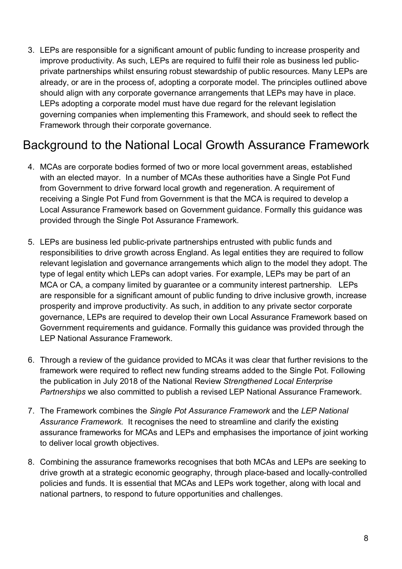3. LEPs are responsible for a significant amount of public funding to increase prosperity and improve productivity. As such, LEPs are required to fulfil their role as business led publicprivate partnerships whilst ensuring robust stewardship of public resources. Many LEPs are already, or are in the process of, adopting a corporate model. The principles outlined above should align with any corporate governance arrangements that LEPs may have in place. LEPs adopting a corporate model must have due regard for the relevant legislation governing companies when implementing this Framework, and should seek to reflect the Framework through their corporate governance.

# <span id="page-7-0"></span>Background to the National Local Growth Assurance Framework

- 4. MCAs are corporate bodies formed of two or more local government areas, established with an elected mayor. In a number of MCAs these authorities have a Single Pot Fund from Government to drive forward local growth and regeneration. A requirement of receiving a Single Pot Fund from Government is that the MCA is required to develop a Local Assurance Framework based on Government guidance. Formally this guidance was provided through the Single Pot Assurance Framework.
- 5. LEPs are business led public-private partnerships entrusted with public funds and responsibilities to drive growth across England. As legal entities they are required to follow relevant legislation and governance arrangements which align to the model they adopt. The type of legal entity which LEPs can adopt varies. For example, LEPs may be part of an MCA or CA, a company limited by guarantee or a community interest partnership. LEPs are responsible for a significant amount of public funding to drive inclusive growth, increase prosperity and improve productivity. As such, in addition to any private sector corporate governance, LEPs are required to develop their own Local Assurance Framework based on Government requirements and guidance. Formally this guidance was provided through the LEP National Assurance Framework.
- 6. Through a review of the guidance provided to MCAs it was clear that further revisions to the framework were required to reflect new funding streams added to the Single Pot. Following the publication in July 2018 of the National Review *Strengthened Local Enterprise Partnerships* we also committed to publish a revised LEP National Assurance Framework.
- 7. The Framework combines the *Single Pot Assurance Framework* and the *LEP National Assurance Framework.* It recognises the need to streamline and clarify the existing assurance frameworks for MCAs and LEPs and emphasises the importance of joint working to deliver local growth objectives.
- 8. Combining the assurance frameworks recognises that both MCAs and LEPs are seeking to drive growth at a strategic economic geography, through place-based and locally-controlled policies and funds. It is essential that MCAs and LEPs work together, along with local and national partners, to respond to future opportunities and challenges.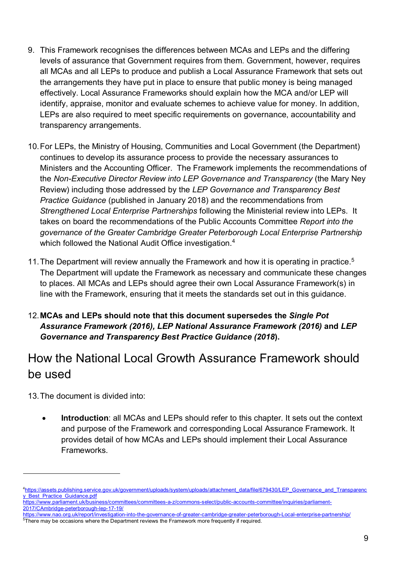- 9. This Framework recognises the differences between MCAs and LEPs and the differing levels of assurance that Government requires from them. Government, however, requires all MCAs and all LEPs to produce and publish a Local Assurance Framework that sets out the arrangements they have put in place to ensure that public money is being managed effectively. Local Assurance Frameworks should explain how the MCA and/or LEP will identify, appraise, monitor and evaluate schemes to achieve value for money. In addition, LEPs are also required to meet specific requirements on governance, accountability and transparency arrangements.
- 10.For LEPs, the Ministry of Housing, Communities and Local Government (the Department) continues to develop its assurance process to provide the necessary assurances to Ministers and the Accounting Officer. The Framework implements the recommendations of the *Non-Executive Director Review into LEP Governance and Transparency* (the Mary Ney Review) including those addressed by the *LEP Governance and Transparency Best Practice Guidance* (published in January 2018) and the recommendations from *Strengthened Local Enterprise Partnerships* following the Ministerial review into LEPs. It takes on board the recommendations of the Public Accounts Committee *Report into the governance of the Greater Cambridge Greater Peterborough Local Enterprise Partnership* which followed the National Audit Office investigation.<sup>[4](#page-8-1)</sup>
- 11.The Department will review annually the Framework and how it is operating in practice. [5](#page-8-2) The Department will update the Framework as necessary and communicate these changes to places. All MCAs and LEPs should agree their own Local Assurance Framework(s) in line with the Framework, ensuring that it meets the standards set out in this guidance.
- 12.**MCAs and LEPs should note that this document supersedes the** *Single Pot Assurance Framework (2016), LEP National Assurance Framework (2016)* **and** *LEP Governance and Transparency Best Practice Guidance (2018***).**

# <span id="page-8-0"></span>How the National Local Growth Assurance Framework should be used

13.The document is divided into:

 $\overline{a}$ 

• **Introduction**: all MCAs and LEPs should refer to this chapter. It sets out the context and purpose of the Framework and corresponding Local Assurance Framework. It provides detail of how MCAs and LEPs should implement their Local Assurance Frameworks.

[https://www.parliament.uk/business/committees/committees-a-z/commons-select/public-accounts-committee/inquiries/parliament-](https://www.parliament.uk/business/committees/committees-a-z/commons-select/public-accounts-committee/inquiries/parliament-2017/CAmbridge-peterborough-lep-17-19/)[2017/CAmbridge-peterborough-lep-17-19/](https://www.parliament.uk/business/committees/committees-a-z/commons-select/public-accounts-committee/inquiries/parliament-2017/CAmbridge-peterborough-lep-17-19/)

<span id="page-8-1"></span><sup>4</sup> [https://assets.publishing.service.gov.uk/government/uploads/system/uploads/attachment\\_data/file/679430/LEP\\_Governance\\_and\\_Transparenc](https://assets.publishing.service.gov.uk/government/uploads/system/uploads/attachment_data/file/679430/LEP_Governance_and_Transparency_Best_Practice_Guidance.pdf) [y\\_Best\\_Practice\\_Guidance.pdf](https://assets.publishing.service.gov.uk/government/uploads/system/uploads/attachment_data/file/679430/LEP_Governance_and_Transparency_Best_Practice_Guidance.pdf)

<span id="page-8-2"></span><https://www.nao.org.uk/report/investigation-into-the-governance-of-greater-cambridge-greater-peterborough-Local-enterprise-partnership/>  $5$ There may be occasions where the Department reviews the Framework more frequently if required.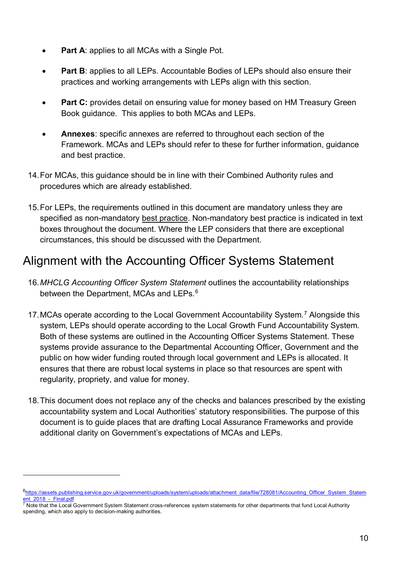- **Part A: applies to all MCAs with a Single Pot.**
- **Part B:** applies to all LEPs. Accountable Bodies of LEPs should also ensure their practices and working arrangements with LEPs align with this section.
- **Part C:** provides detail on ensuring value for money based on HM Treasury Green Book guidance. This applies to both MCAs and LEPs.
- **Annexes**: specific annexes are referred to throughout each section of the Framework. MCAs and LEPs should refer to these for further information, guidance and best practice.
- 14.For MCAs, this guidance should be in line with their Combined Authority rules and procedures which are already established.
- 15.For LEPs, the requirements outlined in this document are mandatory unless they are specified as non-mandatory best practice. Non-mandatory best practice is indicated in text boxes throughout the document. Where the LEP considers that there are exceptional circumstances, this should be discussed with the Department.

# <span id="page-9-0"></span>Alignment with the Accounting Officer Systems Statement

- 16.*MHCLG Accounting Officer System Statement* outlines the accountability relationships between the Department, MCAs and LEPs.<sup>[6](#page-9-1)</sup>
- 1[7](#page-9-2). MCAs operate according to the Local Government Accountability System.<sup>7</sup> Alongside this system, LEPs should operate according to the Local Growth Fund Accountability System. Both of these systems are outlined in the Accounting Officer Systems Statement. These systems provide assurance to the Departmental Accounting Officer, Government and the public on how wider funding routed through local government and LEPs is allocated. It ensures that there are robust local systems in place so that resources are spent with regularity, propriety, and value for money.
- 18.This document does not replace any of the checks and balances prescribed by the existing accountability system and Local Authorities' statutory responsibilities. The purpose of this document is to guide places that are drafting Local Assurance Frameworks and provide additional clarity on Government's expectations of MCAs and LEPs.

<span id="page-9-1"></span>[<sup>6</sup>https://assets.publishing.service.gov.uk/government/uploads/system/uploads/attachment\\_data/file/728081/Accounting\\_Officer\\_System\\_Statem](https://assets.publishing.service.gov.uk/government/uploads/system/uploads/attachment_data/file/728081/Accounting_Officer_System_Statement_2018_-_Final.pdf) ent\_2018 - Final.pdf

<span id="page-9-2"></span>**Note that the Local Government System Statement cross-references system statements for other departments that fund Local Authority** spending, which also apply to decision-making authorities.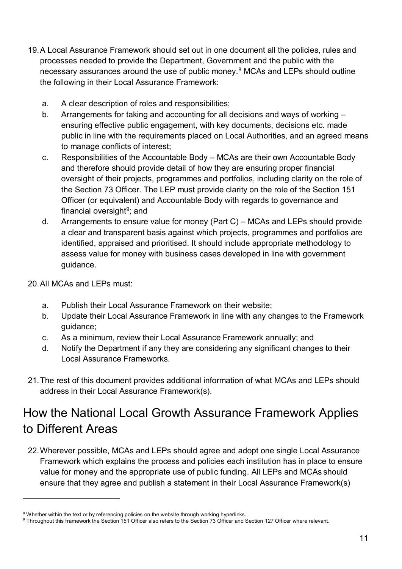- 19.A Local Assurance Framework should set out in one document all the policies, rules and processes needed to provide the Department, Government and the public with the necessary assurances around the use of public money. [8](#page-10-1) MCAs and LEPs should outline the following in their Local Assurance Framework:
	- a. A clear description of roles and responsibilities;
	- b. Arrangements for taking and accounting for all decisions and ways of working ensuring effective public engagement, with key documents, decisions etc. made public in line with the requirements placed on Local Authorities, and an agreed means to manage conflicts of interest;
	- c. Responsibilities of the Accountable Body MCAs are their own Accountable Body and therefore should provide detail of how they are ensuring proper financial oversight of their projects, programmes and portfolios, including clarity on the role of the Section 73 Officer. The LEP must provide clarity on the role of the Section 151 Officer (or equivalent) and Accountable Body with regards to governance and financial oversight $9$ ; and
	- d. Arrangements to ensure value for money (Part C) MCAs and LEPs should provide a clear and transparent basis against which projects, programmes and portfolios are identified, appraised and prioritised. It should include appropriate methodology to assess value for money with business cases developed in line with government guidance.
- 20.All MCAs and LEPs must:

 $\overline{a}$ 

- a. Publish their Local Assurance Framework on their website;
- b. Update their Local Assurance Framework in line with any changes to the Framework guidance;
- c. As a minimum, review their Local Assurance Framework annually; and
- d. Notify the Department if any they are considering any significant changes to their Local Assurance Frameworks.
- 21.The rest of this document provides additional information of what MCAs and LEPs should address in their Local Assurance Framework(s).

# <span id="page-10-0"></span>How the National Local Growth Assurance Framework Applies to Different Areas

22.Wherever possible, MCAs and LEPs should agree and adopt one single Local Assurance Framework which explains the process and policies each institution has in place to ensure value for money and the appropriate use of public funding. All LEPs and MCAs should ensure that they agree and publish a statement in their Local Assurance Framework(s)

<span id="page-10-1"></span><sup>&</sup>lt;sup>8</sup> Whether within the text or by referencing policies on the website through working hyperlinks.

<span id="page-10-2"></span><sup>9</sup> Throughout this framework the Section 151 Officer also refers to the Section 73 Officer and Section 127 Officer where relevant.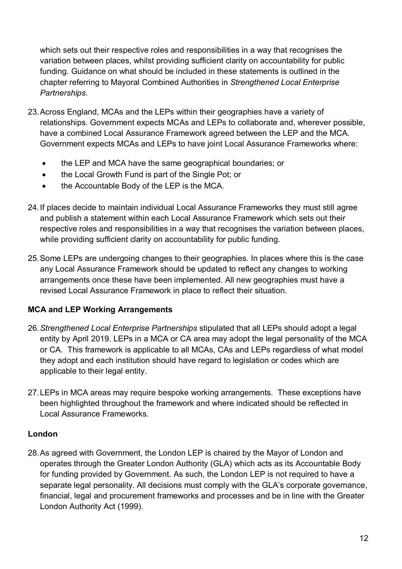which sets out their respective roles and responsibilities in a way that recognises the variation between places, whilst providing sufficient clarity on accountability for public funding. Guidance on what should be included in these statements is outlined in the chapter referring to Mayoral Combined Authorities in *Strengthened Local Enterprise Partnerships*.

- 23.Across England, MCAs and the LEPs within their geographies have a variety of relationships. Government expects MCAs and LEPs to collaborate and, wherever possible, have a combined Local Assurance Framework agreed between the LEP and the MCA. Government expects MCAs and LEPs to have joint Local Assurance Frameworks where:
	- the LEP and MCA have the same geographical boundaries; or
	- the Local Growth Fund is part of the Single Pot; or
	- the Accountable Body of the LEP is the MCA.
- 24.If places decide to maintain individual Local Assurance Frameworks they must still agree and publish a statement within each Local Assurance Framework which sets out their respective roles and responsibilities in a way that recognises the variation between places, while providing sufficient clarity on accountability for public funding.
- 25.Some LEPs are undergoing changes to their geographies. In places where this is the case any Local Assurance Framework should be updated to reflect any changes to working arrangements once these have been implemented. All new geographies must have a revised Local Assurance Framework in place to reflect their situation.

## **MCA and LEP Working Arrangements**

- 26.*Strengthened Local Enterprise Partnerships* stipulated that all LEPs should adopt a legal entity by April 2019. LEPs in a MCA or CA area may adopt the legal personality of the MCA or CA. This framework is applicable to all MCAs, CAs and LEPs regardless of what model they adopt and each institution should have regard to legislation or codes which are applicable to their legal entity.
- 27.LEPs in MCA areas may require bespoke working arrangements. These exceptions have been highlighted throughout the framework and where indicated should be reflected in Local Assurance Frameworks.

#### **London**

28.As agreed with Government, the London LEP is chaired by the Mayor of London and operates through the Greater London Authority (GLA) which acts as its Accountable Body for funding provided by Government. As such, the London LEP is not required to have a separate legal personality. All decisions must comply with the GLA's corporate governance, financial, legal and procurement frameworks and processes and be in line with the Greater London Authority Act (1999).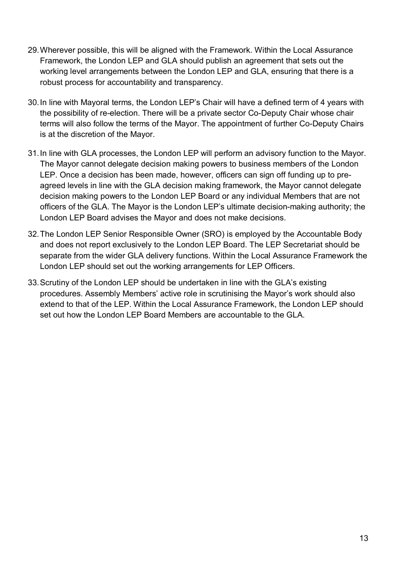- 29.Wherever possible, this will be aligned with the Framework. Within the Local Assurance Framework, the London LEP and GLA should publish an agreement that sets out the working level arrangements between the London LEP and GLA, ensuring that there is a robust process for accountability and transparency.
- 30.In line with Mayoral terms, the London LEP's Chair will have a defined term of 4 years with the possibility of re-election. There will be a private sector Co-Deputy Chair whose chair terms will also follow the terms of the Mayor. The appointment of further Co-Deputy Chairs is at the discretion of the Mayor.
- 31.In line with GLA processes, the London LEP will perform an advisory function to the Mayor. The Mayor cannot delegate decision making powers to business members of the London LEP. Once a decision has been made, however, officers can sign off funding up to preagreed levels in line with the GLA decision making framework, the Mayor cannot delegate decision making powers to the London LEP Board or any individual Members that are not officers of the GLA. The Mayor is the London LEP's ultimate decision-making authority; the London LEP Board advises the Mayor and does not make decisions.
- 32.The London LEP Senior Responsible Owner (SRO) is employed by the Accountable Body and does not report exclusively to the London LEP Board. The LEP Secretariat should be separate from the wider GLA delivery functions. Within the Local Assurance Framework the London LEP should set out the working arrangements for LEP Officers.
- 33.Scrutiny of the London LEP should be undertaken in line with the GLA's existing procedures. Assembly Members' active role in scrutinising the Mayor's work should also extend to that of the LEP. Within the Local Assurance Framework, the London LEP should set out how the London LEP Board Members are accountable to the GLA.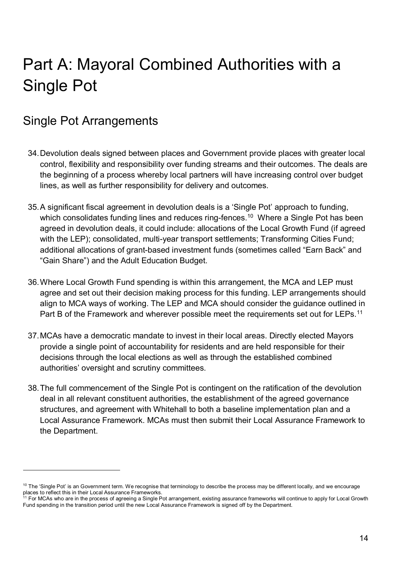# <span id="page-13-0"></span>Part A: Mayoral Combined Authorities with a Single Pot

# <span id="page-13-1"></span>Single Pot Arrangements

- 34.Devolution deals signed between places and Government provide places with greater local control, flexibility and responsibility over funding streams and their outcomes. The deals are the beginning of a process whereby local partners will have increasing control over budget lines, as well as further responsibility for delivery and outcomes.
- 35.A significant fiscal agreement in devolution deals is a 'Single Pot' approach to funding, which consolidates funding lines and reduces ring-fences.<sup>10</sup> Where a Single Pot has been agreed in devolution deals, it could include: allocations of the Local Growth Fund (if agreed with the LEP); consolidated, multi-year transport settlements; Transforming Cities Fund; additional allocations of grant-based investment funds (sometimes called "Earn Back" and "Gain Share") and the Adult Education Budget.
- 36.Where Local Growth Fund spending is within this arrangement, the MCA and LEP must agree and set out their decision making process for this funding. LEP arrangements should align to MCA ways of working. The LEP and MCA should consider the guidance outlined in Part B of the Framework and wherever possible meet the requirements set out for LEPs.<sup>[11](#page-13-3)</sup>
- 37.MCAs have a democratic mandate to invest in their local areas. Directly elected Mayors provide a single point of accountability for residents and are held responsible for their decisions through the local elections as well as through the established combined authorities' oversight and scrutiny committees.
- 38.The full commencement of the Single Pot is contingent on the ratification of the devolution deal in all relevant constituent authorities, the establishment of the agreed governance structures, and agreement with Whitehall to both a baseline implementation plan and a Local Assurance Framework. MCAs must then submit their Local Assurance Framework to the Department.

<span id="page-13-2"></span><sup>&</sup>lt;sup>10</sup> The 'Single Pot' is an Government term. We recognise that terminology to describe the process may be different locally, and we encourage places to reflect this in their Local Assurance Frameworks.<br><sup>11</sup> For MCAs who are in the process of agreeing a Single Pot arrangement, existing assurance frameworks will continue to apply for Local Growth

<span id="page-13-3"></span>Fund spending in the transition period until the new Local Assurance Framework is signed off by the Department.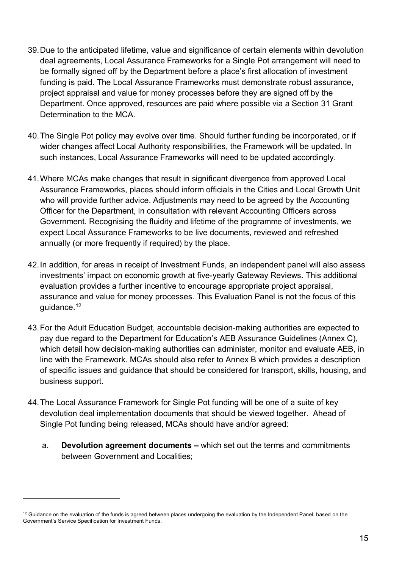- 39.Due to the anticipated lifetime, value and significance of certain elements within devolution deal agreements, Local Assurance Frameworks for a Single Pot arrangement will need to be formally signed off by the Department before a place's first allocation of investment funding is paid. The Local Assurance Frameworks must demonstrate robust assurance, project appraisal and value for money processes before they are signed off by the Department. Once approved, resources are paid where possible via a Section 31 Grant Determination to the MCA.
- 40.The Single Pot policy may evolve over time. Should further funding be incorporated, or if wider changes affect Local Authority responsibilities, the Framework will be updated. In such instances, Local Assurance Frameworks will need to be updated accordingly.
- 41.Where MCAs make changes that result in significant divergence from approved Local Assurance Frameworks, places should inform officials in the Cities and Local Growth Unit who will provide further advice. Adjustments may need to be agreed by the Accounting Officer for the Department, in consultation with relevant Accounting Officers across Government. Recognising the fluidity and lifetime of the programme of investments, we expect Local Assurance Frameworks to be live documents, reviewed and refreshed annually (or more frequently if required) by the place.
- 42.In addition, for areas in receipt of Investment Funds, an independent panel will also assess investments' impact on economic growth at five-yearly Gateway Reviews. This additional evaluation provides a further incentive to encourage appropriate project appraisal, assurance and value for money processes. This Evaluation Panel is not the focus of this quidance. $12$
- 43.For the Adult Education Budget, accountable decision-making authorities are expected to pay due regard to the Department for Education's AEB Assurance Guidelines (Annex C), which detail how decision-making authorities can administer, monitor and evaluate AEB, in line with the Framework. MCAs should also refer to Annex B which provides a description of specific issues and guidance that should be considered for transport, skills, housing, and business support.
- 44.The Local Assurance Framework for Single Pot funding will be one of a suite of key devolution deal implementation documents that should be viewed together. Ahead of Single Pot funding being released, MCAs should have and/or agreed:
	- a. **Devolution agreement documents –** which set out the terms and commitments between Government and Localities;

<span id="page-14-0"></span><sup>&</sup>lt;sup>12</sup> Guidance on the evaluation of the funds is agreed between places undergoing the evaluation by the Independent Panel, based on the Government's Service Specification for Investment Funds.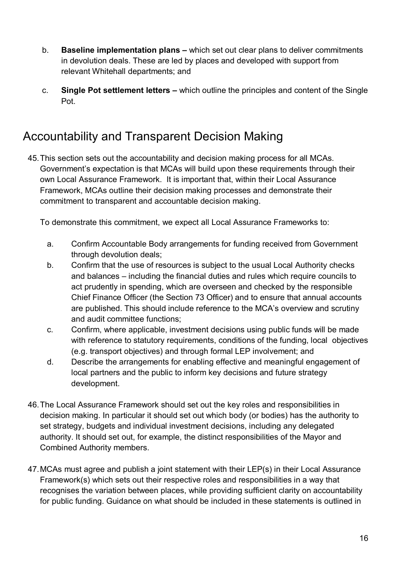- b. **Baseline implementation plans –** which set out clear plans to deliver commitments in devolution deals. These are led by places and developed with support from relevant Whitehall departments; and
- c. **Single Pot settlement letters –** which outline the principles and content of the Single Pot.

# <span id="page-15-0"></span>Accountability and Transparent Decision Making

45.This section sets out the accountability and decision making process for all MCAs. Government's expectation is that MCAs will build upon these requirements through their own Local Assurance Framework. It is important that, within their Local Assurance Framework, MCAs outline their decision making processes and demonstrate their commitment to transparent and accountable decision making.

To demonstrate this commitment, we expect all Local Assurance Frameworks to:

- a. Confirm Accountable Body arrangements for funding received from Government through devolution deals;
- b. Confirm that the use of resources is subject to the usual Local Authority checks and balances – including the financial duties and rules which require councils to act prudently in spending, which are overseen and checked by the responsible Chief Finance Officer (the Section 73 Officer) and to ensure that annual accounts are published. This should include reference to the MCA's overview and scrutiny and audit committee functions;
- c. Confirm, where applicable, investment decisions using public funds will be made with reference to statutory requirements, conditions of the funding, local objectives (e.g. transport objectives) and through formal LEP involvement; and
- d. Describe the arrangements for enabling effective and meaningful engagement of local partners and the public to inform key decisions and future strategy development.
- 46.The Local Assurance Framework should set out the key roles and responsibilities in decision making. In particular it should set out which body (or bodies) has the authority to set strategy, budgets and individual investment decisions, including any delegated authority. It should set out, for example, the distinct responsibilities of the Mayor and Combined Authority members.
- 47.MCAs must agree and publish a joint statement with their LEP(s) in their Local Assurance Framework(s) which sets out their respective roles and responsibilities in a way that recognises the variation between places, while providing sufficient clarity on accountability for public funding. Guidance on what should be included in these statements is outlined in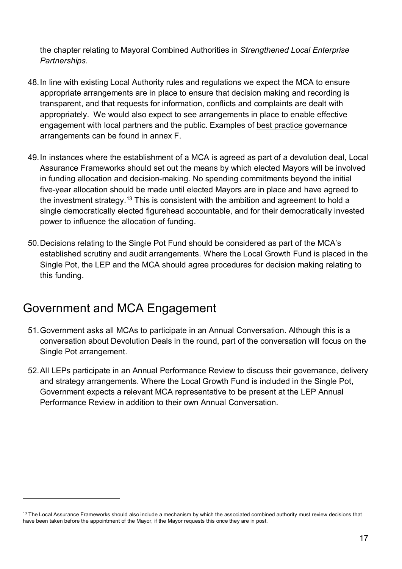the chapter relating to Mayoral Combined Authorities in *Strengthened Local Enterprise Partnerships*.

- 48.In line with existing Local Authority rules and regulations we expect the MCA to ensure appropriate arrangements are in place to ensure that decision making and recording is transparent, and that requests for information, conflicts and complaints are dealt with appropriately. We would also expect to see arrangements in place to enable effective engagement with local partners and the public. Examples of best practice governance arrangements can be found in annex F.
- 49.In instances where the establishment of a MCA is agreed as part of a devolution deal, Local Assurance Frameworks should set out the means by which elected Mayors will be involved in funding allocation and decision-making. No spending commitments beyond the initial five-year allocation should be made until elected Mayors are in place and have agreed to the investment strategy.<sup>[13](#page-16-1)</sup> This is consistent with the ambition and agreement to hold a single democratically elected figurehead accountable, and for their democratically invested power to influence the allocation of funding.
- 50.Decisions relating to the Single Pot Fund should be considered as part of the MCA's established scrutiny and audit arrangements. Where the Local Growth Fund is placed in the Single Pot, the LEP and the MCA should agree procedures for decision making relating to this funding.

# <span id="page-16-0"></span>Government and MCA Engagement

- 51.Government asks all MCAs to participate in an Annual Conversation. Although this is a conversation about Devolution Deals in the round, part of the conversation will focus on the Single Pot arrangement.
- 52.All LEPs participate in an Annual Performance Review to discuss their governance, delivery and strategy arrangements. Where the Local Growth Fund is included in the Single Pot, Government expects a relevant MCA representative to be present at the LEP Annual Performance Review in addition to their own Annual Conversation.

<span id="page-16-1"></span><sup>&</sup>lt;sup>13</sup> The Local Assurance Frameworks should also include a mechanism by which the associated combined authority must review decisions that have been taken before the appointment of the Mayor, if the Mayor requests this once they are in post.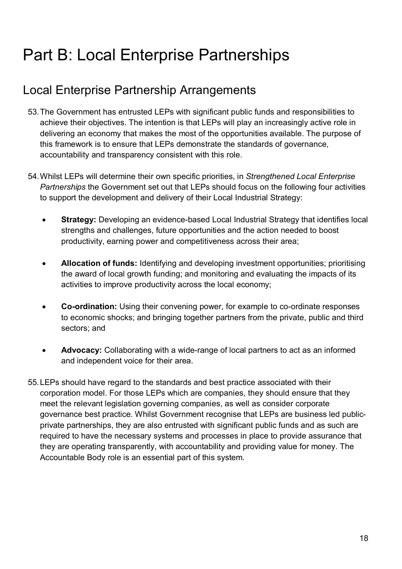# <span id="page-17-0"></span>Part B: Local Enterprise Partnerships

# <span id="page-17-1"></span>Local Enterprise Partnership Arrangements

- 53.The Government has entrusted LEPs with significant public funds and responsibilities to achieve their objectives. The intention is that LEPs will play an increasingly active role in delivering an economy that makes the most of the opportunities available. The purpose of this framework is to ensure that LEPs demonstrate the standards of governance, accountability and transparency consistent with this role.
- 54.Whilst LEPs will determine their own specific priorities, in *Strengthened Local Enterprise Partnerships* the Government set out that LEPs should focus on the following four activities to support the development and delivery of their Local Industrial Strategy:
	- **Strategy:** Developing an evidence-based Local Industrial Strategy that identifies local strengths and challenges, future opportunities and the action needed to boost productivity, earning power and competitiveness across their area;
	- **Allocation of funds:** Identifying and developing investment opportunities; prioritising the award of local growth funding; and monitoring and evaluating the impacts of its activities to improve productivity across the local economy;
	- **Co-ordination:** Using their convening power, for example to co-ordinate responses to economic shocks; and bringing together partners from the private, public and third sectors; and
	- **Advocacy:** Collaborating with a wide-range of local partners to act as an informed and independent voice for their area.
- 55.LEPs should have regard to the standards and best practice associated with their corporation model. For those LEPs which are companies, they should ensure that they meet the relevant legislation governing companies, as well as consider corporate governance best practice. Whilst Government recognise that LEPs are business led publicprivate partnerships, they are also entrusted with significant public funds and as such are required to have the necessary systems and processes in place to provide assurance that they are operating transparently, with accountability and providing value for money. The Accountable Body role is an essential part of this system.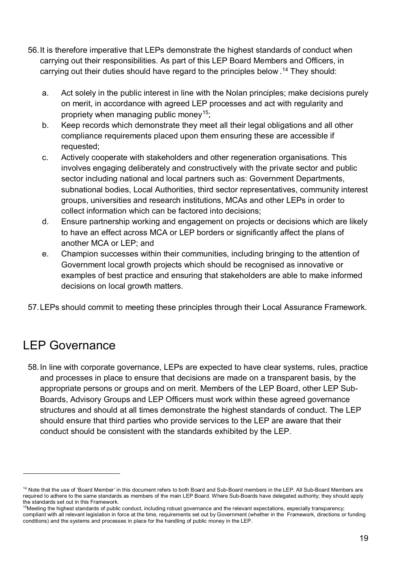- 56.It is therefore imperative that LEPs demonstrate the highest standards of conduct when carrying out their responsibilities. As part of this LEP Board Members and Officers, in carrying out their duties should have regard to the principles below . [14](#page-18-1) They should:
	- a. Act solely in the public interest in line with the Nolan principles; make decisions purely on merit, in accordance with agreed LEP processes and act with regularity and propriety when managing public money<sup>15</sup>;
	- b. Keep records which demonstrate they meet all their legal obligations and all other compliance requirements placed upon them ensuring these are accessible if requested;
	- c. Actively cooperate with stakeholders and other regeneration organisations. This involves engaging deliberately and constructively with the private sector and public sector including national and local partners such as: Government Departments, subnational bodies, Local Authorities, third sector representatives, community interest groups, universities and research institutions, MCAs and other LEPs in order to collect information which can be factored into decisions;
	- d. Ensure partnership working and engagement on projects or decisions which are likely to have an effect across MCA or LEP borders or significantly affect the plans of another MCA or LEP; and
	- e. Champion successes within their communities, including bringing to the attention of Government local growth projects which should be recognised as innovative or examples of best practice and ensuring that stakeholders are able to make informed decisions on local growth matters.

57.LEPs should commit to meeting these principles through their Local Assurance Framework.

# <span id="page-18-0"></span>LEP Governance

 $\overline{a}$ 

58.In line with corporate governance, LEPs are expected to have clear systems, rules, practice and processes in place to ensure that decisions are made on a transparent basis, by the appropriate persons or groups and on merit. Members of the LEP Board, other LEP Sub-Boards, Advisory Groups and LEP Officers must work within these agreed governance structures and should at all times demonstrate the highest standards of conduct. The LEP should ensure that third parties who provide services to the LEP are aware that their conduct should be consistent with the standards exhibited by the LEP.

<span id="page-18-1"></span><sup>&</sup>lt;sup>14</sup> Note that the use of 'Board Member' in this document refers to both Board and Sub-Board members in the LEP. All Sub-Board Members are required to adhere to the same standards as members of the main LEP Board. Where Sub-Boards have delegated authority; they should apply the standards set out in this Framework.

<span id="page-18-2"></span> $15$ Meeting the highest standards of public conduct, including robust governance and the relevant expectations, especially transparency; compliant with all relevant legislation in force at the time, requirements set out by Government (whether in the Framework, directions or funding conditions) and the systems and processes in place for the handling of public money in the LEP.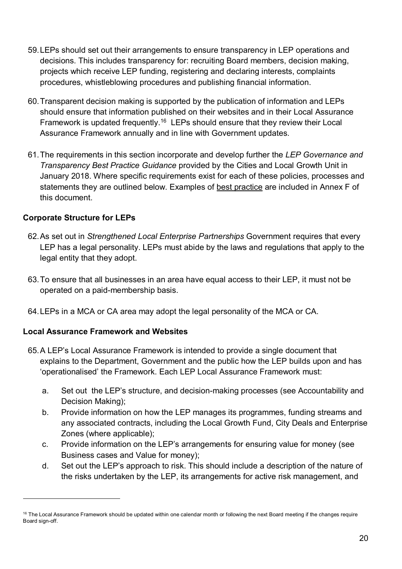- 59.LEPs should set out their arrangements to ensure transparency in LEP operations and decisions. This includes transparency for: recruiting Board members, decision making, projects which receive LEP funding, registering and declaring interests, complaints procedures, whistleblowing procedures and publishing financial information.
- 60.Transparent decision making is supported by the publication of information and LEPs should ensure that information published on their websites and in their Local Assurance Framework is updated frequently.<sup>[16](#page-19-0)</sup> LEPs should ensure that they review their Local Assurance Framework annually and in line with Government updates.
- 61.The requirements in this section incorporate and develop further the *LEP Governance and Transparency Best Practice Guidance* provided by the Cities and Local Growth Unit in January 2018. Where specific requirements exist for each of these policies, processes and statements they are outlined below. Examples of best practice are included in Annex F of this document.

## **Corporate Structure for LEPs**

 $\overline{a}$ 

- 62.As set out in *Strengthened Local Enterprise Partnerships* Government requires that every LEP has a legal personality. LEPs must abide by the laws and regulations that apply to the legal entity that they adopt.
- 63.To ensure that all businesses in an area have equal access to their LEP, it must not be operated on a paid-membership basis.
- 64.LEPs in a MCA or CA area may adopt the legal personality of the MCA or CA.

## **Local Assurance Framework and Websites**

- 65.A LEP's Local Assurance Framework is intended to provide a single document that explains to the Department, Government and the public how the LEP builds upon and has 'operationalised' the Framework. Each LEP Local Assurance Framework must:
	- a. Set out the LEP's structure, and decision-making processes (see Accountability and Decision Making);
	- b. Provide information on how the LEP manages its programmes, funding streams and any associated contracts, including the Local Growth Fund, City Deals and Enterprise Zones (where applicable);
	- c. Provide information on the LEP's arrangements for ensuring value for money (see Business cases and Value for money);
	- d. Set out the LEP's approach to risk. This should include a description of the nature of the risks undertaken by the LEP, its arrangements for active risk management, and

<span id="page-19-0"></span><sup>&</sup>lt;sup>16</sup> The Local Assurance Framework should be updated within one calendar month or following the next Board meeting if the changes require Board sign-off.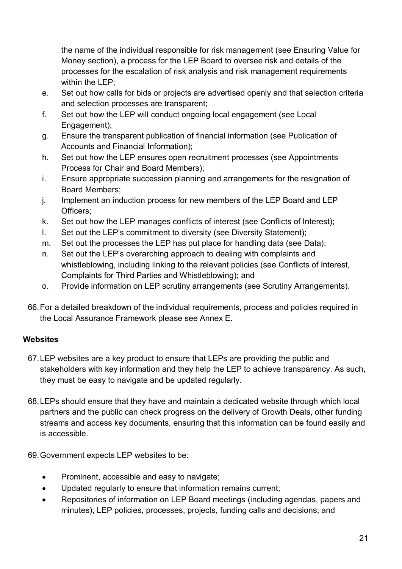the name of the individual responsible for risk management (see Ensuring Value for Money section), a process for the LEP Board to oversee risk and details of the processes for the escalation of risk analysis and risk management requirements within the LEP;

- e. Set out how calls for bids or projects are advertised openly and that selection criteria and selection processes are transparent;
- f. Set out how the LEP will conduct ongoing local engagement (see Local Engagement);
- g. Ensure the transparent publication of financial information (see Publication of Accounts and Financial Information);
- h. Set out how the LEP ensures open recruitment processes (see Appointments Process for Chair and Board Members);
- i. Ensure appropriate succession planning and arrangements for the resignation of Board Members;
- j. Implement an induction process for new members of the LEP Board and LEP Officers;
- k. Set out how the LEP manages conflicts of interest (see Conflicts of Interest);
- l. Set out the LEP's commitment to diversity (see Diversity Statement);
- m. Set out the processes the LEP has put place for handling data (see Data);
- n. Set out the LEP's overarching approach to dealing with complaints and whistleblowing, including linking to the relevant policies (see Conflicts of Interest, Complaints for Third Parties and Whistleblowing); and
- o. Provide information on LEP scrutiny arrangements (see Scrutiny Arrangements).
- 66.For a detailed breakdown of the individual requirements, process and policies required in the Local Assurance Framework please see Annex E.

## **Websites**

- 67.LEP websites are a key product to ensure that LEPs are providing the public and stakeholders with key information and they help the LEP to achieve transparency. As such, they must be easy to navigate and be updated regularly.
- 68.LEPs should ensure that they have and maintain a dedicated website through which local partners and the public can check progress on the delivery of Growth Deals, other funding streams and access key documents, ensuring that this information can be found easily and is accessible.
- 69.Government expects LEP websites to be:
	- Prominent, accessible and easy to navigate;
	- Updated regularly to ensure that information remains current;
	- Repositories of information on LEP Board meetings (including agendas, papers and minutes), LEP policies, processes, projects, funding calls and decisions; and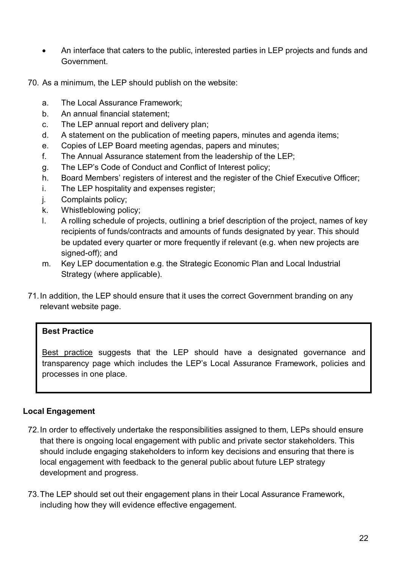- An interface that caters to the public, interested parties in LEP projects and funds and Government.
- 70. As a minimum, the LEP should publish on the website:
	- a. The Local Assurance Framework;
	- b. An annual financial statement;
	- c. The LEP annual report and delivery plan;
	- d. A statement on the publication of meeting papers, minutes and agenda items;
	- e. Copies of LEP Board meeting agendas, papers and minutes;
	- f. The Annual Assurance statement from the leadership of the LEP;
	- g. The LEP's Code of Conduct and Conflict of Interest policy;
	- h. Board Members' registers of interest and the register of the Chief Executive Officer;
	- i. The LEP hospitality and expenses register;
	- j. Complaints policy;
	- k. Whistleblowing policy;
	- l. A rolling schedule of projects, outlining a brief description of the project, names of key recipients of funds/contracts and amounts of funds designated by year. This should be updated every quarter or more frequently if relevant (e.g. when new projects are signed-off); and
	- m. Key LEP documentation e.g. the Strategic Economic Plan and Local Industrial Strategy (where applicable).
- 71.In addition, the LEP should ensure that it uses the correct Government branding on any relevant website page.

## **Best Practice**

Best practice suggests that the LEP should have a designated governance and transparency page which includes the LEP's Local Assurance Framework, policies and processes in one place.

## **Local Engagement**

- 72.In order to effectively undertake the responsibilities assigned to them, LEPs should ensure that there is ongoing local engagement with public and private sector stakeholders. This should include engaging stakeholders to inform key decisions and ensuring that there is local engagement with feedback to the general public about future LEP strategy development and progress.
- 73.The LEP should set out their engagement plans in their Local Assurance Framework, including how they will evidence effective engagement.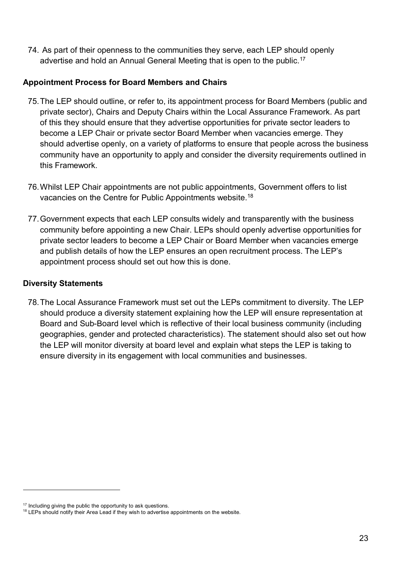74. As part of their openness to the communities they serve, each LEP should openly advertise and hold an Annual General Meeting that is open to the public.<sup>[17](#page-22-0)</sup>

## **Appointment Process for Board Members and Chairs**

- 75.The LEP should outline, or refer to, its appointment process for Board Members (public and private sector), Chairs and Deputy Chairs within the Local Assurance Framework. As part of this they should ensure that they advertise opportunities for private sector leaders to become a LEP Chair or private sector Board Member when vacancies emerge. They should advertise openly, on a variety of platforms to ensure that people across the business community have an opportunity to apply and consider the diversity requirements outlined in this Framework.
- 76.Whilst LEP Chair appointments are not public appointments, Government offers to list vacancies on the Centre for Public Appointments website. [18](#page-22-1)
- 77.Government expects that each LEP consults widely and transparently with the business community before appointing a new Chair. LEPs should openly advertise opportunities for private sector leaders to become a LEP Chair or Board Member when vacancies emerge and publish details of how the LEP ensures an open recruitment process. The LEP's appointment process should set out how this is done.

#### **Diversity Statements**

78.The Local Assurance Framework must set out the LEPs commitment to diversity. The LEP should produce a diversity statement explaining how the LEP will ensure representation at Board and Sub-Board level which is reflective of their local business community (including geographies, gender and protected characteristics). The statement should also set out how the LEP will monitor diversity at board level and explain what steps the LEP is taking to ensure diversity in its engagement with local communities and businesses.

<span id="page-22-1"></span><span id="page-22-0"></span><sup>&</sup>lt;sup>17</sup> Including giving the public the opportunity to ask questions.<br><sup>18</sup> LEPs should notify their Area Lead if they wish to advertise appointments on the website.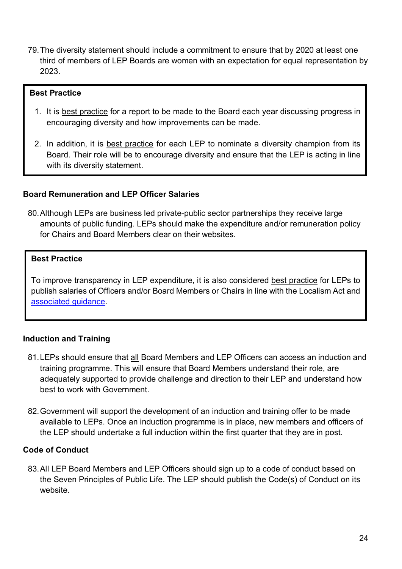79.The diversity statement should include a commitment to ensure that by 2020 at least one third of members of LEP Boards are women with an expectation for equal representation by 2023.

#### **Best Practice**

- 1. It is best practice for a report to be made to the Board each year discussing progress in encouraging diversity and how improvements can be made.
- 2. In addition, it is best practice for each LEP to nominate a diversity champion from its Board. Their role will be to encourage diversity and ensure that the LEP is acting in line with its diversity statement.

#### **Board Remuneration and LEP Officer Salaries**

80.Although LEPs are business led private-public sector partnerships they receive large amounts of public funding. LEPs should make the expenditure and/or remuneration policy for Chairs and Board Members clear on their websites.

#### **Best Practice**

To improve transparency in LEP expenditure, it is also considered best practice for LEPs to publish salaries of Officers and/or Board Members or Chairs in line with the Localism Act and [associated guidance.](https://assets.publishing.service.gov.uk/government/uploads/system/uploads/attachment_data/file/5967/1997468.pdf)

#### **Induction and Training**

- 81.LEPs should ensure that all Board Members and LEP Officers can access an induction and training programme. This will ensure that Board Members understand their role, are adequately supported to provide challenge and direction to their LEP and understand how best to work with Government.
- 82.Government will support the development of an induction and training offer to be made available to LEPs. Once an induction programme is in place, new members and officers of the LEP should undertake a full induction within the first quarter that they are in post.

#### **Code of Conduct**

83.All LEP Board Members and LEP Officers should sign up to a code of conduct based on the Seven Principles of Public Life. The LEP should publish the Code(s) of Conduct on its website.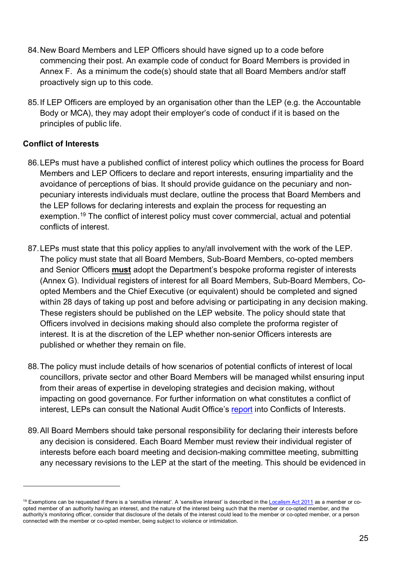- 84.New Board Members and LEP Officers should have signed up to a code before commencing their post. An example code of conduct for Board Members is provided in Annex F. As a minimum the code(s) should state that all Board Members and/or staff proactively sign up to this code.
- 85.If LEP Officers are employed by an organisation other than the LEP (e.g. the Accountable Body or MCA), they may adopt their employer's code of conduct if it is based on the principles of public life.

## **Conflict of Interests**

- 86.LEPs must have a published conflict of interest policy which outlines the process for Board Members and LEP Officers to declare and report interests, ensuring impartiality and the avoidance of perceptions of bias. It should provide guidance on the pecuniary and nonpecuniary interests individuals must declare, outline the process that Board Members and the LEP follows for declaring interests and explain the process for requesting an exemption. [19](#page-24-0) The conflict of interest policy must cover commercial, actual and potential conflicts of interest.
- 87.LEPs must state that this policy applies to any/all involvement with the work of the LEP. The policy must state that all Board Members, Sub-Board Members, co-opted members and Senior Officers **must** adopt the Department's bespoke proforma register of interests (Annex G). Individual registers of interest for all Board Members, Sub-Board Members, Coopted Members and the Chief Executive (or equivalent) should be completed and signed within 28 days of taking up post and before advising or participating in any decision making. These registers should be published on the LEP website. The policy should state that Officers involved in decisions making should also complete the proforma register of interest. It is at the discretion of the LEP whether non-senior Officers interests are published or whether they remain on file.
- 88.The policy must include details of how scenarios of potential conflicts of interest of local councillors, private sector and other Board Members will be managed whilst ensuring input from their areas of expertise in developing strategies and decision making, without impacting on good governance. For further information on what constitutes a conflict of interest, LEPs can consult the National Audit Office's [report](https://www.nao.org.uk/wp-content/uploads/2015/01/Conflicts-of-interest.pdf) into Conflicts of Interests.
- 89.All Board Members should take personal responsibility for declaring their interests before any decision is considered. Each Board Member must review their individual register of interests before each board meeting and decision-making committee meeting, submitting any necessary revisions to the LEP at the start of the meeting. This should be evidenced in

<span id="page-24-0"></span><sup>&</sup>lt;sup>19</sup> Exemptions can be requested if there is a 'sensitive interest'. A 'sensitive interest' is described in th[e Localism Act 2011](http://www.legislation.gov.uk/uksi/2012/1464/pdfs/uksi_20121464_en.pdf) as a member or coopted member of an authority having an interest, and the nature of the interest being such that the member or co-opted member, and the authority's monitoring officer, consider that disclosure of the details of the interest could lead to the member or co-opted member, or a person connected with the member or co-opted member, being subject to violence or intimidation.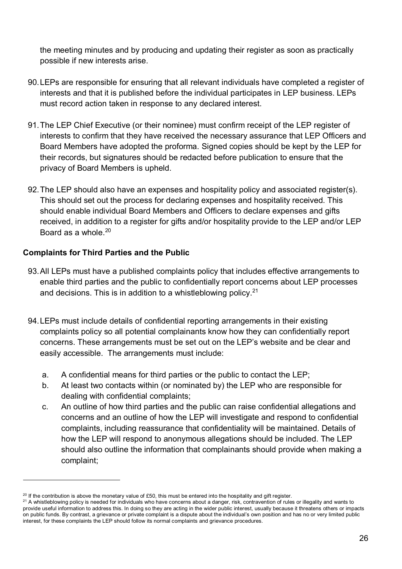the meeting minutes and by producing and updating their register as soon as practically possible if new interests arise.

- 90.LEPs are responsible for ensuring that all relevant individuals have completed a register of interests and that it is published before the individual participates in LEP business. LEPs must record action taken in response to any declared interest.
- 91.The LEP Chief Executive (or their nominee) must confirm receipt of the LEP register of interests to confirm that they have received the necessary assurance that LEP Officers and Board Members have adopted the proforma. Signed copies should be kept by the LEP for their records, but signatures should be redacted before publication to ensure that the privacy of Board Members is upheld.
- 92.The LEP should also have an expenses and hospitality policy and associated register(s). This should set out the process for declaring expenses and hospitality received. This should enable individual Board Members and Officers to declare expenses and gifts received, in addition to a register for gifts and/or hospitality provide to the LEP and/or LEP Board as a whole. [20](#page-25-0)

## **Complaints for Third Parties and the Public**

- 93.All LEPs must have a published complaints policy that includes effective arrangements to enable third parties and the public to confidentially report concerns about LEP processes and decisions. This is in addition to a whistleblowing policy.<sup>[21](#page-25-1)</sup>
- 94.LEPs must include details of confidential reporting arrangements in their existing complaints policy so all potential complainants know how they can confidentially report concerns. These arrangements must be set out on the LEP's website and be clear and easily accessible. The arrangements must include:
	- a. A confidential means for third parties or the public to contact the LEP;
	- b. At least two contacts within (or nominated by) the LEP who are responsible for dealing with confidential complaints;
	- c. An outline of how third parties and the public can raise confidential allegations and concerns and an outline of how the LEP will investigate and respond to confidential complaints, including reassurance that confidentiality will be maintained. Details of how the LEP will respond to anonymous allegations should be included. The LEP should also outline the information that complainants should provide when making a complaint;

<span id="page-25-1"></span><span id="page-25-0"></span>

 $^{20}$  If the contribution is above the monetary value of £50, this must be entered into the hospitality and gift register.<br><sup>21</sup> A whistleblowing policy is needed for individuals who have concerns about a danger, risk, co provide useful information to address this. In doing so they are acting in the wider public interest, usually because it threatens others or impacts on public funds. By contrast, a grievance or private complaint is a dispute about the individual's own position and has no or very limited public interest, for these complaints the LEP should follow its normal complaints and grievance procedures.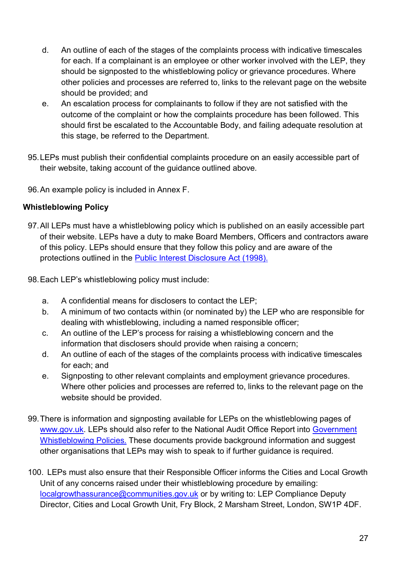- d. An outline of each of the stages of the complaints process with indicative timescales for each. If a complainant is an employee or other worker involved with the LEP, they should be signposted to the whistleblowing policy or grievance procedures. Where other policies and processes are referred to, links to the relevant page on the website should be provided; and
- e. An escalation process for complainants to follow if they are not satisfied with the outcome of the complaint or how the complaints procedure has been followed. This should first be escalated to the Accountable Body, and failing adequate resolution at this stage, be referred to the Department.
- 95.LEPs must publish their confidential complaints procedure on an easily accessible part of their website, taking account of the guidance outlined above*.*
- 96.An example policy is included in Annex F.

## **Whistleblowing Policy**

- 97.All LEPs must have a whistleblowing policy which is published on an easily accessible part of their website. LEPs have a duty to make Board Members, Officers and contractors aware of this policy. LEPs should ensure that they follow this policy and are aware of the protections outlined in the [Public Interest Disclosure Act \(1998\).](https://www.legislation.gov.uk/ukpga/1998/23/contents)
- 98.Each LEP's whistleblowing policy must include:
	- a. A confidential means for disclosers to contact the LEP;
	- b. A minimum of two contacts within (or nominated by) the LEP who are responsible for dealing with whistleblowing, including a named responsible officer;
	- c. An outline of the LEP's process for raising a whistleblowing concern and the information that disclosers should provide when raising a concern;
	- d. An outline of each of the stages of the complaints process with indicative timescales for each; and
	- e. Signposting to other relevant complaints and employment grievance procedures. Where other policies and processes are referred to, links to the relevant page on the website should be provided.
- 99.There is information and signposting available for LEPs on the whistleblowing pages of [www.gov.uk.](https://www.gov.uk/whistleblowing) LEPs should also refer to the National Audit Office Report into Government [Whistleblowing Policies.](https://www.nao.org.uk/wp-content/uploads/2014/01/Government-whistleblowing-policies.pdf) These documents provide background information and suggest other organisations that LEPs may wish to speak to if further guidance is required.
- 100. LEPs must also ensure that their Responsible Officer informs the Cities and Local Growth Unit of any concerns raised under their whistleblowing procedure by emailing: [localgrowthassurance@communities.gov.uk](mailto:LEPPolicy@communities.gov.uk) or by writing to: LEP Compliance Deputy Director, Cities and Local Growth Unit, Fry Block, 2 Marsham Street, London, SW1P 4DF.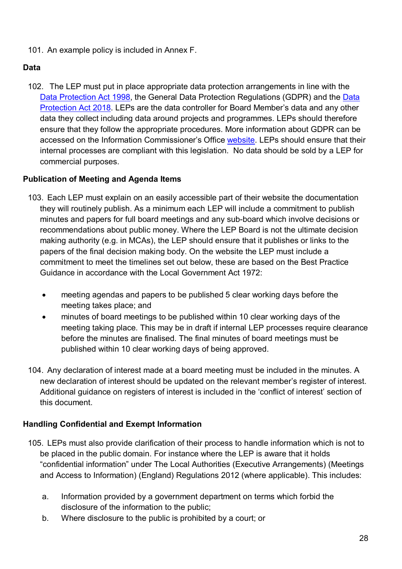101. An example policy is included in Annex F.

## **Data**

102. The LEP must put in place appropriate data protection arrangements in line with the [Data Protection Act 1998,](http://www.legislation.gov.uk/ukpga/1998/29/contents) the General Data Protection Regulations (GDPR) and the [Data](http://www.legislation.gov.uk/ukpga/2018/12/contents/enacted)  [Protection Act 2018.](http://www.legislation.gov.uk/ukpga/2018/12/contents/enacted) LEPs are the data controller for Board Member's data and any other data they collect including data around projects and programmes. LEPs should therefore ensure that they follow the appropriate procedures. More information about GDPR can be accessed on the Information Commissioner's Office [website.](https://ico.org.uk/for-organisations/guide-to-the-general-data-protection-regulation-gdpr/) LEPs should ensure that their internal processes are compliant with this legislation. No data should be sold by a LEP for commercial purposes.

### **Publication of Meeting and Agenda Items**

- 103. Each LEP must explain on an easily accessible part of their website the documentation they will routinely publish. As a minimum each LEP will include a commitment to publish minutes and papers for full board meetings and any sub-board which involve decisions or recommendations about public money. Where the LEP Board is not the ultimate decision making authority (e.g. in MCAs), the LEP should ensure that it publishes or links to the papers of the final decision making body. On the website the LEP must include a commitment to meet the timelines set out below, these are based on the Best Practice Guidance in accordance with the Local Government Act 1972:
	- meeting agendas and papers to be published 5 clear working days before the meeting takes place; and
	- minutes of board meetings to be published within 10 clear working days of the meeting taking place. This may be in draft if internal LEP processes require clearance before the minutes are finalised. The final minutes of board meetings must be published within 10 clear working days of being approved.
- 104. Any declaration of interest made at a board meeting must be included in the minutes. A new declaration of interest should be updated on the relevant member's register of interest. Additional guidance on registers of interest is included in the 'conflict of interest' section of this document.

## **Handling Confidential and Exempt Information**

- 105. LEPs must also provide clarification of their process to handle information which is not to be placed in the public domain. For instance where the LEP is aware that it holds "confidential information" under The Local Authorities (Executive Arrangements) (Meetings and Access to Information) (England) Regulations 2012 (where applicable). This includes:
	- a. Information provided by a government department on terms which forbid the disclosure of the information to the public;
	- b. Where disclosure to the public is prohibited by a court; or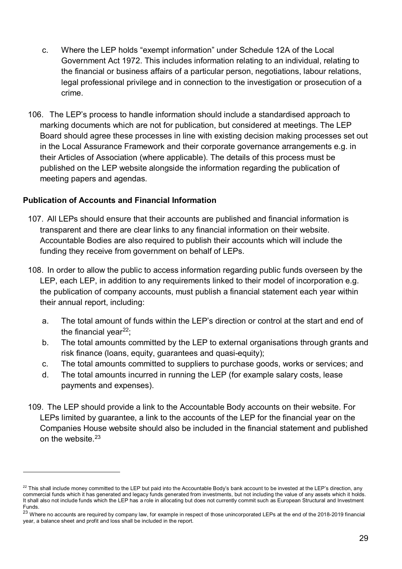- c. Where the LEP holds "exempt information" under Schedule 12A of the Local Government Act 1972. This includes information relating to an individual, relating to the financial or business affairs of a particular person, negotiations, labour relations, legal professional privilege and in connection to the investigation or prosecution of a crime.
- 106. The LEP's process to handle information should include a standardised approach to marking documents which are not for publication, but considered at meetings. The LEP Board should agree these processes in line with existing decision making processes set out in the Local Assurance Framework and their corporate governance arrangements e.g. in their Articles of Association (where applicable). The details of this process must be published on the LEP website alongside the information regarding the publication of meeting papers and agendas.

### **Publication of Accounts and Financial Information**

- 107. All LEPs should ensure that their accounts are published and financial information is transparent and there are clear links to any financial information on their website. Accountable Bodies are also required to publish their accounts which will include the funding they receive from government on behalf of LEPs.
- 108. In order to allow the public to access information regarding public funds overseen by the LEP, each LEP, in addition to any requirements linked to their model of incorporation e.g. the publication of company accounts, must publish a financial statement each year within their annual report, including:
	- a. The total amount of funds within the LEP's direction or control at the start and end of the financial year $^{22}$ :
	- b. The total amounts committed by the LEP to external organisations through grants and risk finance (loans, equity, guarantees and quasi-equity);
	- c. The total amounts committed to suppliers to purchase goods, works or services; and
	- d. The total amounts incurred in running the LEP (for example salary costs, lease payments and expenses).
- 109. The LEP should provide a link to the Accountable Body accounts on their website. For LEPs limited by guarantee, a link to the accounts of the LEP for the financial year on the Companies House website should also be included in the financial statement and published on the website  $23$

<span id="page-28-0"></span> $^{22}$  This shall include money committed to the LEP but paid into the Accountable Body's bank account to be invested at the LEP's direction, any commercial funds which it has generated and legacy funds generated from investments, but not including the value of any assets which it holds. It shall also not include funds which the LEP has a role in allocating but does not currently commit such as European Structural and Investment Funds.

<span id="page-28-1"></span><sup>&</sup>lt;sup>23</sup> Where no accounts are required by company law, for example in respect of those unincorporated LEPs at the end of the 2018-2019 financial year, a balance sheet and profit and loss shall be included in the report.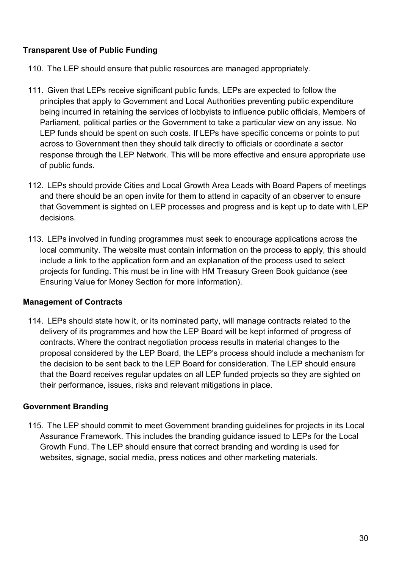## **Transparent Use of Public Funding**

- 110. The LEP should ensure that public resources are managed appropriately.
- 111. Given that LEPs receive significant public funds, LEPs are expected to follow the principles that apply to Government and Local Authorities preventing public expenditure being incurred in retaining the services of lobbyists to influence public officials, Members of Parliament, political parties or the Government to take a particular view on any issue. No LEP funds should be spent on such costs. If LEPs have specific concerns or points to put across to Government then they should talk directly to officials or coordinate a sector response through the LEP Network. This will be more effective and ensure appropriate use of public funds.
- 112. LEPs should provide Cities and Local Growth Area Leads with Board Papers of meetings and there should be an open invite for them to attend in capacity of an observer to ensure that Government is sighted on LEP processes and progress and is kept up to date with LEP decisions.
- 113. LEPs involved in funding programmes must seek to encourage applications across the local community. The website must contain information on the process to apply, this should include a link to the application form and an explanation of the process used to select projects for funding. This must be in line with HM Treasury Green Book guidance (see Ensuring Value for Money Section for more information).

#### **Management of Contracts**

114. LEPs should state how it, or its nominated party, will manage contracts related to the delivery of its programmes and how the LEP Board will be kept informed of progress of contracts. Where the contract negotiation process results in material changes to the proposal considered by the LEP Board, the LEP's process should include a mechanism for the decision to be sent back to the LEP Board for consideration. The LEP should ensure that the Board receives regular updates on all LEP funded projects so they are sighted on their performance, issues, risks and relevant mitigations in place.

#### **Government Branding**

115. The LEP should commit to meet Government branding guidelines for projects in its Local Assurance Framework. This includes the branding guidance issued to LEPs for the Local Growth Fund. The LEP should ensure that correct branding and wording is used for websites, signage, social media, press notices and other marketing materials.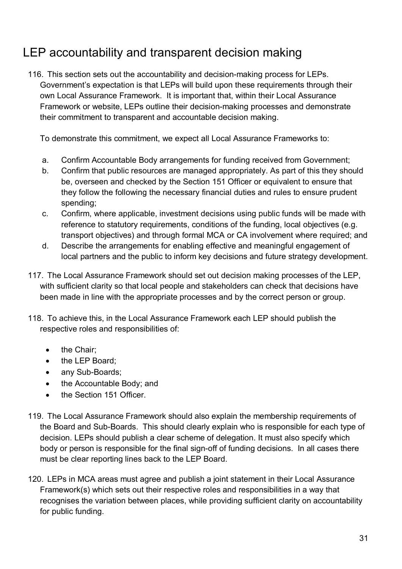# <span id="page-30-0"></span>LEP accountability and transparent decision making

116. This section sets out the accountability and decision-making process for LEPs. Government's expectation is that LEPs will build upon these requirements through their own Local Assurance Framework. It is important that, within their Local Assurance Framework or website, LEPs outline their decision-making processes and demonstrate their commitment to transparent and accountable decision making.

To demonstrate this commitment, we expect all Local Assurance Frameworks to:

- a. Confirm Accountable Body arrangements for funding received from Government;
- b. Confirm that public resources are managed appropriately. As part of this they should be, overseen and checked by the Section 151 Officer or equivalent to ensure that they follow the following the necessary financial duties and rules to ensure prudent spending;
- c. Confirm, where applicable, investment decisions using public funds will be made with reference to statutory requirements, conditions of the funding, local objectives (e.g. transport objectives) and through formal MCA or CA involvement where required; and
- d. Describe the arrangements for enabling effective and meaningful engagement of local partners and the public to inform key decisions and future strategy development.
- 117. The Local Assurance Framework should set out decision making processes of the LEP, with sufficient clarity so that local people and stakeholders can check that decisions have been made in line with the appropriate processes and by the correct person or group.
- 118. To achieve this, in the Local Assurance Framework each LEP should publish the respective roles and responsibilities of:
	- the Chair;
	- the LEP Board;
	- any Sub-Boards;
	- the Accountable Body; and
	- the Section 151 Officer.
- 119. The Local Assurance Framework should also explain the membership requirements of the Board and Sub-Boards. This should clearly explain who is responsible for each type of decision. LEPs should publish a clear scheme of delegation. It must also specify which body or person is responsible for the final sign-off of funding decisions. In all cases there must be clear reporting lines back to the LEP Board.
- 120. LEPs in MCA areas must agree and publish a joint statement in their Local Assurance Framework(s) which sets out their respective roles and responsibilities in a way that recognises the variation between places, while providing sufficient clarity on accountability for public funding.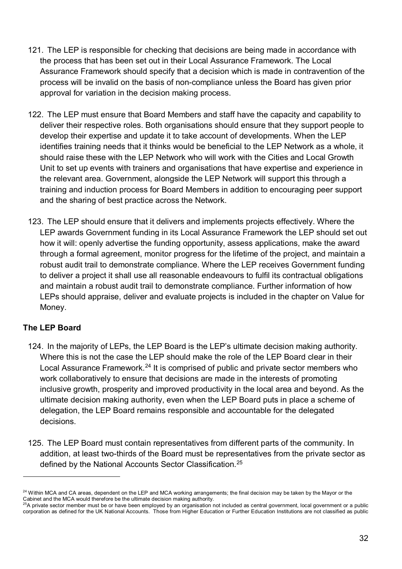- 121. The LEP is responsible for checking that decisions are being made in accordance with the process that has been set out in their Local Assurance Framework. The Local Assurance Framework should specify that a decision which is made in contravention of the process will be invalid on the basis of non-compliance unless the Board has given prior approval for variation in the decision making process.
- 122. The LEP must ensure that Board Members and staff have the capacity and capability to deliver their respective roles. Both organisations should ensure that they support people to develop their expertise and update it to take account of developments. When the LEP identifies training needs that it thinks would be beneficial to the LEP Network as a whole, it should raise these with the LEP Network who will work with the Cities and Local Growth Unit to set up events with trainers and organisations that have expertise and experience in the relevant area. Government, alongside the LEP Network will support this through a training and induction process for Board Members in addition to encouraging peer support and the sharing of best practice across the Network.
- 123. The LEP should ensure that it delivers and implements projects effectively. Where the LEP awards Government funding in its Local Assurance Framework the LEP should set out how it will: openly advertise the funding opportunity, assess applications, make the award through a formal agreement, monitor progress for the lifetime of the project, and maintain a robust audit trail to demonstrate compliance. Where the LEP receives Government funding to deliver a project it shall use all reasonable endeavours to fulfil its contractual obligations and maintain a robust audit trail to demonstrate compliance. Further information of how LEPs should appraise, deliver and evaluate projects is included in the chapter on Value for Money.

## **The LEP Board**

- 124. In the majority of LEPs, the LEP Board is the LEP's ultimate decision making authority. Where this is not the case the LEP should make the role of the LEP Board clear in their Local Assurance Framework.<sup>[24](#page-31-0)</sup> It is comprised of public and private sector members who work collaboratively to ensure that decisions are made in the interests of promoting inclusive growth, prosperity and improved productivity in the local area and beyond. As the ultimate decision making authority, even when the LEP Board puts in place a scheme of delegation, the LEP Board remains responsible and accountable for the delegated decisions.
- 125. The LEP Board must contain representatives from different parts of the community. In addition, at least two-thirds of the Board must be representatives from the private sector as defined by the National Accounts Sector Classification. [25](#page-31-1)

<span id="page-31-0"></span><sup>&</sup>lt;sup>24</sup> Within MCA and CA areas, dependent on the LEP and MCA working arrangements; the final decision may be taken by the Mayor or the Cabinet and the MCA would therefore be the ultimate decision making authority.

<span id="page-31-1"></span><sup>&</sup>lt;sup>25</sup>A private sector member must be or have been employed by an organisation not included as central government, local government or a public corporation as defined for the UK National Accounts. Those from Higher Education or Further Education Institutions are not classified as public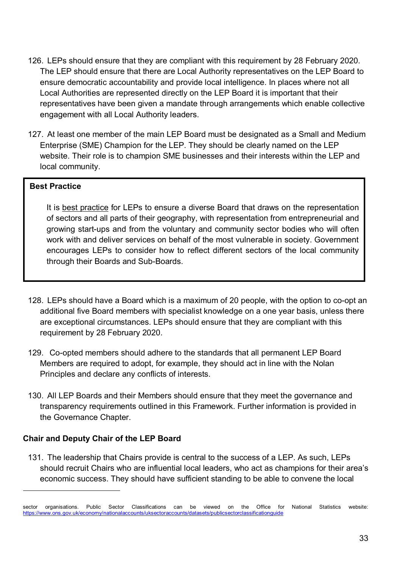- 126. LEPs should ensure that they are compliant with this requirement by 28 February 2020. The LEP should ensure that there are Local Authority representatives on the LEP Board to ensure democratic accountability and provide local intelligence. In places where not all Local Authorities are represented directly on the LEP Board it is important that their representatives have been given a mandate through arrangements which enable collective engagement with all Local Authority leaders.
- 127. At least one member of the main LEP Board must be designated as a Small and Medium Enterprise (SME) Champion for the LEP. They should be clearly named on the LEP website. Their role is to champion SME businesses and their interests within the LEP and local community.

#### **Best Practice**

It is best practice for LEPs to ensure a diverse Board that draws on the representation of sectors and all parts of their geography, with representation from entrepreneurial and growing start-ups and from the voluntary and community sector bodies who will often work with and deliver services on behalf of the most vulnerable in society. Government encourages LEPs to consider how to reflect different sectors of the local community through their Boards and Sub-Boards.

- 128. LEPs should have a Board which is a maximum of 20 people, with the option to co-opt an additional five Board members with specialist knowledge on a one year basis, unless there are exceptional circumstances. LEPs should ensure that they are compliant with this requirement by 28 February 2020.
- 129. Co-opted members should adhere to the standards that all permanent LEP Board Members are required to adopt, for example, they should act in line with the Nolan Principles and declare any conflicts of interests.
- 130. All LEP Boards and their Members should ensure that they meet the governance and transparency requirements outlined in this Framework. Further information is provided in the Governance Chapter.

#### **Chair and Deputy Chair of the LEP Board**

 $\overline{a}$ 

131. The leadership that Chairs provide is central to the success of a LEP. As such, LEPs should recruit Chairs who are influential local leaders, who act as champions for their area's economic success. They should have sufficient standing to be able to convene the local

sector organisations. Public Sector Classifications can be viewed on the Office for National Statistics website: <https://www.ons.gov.uk/economy/nationalaccounts/uksectoraccounts/datasets/publicsectorclassificationguide>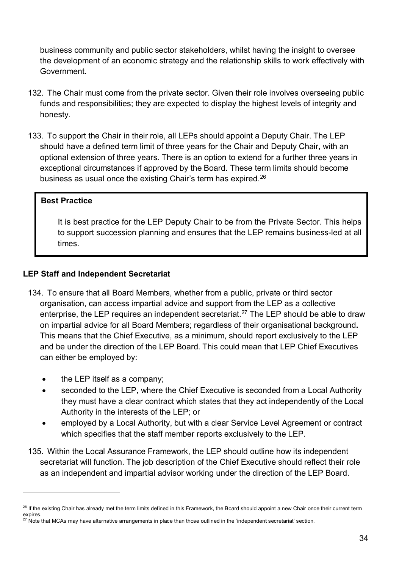business community and public sector stakeholders, whilst having the insight to oversee the development of an economic strategy and the relationship skills to work effectively with Government.

- 132. The Chair must come from the private sector. Given their role involves overseeing public funds and responsibilities; they are expected to display the highest levels of integrity and honesty.
- 133. To support the Chair in their role, all LEPs should appoint a Deputy Chair. The LEP should have a defined term limit of three years for the Chair and Deputy Chair, with an optional extension of three years. There is an option to extend for a further three years in exceptional circumstances if approved by the Board. These term limits should become business as usual once the existing Chair's term has expired. $^{26}$  $^{26}$  $^{26}$

## **Best Practice**

 $\overline{a}$ 

It is best practice for the LEP Deputy Chair to be from the Private Sector. This helps to support succession planning and ensures that the LEP remains business-led at all times.

### **LEP Staff and Independent Secretariat**

- 134. To ensure that all Board Members, whether from a public, private or third sector organisation, can access impartial advice and support from the LEP as a collective enterprise, the LEP requires an independent secretariat.<sup>[27](#page-33-1)</sup> The LEP should be able to draw on impartial advice for all Board Members; regardless of their organisational background**.**  This means that the Chief Executive, as a minimum, should report exclusively to the LEP and be under the direction of the LEP Board. This could mean that LEP Chief Executives can either be employed by:
	- the LEP itself as a company;
	- seconded to the LEP, where the Chief Executive is seconded from a Local Authority they must have a clear contract which states that they act independently of the Local Authority in the interests of the LEP; or
	- employed by a Local Authority, but with a clear Service Level Agreement or contract which specifies that the staff member reports exclusively to the LEP.
- 135. Within the Local Assurance Framework, the LEP should outline how its independent secretariat will function. The job description of the Chief Executive should reflect their role as an independent and impartial advisor working under the direction of the LEP Board.

<span id="page-33-0"></span> $26$  If the existing Chair has already met the term limits defined in this Framework, the Board should appoint a new Chair once their current term expires.

<span id="page-33-1"></span> $^{27}$  Note that MCAs may have alternative arrangements in place than those outlined in the 'independent secretariat' section.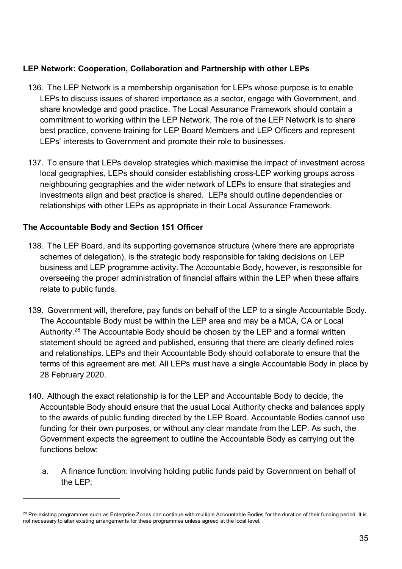### **LEP Network: Cooperation, Collaboration and Partnership with other LEPs**

- 136. The LEP Network is a membership organisation for LEPs whose purpose is to enable LEPs to discuss issues of shared importance as a sector, engage with Government, and share knowledge and good practice. The Local Assurance Framework should contain a commitment to working within the LEP Network. The role of the LEP Network is to share best practice, convene training for LEP Board Members and LEP Officers and represent LEPs' interests to Government and promote their role to businesses.
- 137. To ensure that LEPs develop strategies which maximise the impact of investment across local geographies, LEPs should consider establishing cross-LEP working groups across neighbouring geographies and the wider network of LEPs to ensure that strategies and investments align and best practice is shared. LEPs should outline dependencies or relationships with other LEPs as appropriate in their Local Assurance Framework.

### **The Accountable Body and Section 151 Officer**

- 138. The LEP Board, and its supporting governance structure (where there are appropriate schemes of delegation), is the strategic body responsible for taking decisions on LEP business and LEP programme activity. The Accountable Body, however, is responsible for overseeing the proper administration of financial affairs within the LEP when these affairs relate to public funds.
- 139. Government will, therefore, pay funds on behalf of the LEP to a single Accountable Body. The Accountable Body must be within the LEP area and may be a MCA, CA or Local Authority.<sup>28</sup> The Accountable Body should be chosen by the LEP and a formal written statement should be agreed and published, ensuring that there are clearly defined roles and relationships. LEPs and their Accountable Body should collaborate to ensure that the terms of this agreement are met. All LEPs must have a single Accountable Body in place by 28 February 2020.
- 140. Although the exact relationship is for the LEP and Accountable Body to decide, the Accountable Body should ensure that the usual Local Authority checks and balances apply to the awards of public funding directed by the LEP Board. Accountable Bodies cannot use funding for their own purposes, or without any clear mandate from the LEP. As such, the Government expects the agreement to outline the Accountable Body as carrying out the functions below:
	- a. A finance function: involving holding public funds paid by Government on behalf of the LEP;

<span id="page-34-0"></span><sup>&</sup>lt;sup>28</sup> Pre-existing programmes such as Enterprise Zones can continue with multiple Accountable Bodies for the duration of their funding period. It is not necessary to alter existing arrangements for these programmes unless agreed at the local level.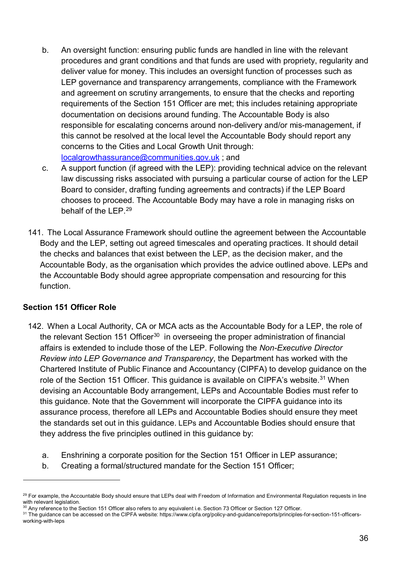- b. An oversight function: ensuring public funds are handled in line with the relevant procedures and grant conditions and that funds are used with propriety, regularity and deliver value for money. This includes an oversight function of processes such as LEP governance and transparency arrangements, compliance with the Framework and agreement on scrutiny arrangements, to ensure that the checks and reporting requirements of the Section 151 Officer are met; this includes retaining appropriate documentation on decisions around funding. The Accountable Body is also responsible for escalating concerns around non-delivery and/or mis-management, if this cannot be resolved at the local level the Accountable Body should report any concerns to the Cities and Local Growth Unit through: [localgrowthassurance@communities.gov.uk](mailto:localgrowthassurance@communities.gov.uk) ; and
- c. A support function (if agreed with the LEP): providing technical advice on the relevant law discussing risks associated with pursuing a particular course of action for the LEP Board to consider, drafting funding agreements and contracts) if the LEP Board chooses to proceed. The Accountable Body may have a role in managing risks on behalf of the  $I$  FP  $^{29}$  $^{29}$  $^{29}$
- 141. The Local Assurance Framework should outline the agreement between the Accountable Body and the LEP, setting out agreed timescales and operating practices. It should detail the checks and balances that exist between the LEP, as the decision maker, and the Accountable Body, as the organisation which provides the advice outlined above. LEPs and the Accountable Body should agree appropriate compensation and resourcing for this function.

## **Section 151 Officer Role**

- 142. When a Local Authority, CA or MCA acts as the Accountable Body for a LEP, the role of the relevant Section 151 Officer<sup>[30](#page-35-1)</sup> in overseeing the proper administration of financial affairs is extended to include those of the LEP. Following the *Non-Executive Director Review into LEP Governance and Transparency*, the Department has worked with the Chartered Institute of Public Finance and Accountancy (CIPFA) to develop guidance on the role of the Section 151 Officer. This guidance is available on CIPFA's website.<sup>[31](#page-35-2)</sup> When devising an Accountable Body arrangement, LEPs and Accountable Bodies must refer to this guidance. Note that the Government will incorporate the CIPFA guidance into its assurance process, therefore all LEPs and Accountable Bodies should ensure they meet the standards set out in this guidance. LEPs and Accountable Bodies should ensure that they address the five principles outlined in this guidance by:
	- a. Enshrining a corporate position for the Section 151 Officer in LEP assurance;
	- b. Creating a formal/structured mandate for the Section 151 Officer;

<span id="page-35-0"></span> $29$  For example, the Accountable Body should ensure that LEPs deal with Freedom of Information and Environmental Regulation requests in line with relevant legislation.

<span id="page-35-1"></span><sup>30</sup> Any reference to the Section 151 Officer also refers to any equivalent i.e. Section 73 Officer or Section 127 Officer.

<span id="page-35-2"></span><sup>&</sup>lt;sup>31</sup> The guidance can be accessed on the CIPFA website: https://www.cipfa.org/policy-and-guidance/reports/principles-for-section-151-officersworking-with-leps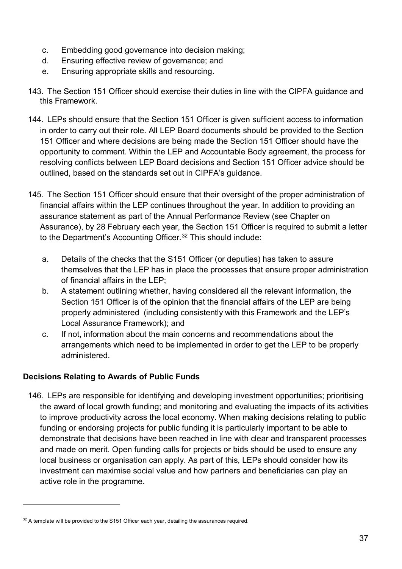- c. Embedding good governance into decision making;
- d. Ensuring effective review of governance; and
- e. Ensuring appropriate skills and resourcing.
- 143. The Section 151 Officer should exercise their duties in line with the CIPFA guidance and this Framework.
- 144. LEPs should ensure that the Section 151 Officer is given sufficient access to information in order to carry out their role. All LEP Board documents should be provided to the Section 151 Officer and where decisions are being made the Section 151 Officer should have the opportunity to comment. Within the LEP and Accountable Body agreement, the process for resolving conflicts between LEP Board decisions and Section 151 Officer advice should be outlined, based on the standards set out in CIPFA's guidance.
- 145. The Section 151 Officer should ensure that their oversight of the proper administration of financial affairs within the LEP continues throughout the year. In addition to providing an assurance statement as part of the Annual Performance Review (see Chapter on Assurance), by 28 February each year, the Section 151 Officer is required to submit a letter to the Department's Accounting Officer. [32](#page-36-0) This should include:
	- a. Details of the checks that the S151 Officer (or deputies) has taken to assure themselves that the LEP has in place the processes that ensure proper administration of financial affairs in the LEP;
	- b. A statement outlining whether, having considered all the relevant information, the Section 151 Officer is of the opinion that the financial affairs of the LEP are being properly administered (including consistently with this Framework and the LEP's Local Assurance Framework); and
	- c. If not, information about the main concerns and recommendations about the arrangements which need to be implemented in order to get the LEP to be properly administered.

### **Decisions Relating to Awards of Public Funds**

 $\overline{a}$ 

146. LEPs are responsible for identifying and developing investment opportunities; prioritising the award of local growth funding; and monitoring and evaluating the impacts of its activities to improve productivity across the local economy. When making decisions relating to public funding or endorsing projects for public funding it is particularly important to be able to demonstrate that decisions have been reached in line with clear and transparent processes and made on merit. Open funding calls for projects or bids should be used to ensure any local business or organisation can apply. As part of this, LEPs should consider how its investment can maximise social value and how partners and beneficiaries can play an active role in the programme.

<span id="page-36-0"></span> $32$  A template will be provided to the S151 Officer each year, detailing the assurances required.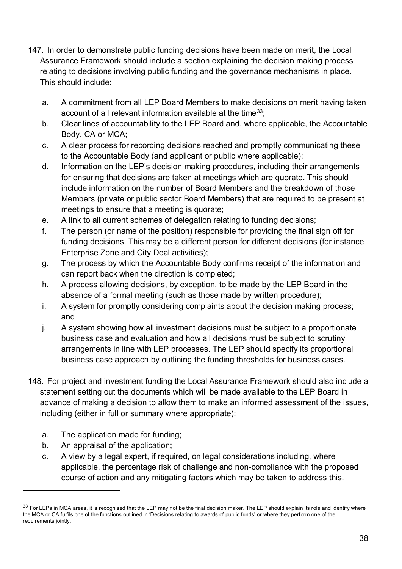- 147. In order to demonstrate public funding decisions have been made on merit, the Local Assurance Framework should include a section explaining the decision making process relating to decisions involving public funding and the governance mechanisms in place. This should include:
	- a. A commitment from all LEP Board Members to make decisions on merit having taken account of all relevant information available at the time  $33$ ;
	- b. Clear lines of accountability to the LEP Board and, where applicable, the Accountable Body. CA or MCA;
	- c. A clear process for recording decisions reached and promptly communicating these to the Accountable Body (and applicant or public where applicable);
	- d. Information on the LEP's decision making procedures, including their arrangements for ensuring that decisions are taken at meetings which are quorate. This should include information on the number of Board Members and the breakdown of those Members (private or public sector Board Members) that are required to be present at meetings to ensure that a meeting is quorate;
	- e. A link to all current schemes of delegation relating to funding decisions;
	- f. The person (or name of the position) responsible for providing the final sign off for funding decisions. This may be a different person for different decisions (for instance Enterprise Zone and City Deal activities);
	- g. The process by which the Accountable Body confirms receipt of the information and can report back when the direction is completed;
	- h. A process allowing decisions, by exception, to be made by the LEP Board in the absence of a formal meeting (such as those made by written procedure);
	- i. A system for promptly considering complaints about the decision making process; and
	- j. A system showing how all investment decisions must be subject to a proportionate business case and evaluation and how all decisions must be subject to scrutiny arrangements in line with LEP processes. The LEP should specify its proportional business case approach by outlining the funding thresholds for business cases.
- 148. For project and investment funding the Local Assurance Framework should also include a statement setting out the documents which will be made available to the LEP Board in advance of making a decision to allow them to make an informed assessment of the issues, including (either in full or summary where appropriate):
	- a. The application made for funding;
	- b. An appraisal of the application;

 $\overline{a}$ 

c. A view by a legal expert, if required, on legal considerations including, where applicable, the percentage risk of challenge and non-compliance with the proposed course of action and any mitigating factors which may be taken to address this.

<span id="page-37-0"></span><sup>33</sup> For LEPs in MCA areas, it is recognised that the LEP may not be the final decision maker. The LEP should explain its role and identify where the MCA or CA fulfils one of the functions outlined in 'Decisions relating to awards of public funds' or where they perform one of the requirements jointly.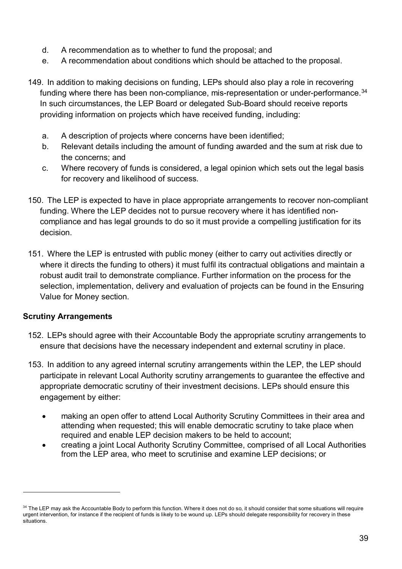- d. A recommendation as to whether to fund the proposal; and
- e. A recommendation about conditions which should be attached to the proposal.
- 149. In addition to making decisions on funding, LEPs should also play a role in recovering funding where there has been non-compliance, mis-representation or under-performance. [34](#page-38-0) In such circumstances, the LEP Board or delegated Sub-Board should receive reports providing information on projects which have received funding, including:
	- a. A description of projects where concerns have been identified;
	- b. Relevant details including the amount of funding awarded and the sum at risk due to the concerns; and
	- c. Where recovery of funds is considered, a legal opinion which sets out the legal basis for recovery and likelihood of success.
- 150. The LEP is expected to have in place appropriate arrangements to recover non-compliant funding. Where the LEP decides not to pursue recovery where it has identified noncompliance and has legal grounds to do so it must provide a compelling justification for its decision.
- 151. Where the LEP is entrusted with public money (either to carry out activities directly or where it directs the funding to others) it must fulfil its contractual obligations and maintain a robust audit trail to demonstrate compliance. Further information on the process for the selection, implementation, delivery and evaluation of projects can be found in the Ensuring Value for Money section.

### **Scrutiny Arrangements**

- 152. LEPs should agree with their Accountable Body the appropriate scrutiny arrangements to ensure that decisions have the necessary independent and external scrutiny in place.
- 153. In addition to any agreed internal scrutiny arrangements within the LEP, the LEP should participate in relevant Local Authority scrutiny arrangements to guarantee the effective and appropriate democratic scrutiny of their investment decisions. LEPs should ensure this engagement by either:
	- making an open offer to attend Local Authority Scrutiny Committees in their area and attending when requested; this will enable democratic scrutiny to take place when required and enable LEP decision makers to be held to account;
	- creating a joint Local Authority Scrutiny Committee, comprised of all Local Authorities from the LEP area, who meet to scrutinise and examine LEP decisions; or

<span id="page-38-0"></span><sup>&</sup>lt;sup>34</sup> The LEP may ask the Accountable Body to perform this function. Where it does not do so, it should consider that some situations will require urgent intervention, for instance if the recipient of funds is likely to be wound up. LEPs should delegate responsibility for recovery in these situations.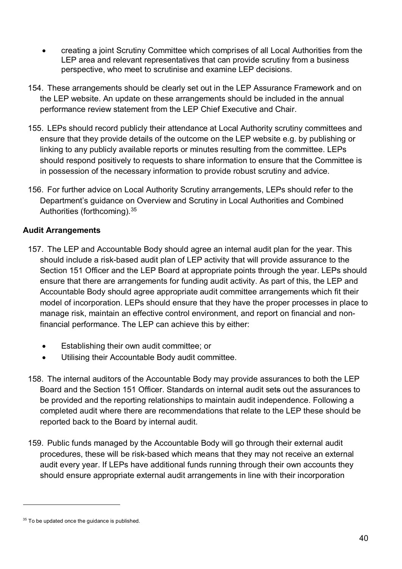- creating a joint Scrutiny Committee which comprises of all Local Authorities from the LEP area and relevant representatives that can provide scrutiny from a business perspective, who meet to scrutinise and examine LEP decisions.
- 154. These arrangements should be clearly set out in the LEP Assurance Framework and on the LEP website. An update on these arrangements should be included in the annual performance review statement from the LEP Chief Executive and Chair.
- 155. LEPs should record publicly their attendance at Local Authority scrutiny committees and ensure that they provide details of the outcome on the LEP website e.g. by publishing or linking to any publicly available reports or minutes resulting from the committee. LEPs should respond positively to requests to share information to ensure that the Committee is in possession of the necessary information to provide robust scrutiny and advice.
- 156. For further advice on Local Authority Scrutiny arrangements, LEPs should refer to the Department's guidance on Overview and Scrutiny in Local Authorities and Combined Authorities (forthcoming). [35](#page-39-0)

### **Audit Arrangements**

- 157. The LEP and Accountable Body should agree an internal audit plan for the year. This should include a risk-based audit plan of LEP activity that will provide assurance to the Section 151 Officer and the LEP Board at appropriate points through the year. LEPs should ensure that there are arrangements for funding audit activity. As part of this, the LEP and Accountable Body should agree appropriate audit committee arrangements which fit their model of incorporation. LEPs should ensure that they have the proper processes in place to manage risk, maintain an effective control environment, and report on financial and nonfinancial performance. The LEP can achieve this by either:
	- Establishing their own audit committee; or
	- Utilising their Accountable Body audit committee.
- 158. The internal auditors of the Accountable Body may provide assurances to both the LEP Board and the Section 151 Officer. Standards on internal audit sets out the assurances to be provided and the reporting relationships to maintain audit independence. Following a completed audit where there are recommendations that relate to the LEP these should be reported back to the Board by internal audit.
- 159. Public funds managed by the Accountable Body will go through their external audit procedures, these will be risk-based which means that they may not receive an external audit every year. If LEPs have additional funds running through their own accounts they should ensure appropriate external audit arrangements in line with their incorporation

<span id="page-39-0"></span> $35$  To be updated once the guidance is published.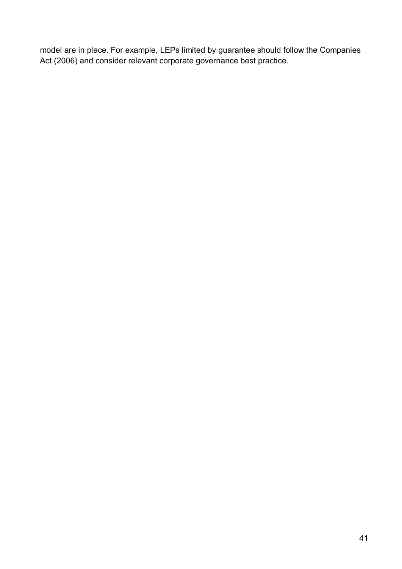model are in place. For example, LEPs limited by guarantee should follow the Companies Act (2006) and consider relevant corporate governance best practice.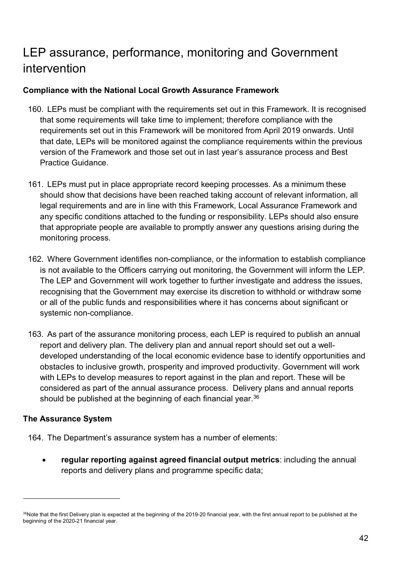## LEP assurance, performance, monitoring and Government intervention

### **Compliance with the National Local Growth Assurance Framework**

- 160. LEPs must be compliant with the requirements set out in this Framework. It is recognised that some requirements will take time to implement; therefore compliance with the requirements set out in this Framework will be monitored from April 2019 onwards. Until that date, LEPs will be monitored against the compliance requirements within the previous version of the Framework and those set out in last year's assurance process and Best Practice Guidance.
- 161. LEPs must put in place appropriate record keeping processes. As a minimum these should show that decisions have been reached taking account of relevant information, all legal requirements and are in line with this Framework, Local Assurance Framework and any specific conditions attached to the funding or responsibility. LEPs should also ensure that appropriate people are available to promptly answer any questions arising during the monitoring process.
- 162. Where Government identifies non-compliance, or the information to establish compliance is not available to the Officers carrying out monitoring, the Government will inform the LEP. The LEP and Government will work together to further investigate and address the issues, recognising that the Government may exercise its discretion to withhold or withdraw some or all of the public funds and responsibilities where it has concerns about significant or systemic non-compliance.
- 163. As part of the assurance monitoring process, each LEP is required to publish an annual report and delivery plan. The delivery plan and annual report should set out a welldeveloped understanding of the local economic evidence base to identify opportunities and obstacles to inclusive growth, prosperity and improved productivity. Government will work with LEPs to develop measures to report against in the plan and report. These will be considered as part of the annual assurance process. Delivery plans and annual reports should be published at the beginning of each financial year. $^{36}$  $^{36}$  $^{36}$

### **The Assurance System**

- 164. The Department's assurance system has a number of elements:
	- **regular reporting against agreed financial output metrics**: including the annual reports and delivery plans and programme specific data;

<span id="page-41-0"></span><sup>36</sup>Note that the first Delivery plan is expected at the beginning of the 2019-20 financial year, with the first annual report to be published at the beginning of the 2020-21 financial year.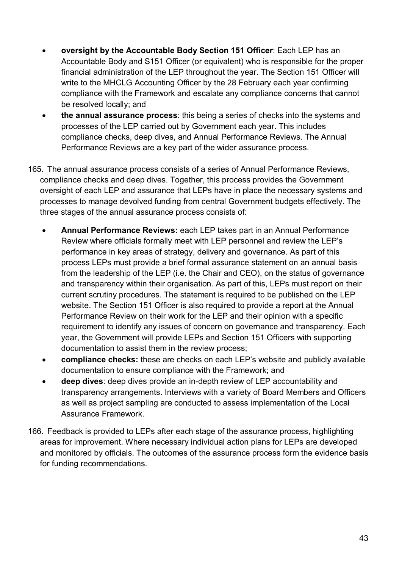- **oversight by the Accountable Body Section 151 Officer**: Each LEP has an Accountable Body and S151 Officer (or equivalent) who is responsible for the proper financial administration of the LEP throughout the year. The Section 151 Officer will write to the MHCLG Accounting Officer by the 28 February each year confirming compliance with the Framework and escalate any compliance concerns that cannot be resolved locally; and
- **the annual assurance process**: this being a series of checks into the systems and processes of the LEP carried out by Government each year. This includes compliance checks, deep dives, and Annual Performance Reviews. The Annual Performance Reviews are a key part of the wider assurance process.
- 165. The annual assurance process consists of a series of Annual Performance Reviews, compliance checks and deep dives. Together, this process provides the Government oversight of each LEP and assurance that LEPs have in place the necessary systems and processes to manage devolved funding from central Government budgets effectively. The three stages of the annual assurance process consists of:
	- **Annual Performance Reviews:** each LEP takes part in an Annual Performance Review where officials formally meet with LEP personnel and review the LEP's performance in key areas of strategy, delivery and governance. As part of this process LEPs must provide a brief formal assurance statement on an annual basis from the leadership of the LEP (i.e. the Chair and CEO), on the status of governance and transparency within their organisation. As part of this, LEPs must report on their current scrutiny procedures. The statement is required to be published on the LEP website. The Section 151 Officer is also required to provide a report at the Annual Performance Review on their work for the LEP and their opinion with a specific requirement to identify any issues of concern on governance and transparency. Each year, the Government will provide LEPs and Section 151 Officers with supporting documentation to assist them in the review process;
	- **compliance checks:** these are checks on each LEP's website and publicly available documentation to ensure compliance with the Framework; and
	- **deep dives**: deep dives provide an in-depth review of LEP accountability and transparency arrangements. Interviews with a variety of Board Members and Officers as well as project sampling are conducted to assess implementation of the Local Assurance Framework.
- 166. Feedback is provided to LEPs after each stage of the assurance process, highlighting areas for improvement. Where necessary individual action plans for LEPs are developed and monitored by officials. The outcomes of the assurance process form the evidence basis for funding recommendations.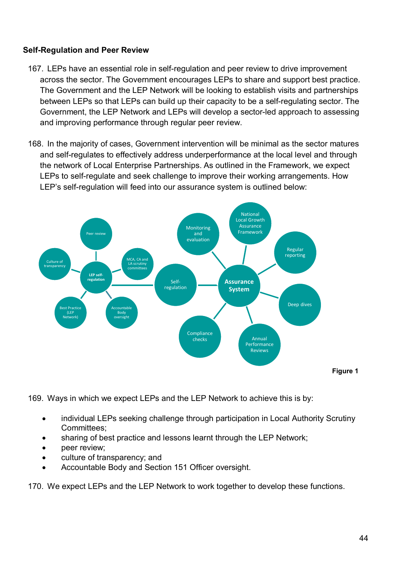### **Self-Regulation and Peer Review**

- 167. LEPs have an essential role in self-regulation and peer review to drive improvement across the sector. The Government encourages LEPs to share and support best practice. The Government and the LEP Network will be looking to establish visits and partnerships between LEPs so that LEPs can build up their capacity to be a self-regulating sector. The Government, the LEP Network and LEPs will develop a sector-led approach to assessing and improving performance through regular peer review.
- 168. In the majority of cases, Government intervention will be minimal as the sector matures and self-regulates to effectively address underperformance at the local level and through the network of Local Enterprise Partnerships. As outlined in the Framework, we expect LEPs to self-regulate and seek challenge to improve their working arrangements. How LEP's self-regulation will feed into our assurance system is outlined below:



169. Ways in which we expect LEPs and the LEP Network to achieve this is by:

- individual LEPs seeking challenge through participation in Local Authority Scrutiny Committees;
- sharing of best practice and lessons learnt through the LEP Network;
- **peer review:**
- culture of transparency; and
- Accountable Body and Section 151 Officer oversight.

170. We expect LEPs and the LEP Network to work together to develop these functions.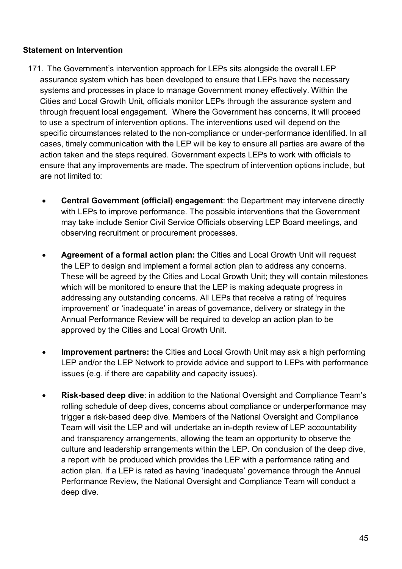### **Statement on Intervention**

- 171. The Government's intervention approach for LEPs sits alongside the overall LEP assurance system which has been developed to ensure that LEPs have the necessary systems and processes in place to manage Government money effectively. Within the Cities and Local Growth Unit, officials monitor LEPs through the assurance system and through frequent local engagement. Where the Government has concerns, it will proceed to use a spectrum of intervention options. The interventions used will depend on the specific circumstances related to the non-compliance or under-performance identified. In all cases, timely communication with the LEP will be key to ensure all parties are aware of the action taken and the steps required. Government expects LEPs to work with officials to ensure that any improvements are made. The spectrum of intervention options include, but are not limited to:
	- **Central Government (official) engagement**: the Department may intervene directly with LEPs to improve performance. The possible interventions that the Government may take include Senior Civil Service Officials observing LEP Board meetings, and observing recruitment or procurement processes.
	- **Agreement of a formal action plan:** the Cities and Local Growth Unit will request the LEP to design and implement a formal action plan to address any concerns. These will be agreed by the Cities and Local Growth Unit; they will contain milestones which will be monitored to ensure that the LEP is making adequate progress in addressing any outstanding concerns. All LEPs that receive a rating of 'requires improvement' or 'inadequate' in areas of governance, delivery or strategy in the Annual Performance Review will be required to develop an action plan to be approved by the Cities and Local Growth Unit.
	- **Improvement partners:** the Cities and Local Growth Unit may ask a high performing LEP and/or the LEP Network to provide advice and support to LEPs with performance issues (e.g. if there are capability and capacity issues).
	- **Risk-based deep dive**: in addition to the National Oversight and Compliance Team's rolling schedule of deep dives, concerns about compliance or underperformance may trigger a risk-based deep dive. Members of the National Oversight and Compliance Team will visit the LEP and will undertake an in-depth review of LEP accountability and transparency arrangements, allowing the team an opportunity to observe the culture and leadership arrangements within the LEP. On conclusion of the deep dive, a report with be produced which provides the LEP with a performance rating and action plan. If a LEP is rated as having 'inadequate' governance through the Annual Performance Review, the National Oversight and Compliance Team will conduct a deep dive.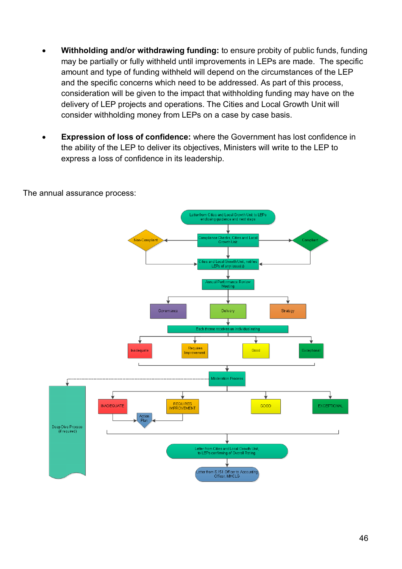- **Withholding and/or withdrawing funding:** to ensure probity of public funds, funding may be partially or fully withheld until improvements in LEPs are made. The specific amount and type of funding withheld will depend on the circumstances of the LEP and the specific concerns which need to be addressed. As part of this process, consideration will be given to the impact that withholding funding may have on the delivery of LEP projects and operations. The Cities and Local Growth Unit will consider withholding money from LEPs on a case by case basis.
- **Expression of loss of confidence:** where the Government has lost confidence in the ability of the LEP to deliver its objectives, Ministers will write to the LEP to express a loss of confidence in its leadership.



The annual assurance process: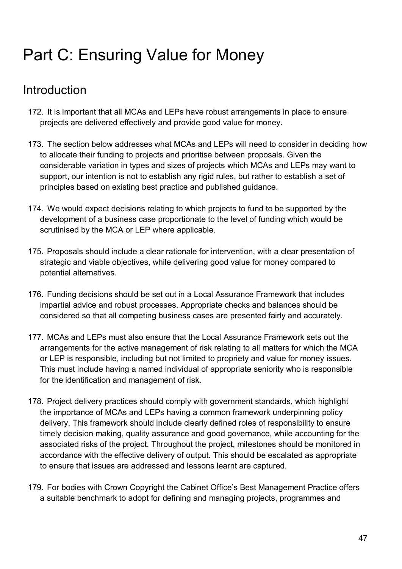# Part C: Ensuring Value for Money

## Introduction

- 172. It is important that all MCAs and LEPs have robust arrangements in place to ensure projects are delivered effectively and provide good value for money.
- 173. The section below addresses what MCAs and LEPs will need to consider in deciding how to allocate their funding to projects and prioritise between proposals. Given the considerable variation in types and sizes of projects which MCAs and LEPs may want to support, our intention is not to establish any rigid rules, but rather to establish a set of principles based on existing best practice and published guidance.
- 174. We would expect decisions relating to which projects to fund to be supported by the development of a business case proportionate to the level of funding which would be scrutinised by the MCA or LEP where applicable.
- 175. Proposals should include a clear rationale for intervention, with a clear presentation of strategic and viable objectives, while delivering good value for money compared to potential alternatives.
- 176. Funding decisions should be set out in a Local Assurance Framework that includes impartial advice and robust processes. Appropriate checks and balances should be considered so that all competing business cases are presented fairly and accurately.
- 177. MCAs and LEPs must also ensure that the Local Assurance Framework sets out the arrangements for the active management of risk relating to all matters for which the MCA or LEP is responsible, including but not limited to propriety and value for money issues. This must include having a named individual of appropriate seniority who is responsible for the identification and management of risk.
- 178. Project delivery practices should comply with government standards, which highlight the importance of MCAs and LEPs having a common framework underpinning policy delivery. This framework should include clearly defined roles of responsibility to ensure timely decision making, quality assurance and good governance, while accounting for the associated risks of the project. Throughout the project, milestones should be monitored in accordance with the effective delivery of output. This should be escalated as appropriate to ensure that issues are addressed and lessons learnt are captured.
- 179. For bodies with Crown Copyright the Cabinet Office's Best Management Practice offers a suitable benchmark to adopt for defining and managing projects, programmes and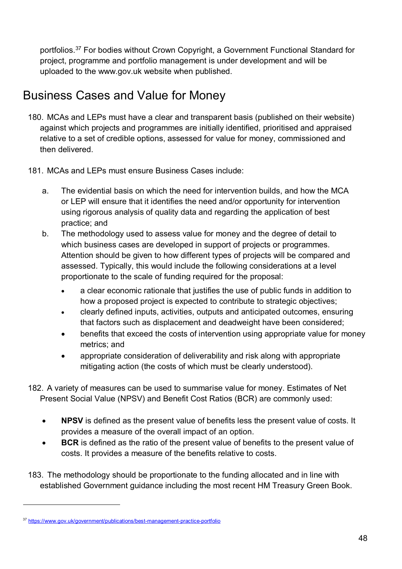portfolios.[37](#page-47-0) For bodies without Crown Copyright, a Government Functional Standard for project, programme and portfolio management is under development and will be uploaded to the www.gov.uk website when published.

## Business Cases and Value for Money

- 180. MCAs and LEPs must have a clear and transparent basis (published on their website) against which projects and programmes are initially identified, prioritised and appraised relative to a set of credible options, assessed for value for money, commissioned and then delivered.
- 181. MCAs and LEPs must ensure Business Cases include:
	- a. The evidential basis on which the need for intervention builds, and how the MCA or LEP will ensure that it identifies the need and/or opportunity for intervention using rigorous analysis of quality data and regarding the application of best practice; and
	- b. The methodology used to assess value for money and the degree of detail to which business cases are developed in support of projects or programmes. Attention should be given to how different types of projects will be compared and assessed. Typically, this would include the following considerations at a level proportionate to the scale of funding required for the proposal:
		- a clear economic rationale that justifies the use of public funds in addition to how a proposed project is expected to contribute to strategic objectives;
		- clearly defined inputs, activities, outputs and anticipated outcomes, ensuring that factors such as displacement and deadweight have been considered;
		- benefits that exceed the costs of intervention using appropriate value for money metrics; and
		- appropriate consideration of deliverability and risk along with appropriate mitigating action (the costs of which must be clearly understood).
- 182. A variety of measures can be used to summarise value for money. Estimates of Net Present Social Value (NPSV) and Benefit Cost Ratios (BCR) are commonly used:
	- **NPSV** is defined as the present value of benefits less the present value of costs. It provides a measure of the overall impact of an option.
	- **BCR** is defined as the ratio of the present value of benefits to the present value of costs. It provides a measure of the benefits relative to costs.
- 183. The methodology should be proportionate to the funding allocated and in line with established Government guidance including the most recent [HM Treasury Green Book.](https://www.gov.uk/government/uploads/system/uploads/attachment_data/file/220541/green_book_complete.pdf)

<span id="page-47-0"></span><sup>37</sup> <https://www.gov.uk/government/publications/best-management-practice-portfolio>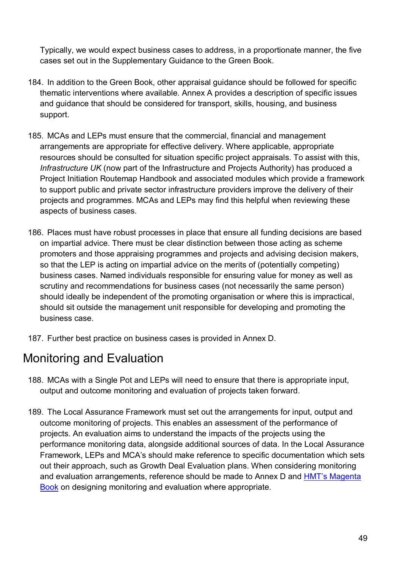Typically, we would expect business cases to address, in a proportionate manner, the five cases set out in the Supplementary Guidance to the Green Book.

- 184. In addition to the Green Book, other appraisal guidance should be followed for specific thematic interventions where available. Annex A provides a description of specific issues and guidance that should be considered for transport, skills, housing, and business support.
- 185. MCAs and LEPs must ensure that the commercial, financial and management arrangements are appropriate for effective delivery. Where applicable, appropriate resources should be consulted for situation specific project appraisals. To assist with this[,](https://www.gov.uk/government/publications/improving-infrastructure-delivery-project-initiation-routemap) *[Infrastructure UK](https://www.gov.uk/government/publications/improving-infrastructure-delivery-project-initiation-routemap)* [\(now part of the Infrastructure and Projects Authority\) has produced a](https://www.gov.uk/government/publications/improving-infrastructure-delivery-project-initiation-routemap) [Project Initiation Routemap Handbook and associated modules which provide a framework](https://www.gov.uk/government/publications/improving-infrastructure-delivery-project-initiation-routemap) [to support public and private sector infrastructure providers improve the delivery of their](https://www.gov.uk/government/publications/improving-infrastructure-delivery-project-initiation-routemap) [projects and programmes.](https://www.gov.uk/government/publications/improving-infrastructure-delivery-project-initiation-routemap) MCAs and LEPs may find this helpful when reviewing these aspects of business cases.
- 186. Places must have robust processes in place that ensure all funding decisions are based on impartial advice. There must be clear distinction between those acting as scheme promoters and those appraising programmes and projects and advising decision makers, so that the LEP is acting on impartial advice on the merits of (potentially competing) business cases. Named individuals responsible for ensuring value for money as well as scrutiny and recommendations for business cases (not necessarily the same person) should ideally be independent of the promoting organisation or where this is impractical, should sit outside the management unit responsible for developing and promoting the business case.
- 187. Further best practice on business cases is provided in Annex D.

## Monitoring and Evaluation

- 188. MCAs with a Single Pot and LEPs will need to ensure that there is appropriate input, output and outcome monitoring and evaluation of projects taken forward.
- 189. The Local Assurance Framework must set out the arrangements for input, output and outcome monitoring of projects. This enables an assessment of the performance of projects. An evaluation aims to understand the impacts of the projects using the performance monitoring data, alongside additional sources of data. In the Local Assurance Framework, LEPs and MCA's should make reference to specific documentation which sets out their approach, such as Growth Deal Evaluation plans. When considering monitoring and evaluation arrangements, reference should be made to Annex D and [HMT's Magenta](https://assets.publishing.service.gov.uk/government/uploads/system/uploads/attachment_data/file/220542/magenta_book_combined.pdf)  [Book](https://assets.publishing.service.gov.uk/government/uploads/system/uploads/attachment_data/file/220542/magenta_book_combined.pdf) on designing monitoring and evaluation where appropriate.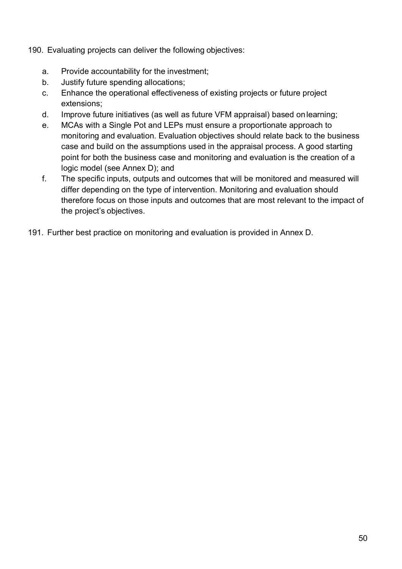- 190. Evaluating projects can deliver the following objectives:
	- a. Provide accountability for the investment;
	- b. Justify future spending allocations;
	- c. Enhance the operational effectiveness of existing projects or future project extensions;
	- d. Improve future initiatives (as well as future VFM appraisal) based onlearning;
	- e. MCAs with a Single Pot and LEPs must ensure a proportionate approach to monitoring and evaluation. Evaluation objectives should relate back to the business case and build on the assumptions used in the appraisal process. A good starting point for both the business case and monitoring and evaluation is the creation of a logic model (see Annex D); and
	- f. The specific inputs, outputs and outcomes that will be monitored and measured will differ depending on the type of intervention. Monitoring and evaluation should therefore focus on those inputs and outcomes that are most relevant to the impact of the project's objectives.
- 191. Further best practice on monitoring and evaluation is provided in Annex D.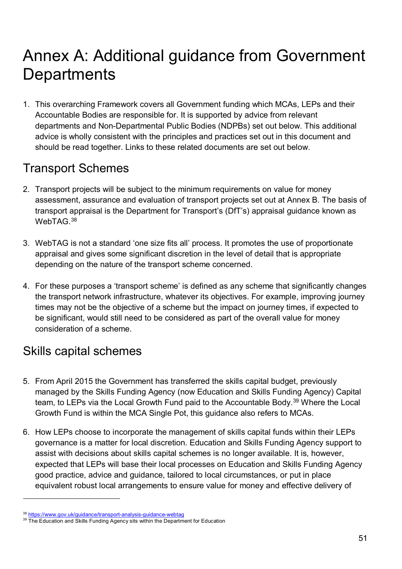# Annex A: Additional guidance from Government **Departments**

1. This overarching Framework covers all Government funding which MCAs, LEPs and their Accountable Bodies are responsible for. It is supported by advice from relevant departments and Non-Departmental Public Bodies (NDPBs) set out below. This additional advice is wholly consistent with the principles and practices set out in this document and should be read together. Links to these related documents are set out below.

## Transport Schemes

- 2. Transport projects will be subject to the minimum requirements on value for money assessment, assurance and evaluation of transport projects set out at Annex B. The basis of transport appraisal is the Department for Transport's (DfT's) appraisal guidance known as WebTAG.[38](#page-50-0)
- 3. WebTAG is not a standard 'one size fits all' process. It promotes the use of proportionate appraisal and gives some significant discretion in the level of detail that is appropriate depending on the nature of the transport scheme concerned.
- 4. For these purposes a 'transport scheme' is defined as any scheme that significantly changes the transport network infrastructure, whatever its objectives. For example, improving journey times may not be the objective of a scheme but the impact on journey times, if expected to be significant, would still need to be considered as part of the overall value for money consideration of a scheme.

## Skills capital schemes

- 5. From April 2015 the Government has transferred the skills capital budget, previously managed by the Skills Funding Agency (now Education and Skills Funding Agency) Capital team, to LEPs via the Local Growth Fund paid to the Accountable Body.<sup>[39](#page-50-1)</sup> Where the Local Growth Fund is within the MCA Single Pot, this guidance also refers to MCAs.
- 6. How LEPs choose to incorporate the management of skills capital funds within their LEPs governance is a matter for local discretion. Education and Skills Funding Agency support to assist with decisions about skills capital schemes is no longer available. It is, however, expected that LEPs will base their local processes on Education and Skills Funding Agency good practice, advice and guidance, tailored to local circumstances, or put in place equivalent robust local arrangements to ensure value for money and effective delivery of

<span id="page-50-0"></span><sup>38</sup> <https://www.gov.uk/guidance/transport-analysis-guidance-webtag>

<span id="page-50-1"></span><sup>&</sup>lt;sup>39</sup> The Education and Skills Funding Agency sits within the Department for Education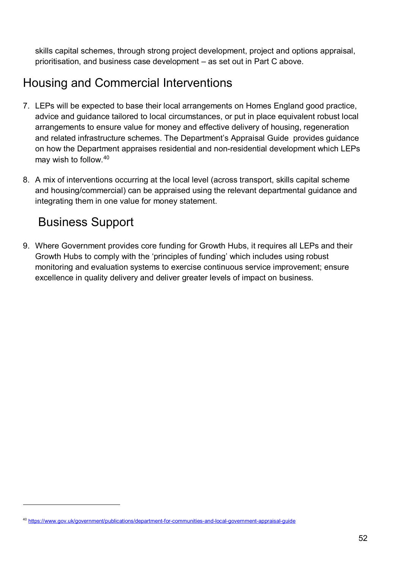skills capital schemes, through strong project development, project and options appraisal, prioritisation, and business case development – as set out in Part C above.

# Housing and Commercial Interventions

- 7. LEPs will be expected to base their local arrangements on Homes England good practice, advice and guidance tailored to local circumstances, or put in place equivalent robust local arrangements to ensure value for money and effective delivery of housing, regeneration and related infrastructure schemes. The Department's Appraisal Guide provides guidance on how the Department appraises residential and non-residential development which LEPs may wish to follow. [40](#page-51-0)
- 8. A mix of interventions occurring at the local level (across transport, skills capital scheme and housing/commercial) can be appraised using the relevant departmental guidance and integrating them in one value for money statement.

# Business Support

 $\overline{a}$ 

9. Where Government provides core funding for Growth Hubs, it requires all LEPs and their Growth Hubs to comply with the 'principles of funding' which includes using robust monitoring and evaluation systems to exercise continuous service improvement; ensure excellence in quality delivery and deliver greater levels of impact on business.

<span id="page-51-0"></span><sup>40</sup> <https://www.gov.uk/government/publications/department-for-communities-and-local-government-appraisal-guide>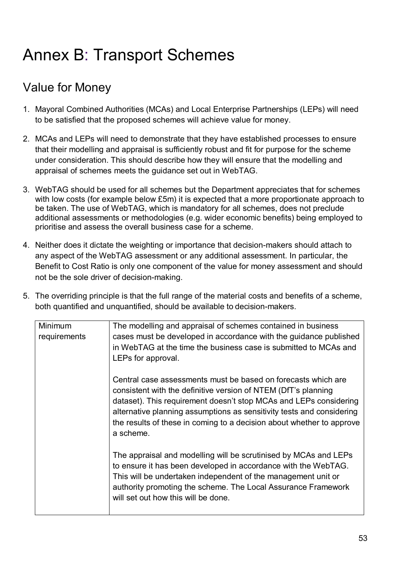# Annex B: Transport Schemes

# Value for Money

- 1. Mayoral Combined Authorities (MCAs) and Local Enterprise Partnerships (LEPs) will need to be satisfied that the proposed schemes will achieve value for money.
- 2. MCAs and LEPs will need to demonstrate that they have established processes to ensure that their modelling and appraisal is sufficiently robust and fit for purpose for the scheme under consideration. This should describe how they will ensure that the modelling and appraisal of schemes meets the guidance set out in WebTAG.
- 3. WebTAG should be used for all schemes but the Department appreciates that for schemes with low costs (for example below £5m) it is expected that a more proportionate approach to be taken. The use of WebTAG, which is mandatory for all schemes, does not preclude additional assessments or methodologies (e.g. wider economic benefits) being employed to prioritise and assess the overall business case for a scheme.
- 4. Neither does it dictate the weighting or importance that decision-makers should attach to any aspect of the WebTAG assessment or any additional assessment. In particular, the Benefit to Cost Ratio is only one component of the value for money assessment and should not be the sole driver of decision-making.
- 5. The overriding principle is that the full range of the material costs and benefits of a scheme, both quantified and unquantified, should be available to decision-makers.

| Minimum      | The modelling and appraisal of schemes contained in business                                                                                                                                                                                                                                                                                                        |
|--------------|---------------------------------------------------------------------------------------------------------------------------------------------------------------------------------------------------------------------------------------------------------------------------------------------------------------------------------------------------------------------|
| requirements | cases must be developed in accordance with the guidance published                                                                                                                                                                                                                                                                                                   |
|              | in WebTAG at the time the business case is submitted to MCAs and                                                                                                                                                                                                                                                                                                    |
|              | LEPs for approval.                                                                                                                                                                                                                                                                                                                                                  |
|              | Central case assessments must be based on forecasts which are<br>consistent with the definitive version of NTEM (DfT's planning<br>dataset). This requirement doesn't stop MCAs and LEPs considering<br>alternative planning assumptions as sensitivity tests and considering<br>the results of these in coming to a decision about whether to approve<br>a scheme. |
|              | The appraisal and modelling will be scrutinised by MCAs and LEPs<br>to ensure it has been developed in accordance with the WebTAG.<br>This will be undertaken independent of the management unit or<br>authority promoting the scheme. The Local Assurance Framework<br>will set out how this will be done.                                                         |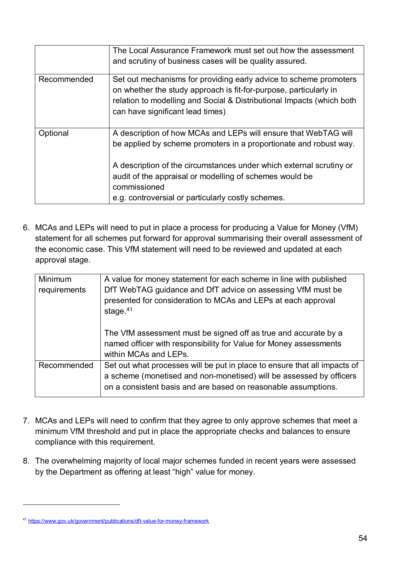|             | The Local Assurance Framework must set out how the assessment<br>and scrutiny of business cases will be quality assured.                                                                                                                                                                                                                     |
|-------------|----------------------------------------------------------------------------------------------------------------------------------------------------------------------------------------------------------------------------------------------------------------------------------------------------------------------------------------------|
| Recommended | Set out mechanisms for providing early advice to scheme promoters<br>on whether the study approach is fit-for-purpose, particularly in<br>relation to modelling and Social & Distributional Impacts (which both<br>can have significant lead times)                                                                                          |
| Optional    | A description of how MCAs and LEPs will ensure that WebTAG will<br>be applied by scheme promoters in a proportionate and robust way.<br>A description of the circumstances under which external scrutiny or<br>audit of the appraisal or modelling of schemes would be<br>commissioned<br>e.g. controversial or particularly costly schemes. |

6. MCAs and LEPs will need to put in place a process for producing a Value for Money (VfM) statement for all schemes put forward for approval summarising their overall assessment of the economic case. This VfM statement will need to be reviewed and updated at each approval stage.

| Minimum<br>requirements | A value for money statement for each scheme in line with published<br>DfT WebTAG guidance and DfT advice on assessing VfM must be<br>presented for consideration to MCAs and LEPs at each approval<br>stage. $41$  |
|-------------------------|--------------------------------------------------------------------------------------------------------------------------------------------------------------------------------------------------------------------|
|                         | The VfM assessment must be signed off as true and accurate by a<br>named officer with responsibility for Value for Money assessments<br>within MCAs and LEPs.                                                      |
| Recommended             | Set out what processes will be put in place to ensure that all impacts of<br>a scheme (monetised and non-monetised) will be assessed by officers<br>on a consistent basis and are based on reasonable assumptions. |

- 7. MCAs and LEPs will need to confirm that they agree to only approve schemes that meet a minimum VfM threshold and put in place the appropriate checks and balances to ensure compliance with this requirement.
- 8. The overwhelming majority of local major schemes funded in recent years were assessed by the Department as offering at least "high" value for money.

<span id="page-53-0"></span><sup>41</sup> <https://www.gov.uk/government/publications/dft-value-for-money-framework>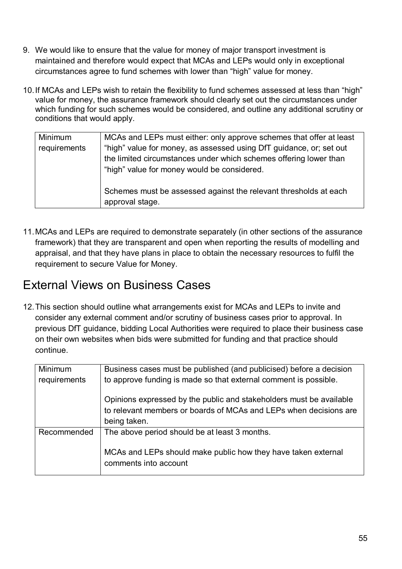- 9. We would like to ensure that the value for money of major transport investment is maintained and therefore would expect that MCAs and LEPs would only in exceptional circumstances agree to fund schemes with lower than "high" value for money.
- 10.If MCAs and LEPs wish to retain the flexibility to fund schemes assessed at less than "high" value for money, the assurance framework should clearly set out the circumstances under which funding for such schemes would be considered, and outline any additional scrutiny or conditions that would apply.

| Minimum<br>requirements | MCAs and LEPs must either: only approve schemes that offer at least<br>"high" value for money, as assessed using DfT guidance, or; set out<br>the limited circumstances under which schemes offering lower than<br>"high" value for money would be considered. |
|-------------------------|----------------------------------------------------------------------------------------------------------------------------------------------------------------------------------------------------------------------------------------------------------------|
|                         | Schemes must be assessed against the relevant thresholds at each<br>approval stage.                                                                                                                                                                            |

11.MCAs and LEPs are required to demonstrate separately (in other sections of the assurance framework) that they are transparent and open when reporting the results of modelling and appraisal, and that they have plans in place to obtain the necessary resources to fulfil the requirement to secure Value for Money.

## External Views on Business Cases

12.This section should outline what arrangements exist for MCAs and LEPs to invite and consider any external comment and/or scrutiny of business cases prior to approval. In previous DfT guidance, bidding Local Authorities were required to place their business case on their own websites when bids were submitted for funding and that practice should continue.

| Minimum      | Business cases must be published (and publicised) before a decision                    |  |  |  |  |
|--------------|----------------------------------------------------------------------------------------|--|--|--|--|
| requirements | to approve funding is made so that external comment is possible.                       |  |  |  |  |
|              | Opinions expressed by the public and stakeholders must be available                    |  |  |  |  |
|              | to relevant members or boards of MCAs and LEPs when decisions are                      |  |  |  |  |
|              | being taken.                                                                           |  |  |  |  |
| Recommended  | The above period should be at least 3 months.                                          |  |  |  |  |
|              | MCAs and LEPs should make public how they have taken external<br>comments into account |  |  |  |  |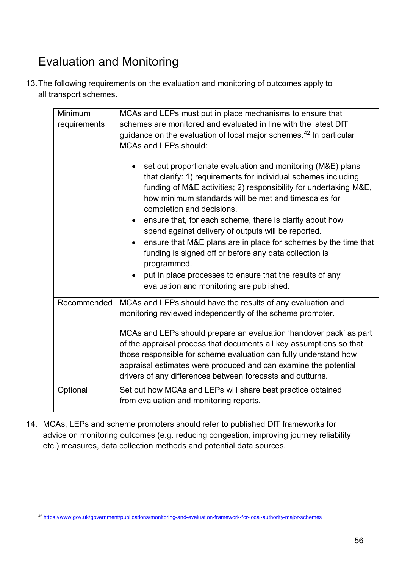# Evaluation and Monitoring

13.The following requirements on the evaluation and monitoring of outcomes apply to all transport schemes.

| Minimum<br>requirements | MCAs and LEPs must put in place mechanisms to ensure that<br>schemes are monitored and evaluated in line with the latest DfT<br>guidance on the evaluation of local major schemes. <sup>42</sup> In particular<br><b>MCAs and LEPs should:</b><br>set out proportionate evaluation and monitoring (M&E) plans<br>that clarify: 1) requirements for individual schemes including<br>funding of M&E activities; 2) responsibility for undertaking M&E,<br>how minimum standards will be met and timescales for<br>completion and decisions.<br>ensure that, for each scheme, there is clarity about how<br>$\bullet$<br>spend against delivery of outputs will be reported.<br>ensure that M&E plans are in place for schemes by the time that<br>$\bullet$<br>funding is signed off or before any data collection is<br>programmed.<br>put in place processes to ensure that the results of any<br>$\bullet$<br>evaluation and monitoring are published. |
|-------------------------|---------------------------------------------------------------------------------------------------------------------------------------------------------------------------------------------------------------------------------------------------------------------------------------------------------------------------------------------------------------------------------------------------------------------------------------------------------------------------------------------------------------------------------------------------------------------------------------------------------------------------------------------------------------------------------------------------------------------------------------------------------------------------------------------------------------------------------------------------------------------------------------------------------------------------------------------------------|
| Recommended             | MCAs and LEPs should have the results of any evaluation and<br>monitoring reviewed independently of the scheme promoter.<br>MCAs and LEPs should prepare an evaluation 'handover pack' as part<br>of the appraisal process that documents all key assumptions so that<br>those responsible for scheme evaluation can fully understand how<br>appraisal estimates were produced and can examine the potential<br>drivers of any differences between forecasts and outturns.                                                                                                                                                                                                                                                                                                                                                                                                                                                                              |
| Optional                | Set out how MCAs and LEPs will share best practice obtained<br>from evaluation and monitoring reports.                                                                                                                                                                                                                                                                                                                                                                                                                                                                                                                                                                                                                                                                                                                                                                                                                                                  |

14. MCAs, LEPs and scheme promoters should refer to published DfT frameworks for advice on monitoring outcomes (e.g. reducing congestion, improving journey reliability etc.) measures, data collection methods and potential data sources.

-

<span id="page-55-0"></span><sup>42</sup> <https://www.gov.uk/government/publications/monitoring-and-evaluation-framework-for-local-authority-major-schemes>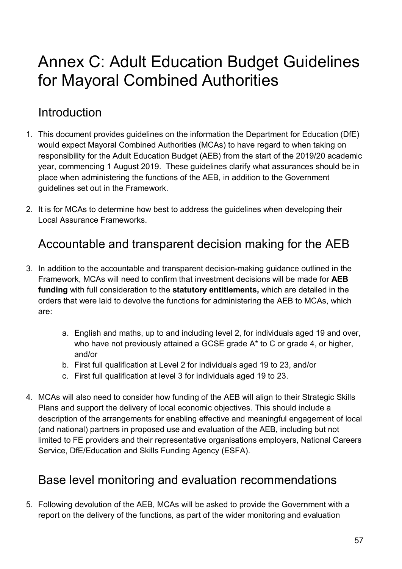# Annex C: Adult Education Budget Guidelines for Mayoral Combined Authorities

## Introduction

- 1. This document provides guidelines on the information the Department for Education (DfE) would expect Mayoral Combined Authorities (MCAs) to have regard to when taking on responsibility for the Adult Education Budget (AEB) from the start of the 2019/20 academic year, commencing 1 August 2019. These guidelines clarify what assurances should be in place when administering the functions of the AEB, in addition to the Government guidelines set out in the Framework.
- 2. It is for MCAs to determine how best to address the guidelines when developing their Local Assurance Frameworks.

### Accountable and transparent decision making for the AEB

- 3. In addition to the accountable and transparent decision-making guidance outlined in the Framework, MCAs will need to confirm that investment decisions will be made for **AEB funding** with full consideration to the **statutory entitlements,** which are detailed in the orders that were laid to devolve the functions for administering the AEB to MCAs, which are:
	- a. English and maths, up to and including level 2, for individuals aged 19 and over, who have not previously attained a GCSE grade A<sup>\*</sup> to C or grade 4, or higher, and/or
	- b. First full qualification at Level 2 for individuals aged 19 to 23, and/or
	- c. First full qualification at level 3 for individuals aged 19 to 23.
- 4. MCAs will also need to consider how funding of the AEB will align to their Strategic Skills Plans and support the delivery of local economic objectives. This should include a description of the arrangements for enabling effective and meaningful engagement of local (and national) partners in proposed use and evaluation of the AEB, including but not limited to FE providers and their representative organisations employers, National Careers Service, DfE/Education and Skills Funding Agency (ESFA).

### Base level monitoring and evaluation recommendations

5. Following devolution of the AEB, MCAs will be asked to provide the Government with a report on the delivery of the functions, as part of the wider monitoring and evaluation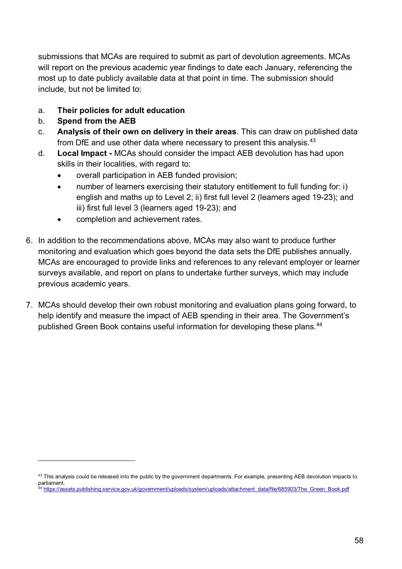submissions that MCAs are required to submit as part of devolution agreements. MCAs will report on the previous academic year findings to date each January, referencing the most up to date publicly available data at that point in time. The submission should include, but not be limited to:

- a. **Their policies for adult education**
- b. **Spend from the AEB**

-

- c. **Analysis of their own on delivery in their areas**. This can draw on published data from DfE and use other data where necessary to present this analysis.<sup>[43](#page-57-0)</sup>
- d. **Local Impact -** MCAs should consider the impact AEB devolution has had upon skills in their localities, with regard to:
	- overall participation in AEB funded provision;
	- number of learners exercising their statutory entitlement to full funding for: i) english and maths up to Level 2; ii) first full level 2 (learners aged 19-23); and iii) first full level 3 (learners aged 19-23); and
	- completion and achievement rates.
- 6. In addition to the recommendations above, MCAs may also want to produce further monitoring and evaluation which goes beyond the data sets the DfE publishes annually. MCAs are encouraged to provide links and references to any relevant employer or learner surveys available, and report on plans to undertake further surveys, which may include previous academic years.
- 7. MCAs should develop their own robust monitoring and evaluation plans going forward, to help identify and measure the impact of AEB spending in their area. The Government's published Green Book contains useful information for developing these plans. [44](#page-57-1)

<span id="page-57-0"></span><sup>43</sup> This analysis could be released into the public by the government departments. For example, presenting AEB devolution impacts to parliament.

<span id="page-57-1"></span><sup>.&</sup>lt;br>44 [https://assets.publishing.service.gov.uk/government/uploads/system/uploads/attachment\\_data/file/685903/The\\_Green\\_Book.pdf](https://assets.publishing.service.gov.uk/government/uploads/system/uploads/attachment_data/file/685903/The_Green_Book.pdf)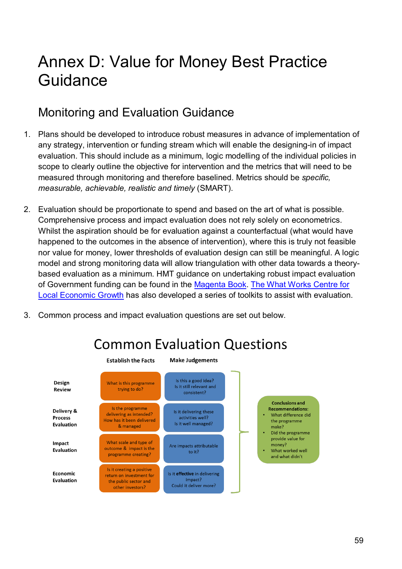# Annex D: Value for Money Best Practice **Guidance**

## Monitoring and Evaluation Guidance

- 1. Plans should be developed to introduce robust measures in advance of implementation of any strategy, intervention or funding stream which will enable the designing-in of impact evaluation. This should include as a minimum, logic modelling of the individual policies in scope to clearly outline the objective for intervention and the metrics that will need to be measured through monitoring and therefore baselined. Metrics should be *specific, measurable, achievable, realistic and timely* (SMART).
- 2. Evaluation should be proportionate to spend and based on the art of what is possible. Comprehensive process and impact evaluation does not rely solely on econometrics. Whilst the aspiration should be for evaluation against a counterfactual (what would have happened to the outcomes in the absence of intervention), where this is truly not feasible nor value for money, lower thresholds of evaluation design can still be meaningful. A logic model and strong monitoring data will allow triangulation with other data towards a theorybased evaluation as a minimum. HMT guidance on undertaking robust impact evaluation of Government funding can be found in the [Magenta Book.](https://www.gov.uk/government/publications/the-magenta-book) [The What Works Centre for](http://www.whatworksgrowth.org/resources/how-to-evaluate-eight-things-to-consider/)  [Local Economic Growth](http://www.whatworksgrowth.org/resources/how-to-evaluate-eight-things-to-consider/) has also developed a series of toolkits to assist with evaluation.
- 3. Common process and impact evaluation questions are set out below.



# **Common Evaluation Questions**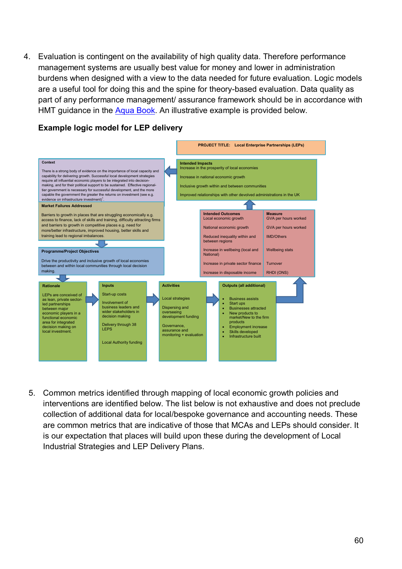4. Evaluation is contingent on the availability of high quality data. Therefore performance management systems are usually best value for money and lower in administration burdens when designed with a view to the data needed for future evaluation. Logic models are a useful tool for doing this and the spine for theory-based evaluation. Data quality as part of any performance management/ assurance framework should be in accordance with HMT guidance in the [Aqua Book.](https://www.gov.uk/government/publications/review-of-quality-assurance-of-government-models) An illustrative example is provided below.

### **Example logic model for LEP delivery**



5. Common metrics identified through mapping of local economic growth policies and interventions are identified below. The list below is not exhaustive and does not preclude collection of additional data for local/bespoke governance and accounting needs. These are common metrics that are indicative of those that MCAs and LEPs should consider. It is our expectation that places will build upon these during the development of Local Industrial Strategies and LEP Delivery Plans.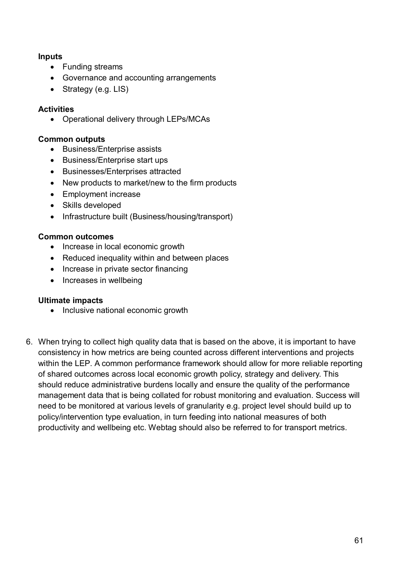#### **Inputs**

- Funding streams
- Governance and accounting arrangements
- Strategy (e.g. LIS)

#### **Activities**

• Operational delivery through LEPs/MCAs

#### **Common outputs**

- Business/Enterprise assists
- Business/Enterprise start ups
- Businesses/Enterprises attracted
- New products to market/new to the firm products
- Employment increase
- Skills developed
- Infrastructure built (Business/housing/transport)

#### **Common outcomes**

- Increase in local economic growth
- Reduced inequality within and between places
- Increase in private sector financing
- Increases in wellbeing

#### **Ultimate impacts**

- Inclusive national economic growth
- 6. When trying to collect high quality data that is based on the above, it is important to have consistency in how metrics are being counted across different interventions and projects within the LEP. A common performance framework should allow for more reliable reporting of shared outcomes across local economic growth policy, strategy and delivery. This should reduce administrative burdens locally and ensure the quality of the performance management data that is being collated for robust monitoring and evaluation. Success will need to be monitored at various levels of granularity e.g. project level should build up to policy/intervention type evaluation, in turn feeding into national measures of both productivity and wellbeing etc. Webtag should also be referred to for transport metrics.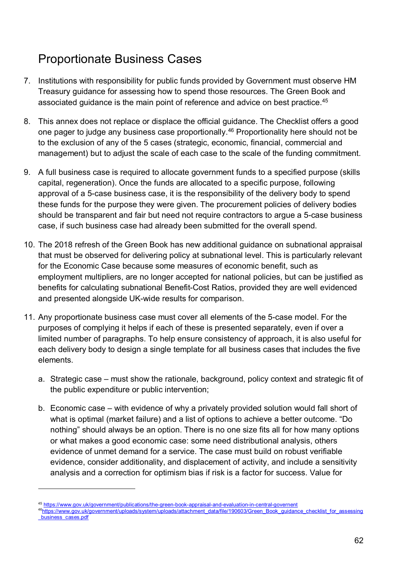# Proportionate Business Cases

- 7. Institutions with responsibility for public funds provided by Government must observe HM Treasury guidance for assessing how to spend those resources. The Green Book and associated guidance is the main point of reference and advice on best practice.<sup>45</sup>
- 8. This annex does not replace or displace the official guidance. The Checklist offers a good one pager to judge any business case proportionally. [46](#page-61-1) Proportionality here should not be to the exclusion of any of the 5 cases (strategic, economic, financial, commercial and management) but to adjust the scale of each case to the scale of the funding commitment.
- 9. A full business case is required to allocate government funds to a specified purpose (skills capital, regeneration). Once the funds are allocated to a specific purpose, following approval of a 5-case business case, it is the responsibility of the delivery body to spend these funds for the purpose they were given. The procurement policies of delivery bodies should be transparent and fair but need not require contractors to argue a 5-case business case, if such business case had already been submitted for the overall spend.
- 10. The 2018 refresh of the Green Book has new additional guidance on subnational appraisal that must be observed for delivering policy at subnational level. This is particularly relevant for the Economic Case because some measures of economic benefit, such as employment multipliers, are no longer accepted for national policies, but can be justified as benefits for calculating subnational Benefit-Cost Ratios, provided they are well evidenced and presented alongside UK-wide results for comparison.
- 11. Any proportionate business case must cover all elements of the 5-case model. For the purposes of complying it helps if each of these is presented separately, even if over a limited number of paragraphs. To help ensure consistency of approach, it is also useful for each delivery body to design a single template for all business cases that includes the five elements.
	- a. Strategic case must show the rationale, background, policy context and strategic fit of the public expenditure or public intervention;
	- b. Economic case with evidence of why a privately provided solution would fall short of what is optimal (market failure) and a list of options to achieve a better outcome. "Do nothing" should always be an option. There is no one size fits all for how many options or what makes a good economic case: some need distributional analysis, others evidence of unmet demand for a service. The case must build on robust verifiable evidence, consider additionality, and displacement of activity, and include a sensitivity analysis and a correction for optimism bias if risk is a factor for success. Value for

-

<span id="page-61-0"></span><sup>45</sup> <https://www.gov.uk/government/publications/the-green-book-appraisal-and-evaluation-in-central-governent>

<span id="page-61-1"></span><sup>4</sup>[6https://www.gov.uk/government/uploads/system/uploads/attachment\\_data/file/190603/Green\\_Book\\_guidance\\_checklist\\_for\\_assessing](https://www.gov.uk/government/uploads/system/uploads/attachment_data/file/190603/Green_Book_guidance_checklist_for_assessing_business_cases.pdf) [\\_business\\_cases.pdf](https://www.gov.uk/government/uploads/system/uploads/attachment_data/file/190603/Green_Book_guidance_checklist_for_assessing_business_cases.pdf)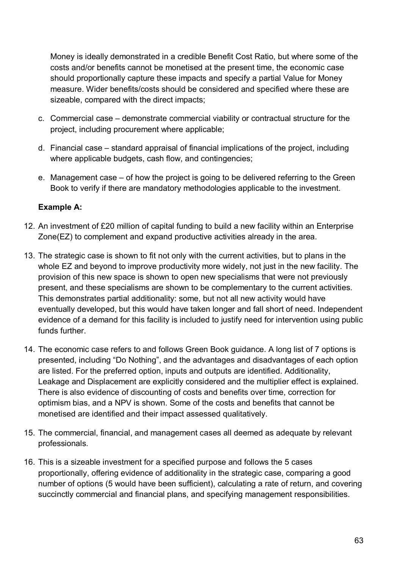Money is ideally demonstrated in a credible Benefit Cost Ratio, but where some of the costs and/or benefits cannot be monetised at the present time, the economic case should proportionally capture these impacts and specify a partial Value for Money measure. Wider benefits/costs should be considered and specified where these are sizeable, compared with the direct impacts;

- c. Commercial case demonstrate commercial viability or contractual structure for the project, including procurement where applicable;
- d. Financial case standard appraisal of financial implications of the project, including where applicable budgets, cash flow, and contingencies;
- e. Management case of how the project is going to be delivered referring to the Green Book to verify if there are mandatory methodologies applicable to the investment.

### **Example A:**

- 12. An investment of £20 million of capital funding to build a new facility within an Enterprise Zone(EZ) to complement and expand productive activities already in the area.
- 13. The strategic case is shown to fit not only with the current activities, but to plans in the whole EZ and beyond to improve productivity more widely, not just in the new facility. The provision of this new space is shown to open new specialisms that were not previously present, and these specialisms are shown to be complementary to the current activities. This demonstrates partial additionality: some, but not all new activity would have eventually developed, but this would have taken longer and fall short of need. Independent evidence of a demand for this facility is included to justify need for intervention using public funds further.
- 14. The economic case refers to and follows Green Book guidance. A long list of 7 options is presented, including "Do Nothing", and the advantages and disadvantages of each option are listed. For the preferred option, inputs and outputs are identified. Additionality, Leakage and Displacement are explicitly considered and the multiplier effect is explained. There is also evidence of discounting of costs and benefits over time, correction for optimism bias, and a NPV is shown. Some of the costs and benefits that cannot be monetised are identified and their impact assessed qualitatively.
- 15. The commercial, financial, and management cases all deemed as adequate by relevant professionals.
- 16. This is a sizeable investment for a specified purpose and follows the 5 cases proportionally, offering evidence of additionality in the strategic case, comparing a good number of options (5 would have been sufficient), calculating a rate of return, and covering succinctly commercial and financial plans, and specifying management responsibilities.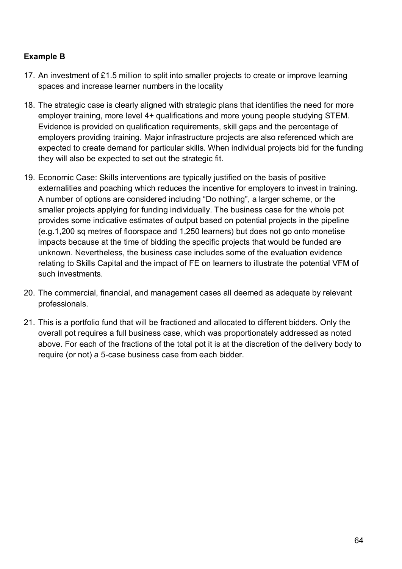### **Example B**

- 17. An investment of £1.5 million to split into smaller projects to create or improve learning spaces and increase learner numbers in the locality
- 18. The strategic case is clearly aligned with strategic plans that identifies the need for more employer training, more level 4+ qualifications and more young people studying STEM. Evidence is provided on qualification requirements, skill gaps and the percentage of employers providing training. Major infrastructure projects are also referenced which are expected to create demand for particular skills. When individual projects bid for the funding they will also be expected to set out the strategic fit.
- 19. Economic Case: Skills interventions are typically justified on the basis of positive externalities and poaching which reduces the incentive for employers to invest in training. A number of options are considered including "Do nothing", a larger scheme, or the smaller projects applying for funding individually. The business case for the whole pot provides some indicative estimates of output based on potential projects in the pipeline (e.g.1,200 sq metres of floorspace and 1,250 learners) but does not go onto monetise impacts because at the time of bidding the specific projects that would be funded are unknown. Nevertheless, the business case includes some of the evaluation evidence relating to Skills Capital and the impact of FE on learners to illustrate the potential VFM of such investments.
- 20. The commercial, financial, and management cases all deemed as adequate by relevant professionals.
- 21. This is a portfolio fund that will be fractioned and allocated to different bidders. Only the overall pot requires a full business case, which was proportionately addressed as noted above. For each of the fractions of the total pot it is at the discretion of the delivery body to require (or not) a 5-case business case from each bidder.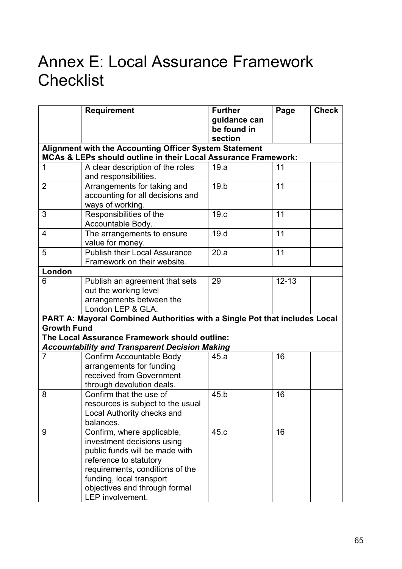# Annex E: Local Assurance Framework **Checklist**

|                    | <b>Requirement</b>                                                                                                       | <b>Further</b><br>guidance can<br>be found in<br>section | Page      | <b>Check</b> |
|--------------------|--------------------------------------------------------------------------------------------------------------------------|----------------------------------------------------------|-----------|--------------|
|                    | Alignment with the Accounting Officer System Statement<br>MCAs & LEPs should outline in their Local Assurance Framework: |                                                          |           |              |
| 1                  | A clear description of the roles                                                                                         | 19.a                                                     | 11        |              |
|                    | and responsibilities.                                                                                                    |                                                          |           |              |
| 2                  | Arrangements for taking and                                                                                              | 19.b                                                     | 11        |              |
|                    | accounting for all decisions and                                                                                         |                                                          |           |              |
|                    | ways of working.                                                                                                         |                                                          |           |              |
| 3                  | Responsibilities of the                                                                                                  | 19.c                                                     | 11        |              |
|                    | Accountable Body.                                                                                                        |                                                          |           |              |
| $\overline{4}$     | The arrangements to ensure                                                                                               | 19.d                                                     | 11        |              |
|                    | value for money.                                                                                                         |                                                          |           |              |
| 5                  | <b>Publish their Local Assurance</b>                                                                                     | 20.a                                                     | 11        |              |
|                    | Framework on their website.                                                                                              |                                                          |           |              |
| London<br>6        |                                                                                                                          | 29                                                       | $12 - 13$ |              |
|                    | Publish an agreement that sets<br>out the working level                                                                  |                                                          |           |              |
|                    | arrangements between the                                                                                                 |                                                          |           |              |
|                    | London LEP & GLA.                                                                                                        |                                                          |           |              |
|                    | PART A: Mayoral Combined Authorities with a Single Pot that includes Local                                               |                                                          |           |              |
| <b>Growth Fund</b> |                                                                                                                          |                                                          |           |              |
|                    | The Local Assurance Framework should outline:                                                                            |                                                          |           |              |
|                    | <b>Accountability and Transparent Decision Making</b>                                                                    |                                                          |           |              |
| $\overline{7}$     | <b>Confirm Accountable Body</b>                                                                                          | 45.a                                                     | 16        |              |
|                    | arrangements for funding                                                                                                 |                                                          |           |              |
|                    | received from Government                                                                                                 |                                                          |           |              |
|                    | through devolution deals.                                                                                                |                                                          |           |              |
| 8                  | Confirm that the use of                                                                                                  | 45.b                                                     | 16        |              |
|                    | resources is subject to the usual                                                                                        |                                                          |           |              |
|                    | Local Authority checks and                                                                                               |                                                          |           |              |
|                    | balances.                                                                                                                |                                                          | 16        |              |
| 9                  | Confirm, where applicable,                                                                                               | 45.c                                                     |           |              |
|                    | investment decisions using<br>public funds will be made with                                                             |                                                          |           |              |
|                    | reference to statutory                                                                                                   |                                                          |           |              |
|                    | requirements, conditions of the                                                                                          |                                                          |           |              |
|                    | funding, local transport                                                                                                 |                                                          |           |              |
|                    | objectives and through formal                                                                                            |                                                          |           |              |
|                    | LEP involvement.                                                                                                         |                                                          |           |              |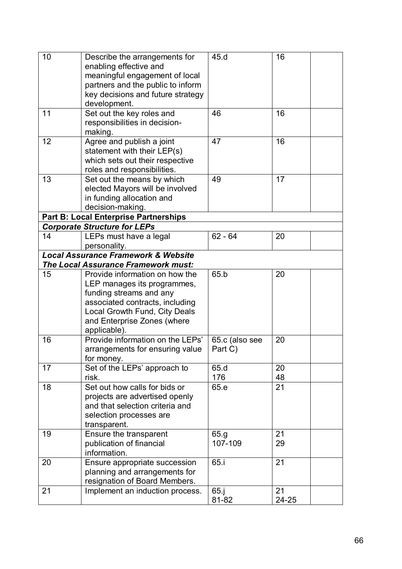| 10 | Describe the arrangements for                  | 45.d           | 16    |  |
|----|------------------------------------------------|----------------|-------|--|
|    | enabling effective and                         |                |       |  |
|    | meaningful engagement of local                 |                |       |  |
|    | partners and the public to inform              |                |       |  |
|    | key decisions and future strategy              |                |       |  |
|    | development.                                   |                |       |  |
| 11 | Set out the key roles and                      | 46             | 16    |  |
|    | responsibilities in decision-                  |                |       |  |
|    | making.                                        |                |       |  |
| 12 |                                                | 47             | 16    |  |
|    | Agree and publish a joint                      |                |       |  |
|    | statement with their LEP(s)                    |                |       |  |
|    | which sets out their respective                |                |       |  |
|    | roles and responsibilities.                    |                |       |  |
| 13 | Set out the means by which                     | 49             | 17    |  |
|    | elected Mayors will be involved                |                |       |  |
|    | in funding allocation and                      |                |       |  |
|    | decision-making.                               |                |       |  |
|    | <b>Part B: Local Enterprise Partnerships</b>   |                |       |  |
|    | <b>Corporate Structure for LEPs</b>            |                |       |  |
| 14 | LEPs must have a legal                         | $62 - 64$      | 20    |  |
|    | personality.                                   |                |       |  |
|    | <b>Local Assurance Framework &amp; Website</b> |                |       |  |
|    | <b>The Local Assurance Framework must:</b>     |                |       |  |
| 15 | Provide information on how the                 | 65.b           | 20    |  |
|    | LEP manages its programmes,                    |                |       |  |
|    | funding streams and any                        |                |       |  |
|    | associated contracts, including                |                |       |  |
|    | Local Growth Fund, City Deals                  |                |       |  |
|    |                                                |                |       |  |
|    | and Enterprise Zones (where                    |                |       |  |
|    | applicable).                                   |                |       |  |
| 16 | Provide information on the LEPs'               | 65.c (also see | 20    |  |
|    | arrangements for ensuring value                | Part C)        |       |  |
|    | for money.                                     |                |       |  |
| 17 | Set of the LEPs' approach to                   | 65.d           | 20    |  |
|    | risk.                                          | 176            | 48    |  |
| 18 | Set out how calls for bids or                  | 65.e           | 21    |  |
|    | projects are advertised openly                 |                |       |  |
|    | and that selection criteria and                |                |       |  |
|    | selection processes are                        |                |       |  |
|    | transparent.                                   |                |       |  |
| 19 | Ensure the transparent                         | 65.g           | 21    |  |
|    | publication of financial                       | 107-109        | 29    |  |
|    | information.                                   |                |       |  |
| 20 | Ensure appropriate succession                  | 65.i           | 21    |  |
|    | planning and arrangements for                  |                |       |  |
|    | resignation of Board Members.                  |                |       |  |
| 21 |                                                |                | 21    |  |
|    | Implement an induction process.                | $65.$ j        |       |  |
|    |                                                | 81-82          | 24-25 |  |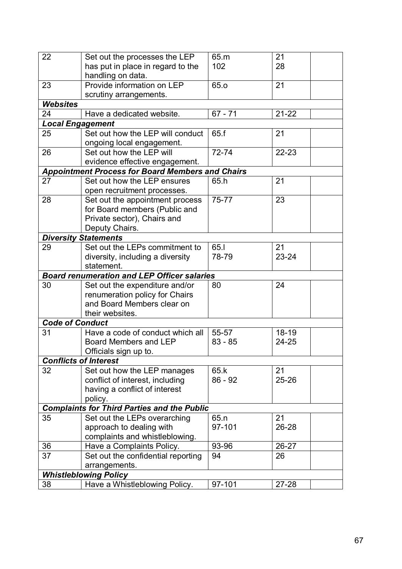| 22              | Set out the processes the LEP                           | 65.m      | 21              |  |
|-----------------|---------------------------------------------------------|-----------|-----------------|--|
|                 | has put in place in regard to the                       | 102       | 28              |  |
|                 | handling on data.                                       |           |                 |  |
| 23              | Provide information on LEP                              | 65.o      | $\overline{21}$ |  |
|                 | scrutiny arrangements.                                  |           |                 |  |
| <b>Websites</b> |                                                         |           |                 |  |
| 24              | Have a dedicated website.                               | $67 - 71$ | $21 - 22$       |  |
|                 | <b>Local Engagement</b>                                 |           |                 |  |
| 25              | Set out how the LEP will conduct                        | 65.f      | 21              |  |
|                 | ongoing local engagement.                               |           |                 |  |
| 26              | Set out how the LEP will                                | 72-74     | 22-23           |  |
|                 | evidence effective engagement.                          |           |                 |  |
|                 | <b>Appointment Process for Board Members and Chairs</b> |           |                 |  |
| 27              | Set out how the LEP ensures                             | 65.h      | 21              |  |
|                 | open recruitment processes.                             |           |                 |  |
| 28              | Set out the appointment process                         | 75-77     | 23              |  |
|                 | for Board members (Public and                           |           |                 |  |
|                 | Private sector), Chairs and                             |           |                 |  |
|                 | Deputy Chairs.                                          |           |                 |  |
|                 | <b>Diversity Statements</b>                             |           |                 |  |
| 29              | Set out the LEPs commitment to                          | 65.I      | 21              |  |
|                 | diversity, including a diversity                        | 78-79     | 23-24           |  |
|                 | statement.                                              |           |                 |  |
|                 | <b>Board renumeration and LEP Officer salaries</b>      |           |                 |  |
| 30              | Set out the expenditure and/or                          | 80        | 24              |  |
|                 | renumeration policy for Chairs                          |           |                 |  |
|                 | and Board Members clear on                              |           |                 |  |
|                 | their websites.                                         |           |                 |  |
|                 | <b>Code of Conduct</b>                                  |           |                 |  |
| 31              | Have a code of conduct which all                        | 55-57     | 18-19           |  |
|                 | <b>Board Members and LEP</b>                            | $83 - 85$ | 24-25           |  |
|                 | Officials sign up to.                                   |           |                 |  |
|                 | <b>Conflicts of Interest</b>                            |           |                 |  |
| 32              | Set out how the LEP manages                             | 65.k      | 21              |  |
|                 | conflict of interest, including                         | $86 - 92$ | 25-26           |  |
|                 | having a conflict of interest                           |           |                 |  |
|                 | policy.                                                 |           |                 |  |
|                 | <b>Complaints for Third Parties and the Public</b>      |           |                 |  |
| 35              | Set out the LEPs overarching                            | 65.n      | 21              |  |
|                 | approach to dealing with                                | 97-101    | 26-28           |  |
|                 | complaints and whistleblowing.                          |           |                 |  |
| 36              | Have a Complaints Policy.                               | 93-96     | 26-27           |  |
| 37              | Set out the confidential reporting                      | 94        | 26              |  |
|                 | arrangements.                                           |           |                 |  |
|                 | <b>Whistleblowing Policy</b>                            |           |                 |  |
| 38              | Have a Whistleblowing Policy.                           | 97-101    | 27-28           |  |
|                 |                                                         |           |                 |  |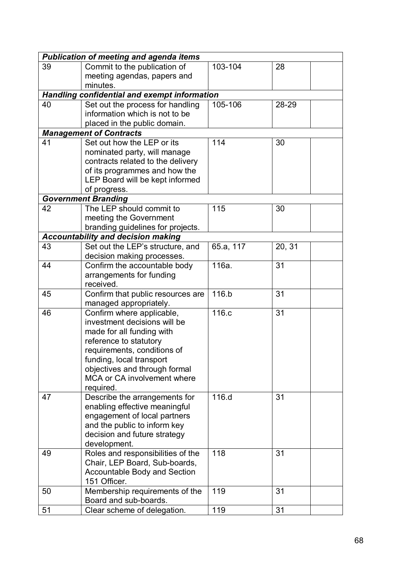| <b>Publication of meeting and agenda items</b> |                                                     |           |        |  |
|------------------------------------------------|-----------------------------------------------------|-----------|--------|--|
| 39                                             | Commit to the publication of                        | 103-104   | 28     |  |
|                                                | meeting agendas, papers and                         |           |        |  |
|                                                | minutes.                                            |           |        |  |
|                                                | <b>Handling confidential and exempt information</b> |           |        |  |
| 40                                             | Set out the process for handling                    | 105-106   | 28-29  |  |
|                                                | information which is not to be                      |           |        |  |
|                                                | placed in the public domain.                        |           |        |  |
|                                                | <b>Management of Contracts</b>                      |           |        |  |
| 41                                             | Set out how the LEP or its                          | 114       | 30     |  |
|                                                | nominated party, will manage                        |           |        |  |
|                                                | contracts related to the delivery                   |           |        |  |
|                                                | of its programmes and how the                       |           |        |  |
|                                                | LEP Board will be kept informed                     |           |        |  |
|                                                | of progress.                                        |           |        |  |
|                                                | <b>Government Branding</b>                          |           |        |  |
| 42                                             | The LEP should commit to                            | 115       | 30     |  |
|                                                | meeting the Government                              |           |        |  |
|                                                | branding guidelines for projects.                   |           |        |  |
|                                                | <b>Accountability and decision making</b>           |           |        |  |
| 43                                             | Set out the LEP's structure, and                    | 65.a, 117 | 20, 31 |  |
|                                                | decision making processes.                          |           |        |  |
| 44                                             | Confirm the accountable body                        | 116a.     | 31     |  |
|                                                | arrangements for funding                            |           |        |  |
|                                                | received.                                           |           |        |  |
| 45                                             | Confirm that public resources are                   | 116.b     | 31     |  |
|                                                | managed appropriately.                              |           |        |  |
| 46                                             | Confirm where applicable,                           | 116.c     | 31     |  |
|                                                | investment decisions will be                        |           |        |  |
|                                                | made for all funding with                           |           |        |  |
|                                                | reference to statutory                              |           |        |  |
|                                                | requirements, conditions of                         |           |        |  |
|                                                | funding, local transport                            |           |        |  |
|                                                | objectives and through formal                       |           |        |  |
|                                                | MCA or CA involvement where                         |           |        |  |
|                                                | required.                                           |           |        |  |
| 47                                             | Describe the arrangements for                       | 116.d     | 31     |  |
|                                                | enabling effective meaningful                       |           |        |  |
|                                                | engagement of local partners                        |           |        |  |
|                                                | and the public to inform key                        |           |        |  |
|                                                | decision and future strategy                        |           |        |  |
|                                                | development.                                        |           |        |  |
| 49                                             | Roles and responsibilities of the                   | 118       | 31     |  |
|                                                | Chair, LEP Board, Sub-boards,                       |           |        |  |
|                                                | Accountable Body and Section                        |           |        |  |
|                                                | 151 Officer.                                        |           |        |  |
| 50                                             | Membership requirements of the                      | 119       | 31     |  |
|                                                | Board and sub-boards.                               |           |        |  |
| 51                                             | Clear scheme of delegation.                         | 119       | 31     |  |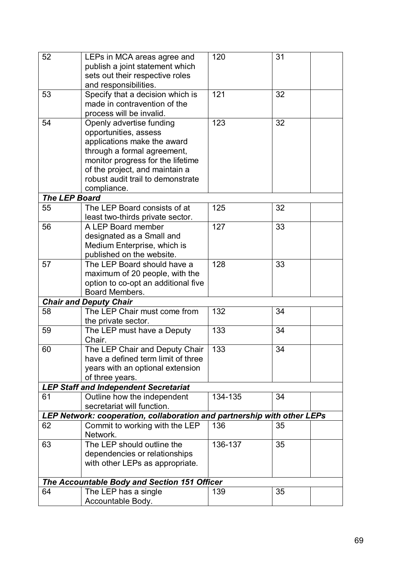| 52                   | LEPs in MCA areas agree and                                             | 120     | 31 |  |
|----------------------|-------------------------------------------------------------------------|---------|----|--|
|                      | publish a joint statement which                                         |         |    |  |
|                      | sets out their respective roles                                         |         |    |  |
|                      | and responsibilities.                                                   |         |    |  |
| 53                   | Specify that a decision which is                                        | 121     | 32 |  |
|                      | made in contravention of the                                            |         |    |  |
|                      | process will be invalid.                                                |         |    |  |
| 54                   | Openly advertise funding                                                | 123     | 32 |  |
|                      | opportunities, assess                                                   |         |    |  |
|                      | applications make the award                                             |         |    |  |
|                      | through a formal agreement,                                             |         |    |  |
|                      | monitor progress for the lifetime                                       |         |    |  |
|                      | of the project, and maintain a                                          |         |    |  |
|                      | robust audit trail to demonstrate                                       |         |    |  |
|                      | compliance.                                                             |         |    |  |
| <b>The LEP Board</b> |                                                                         |         |    |  |
| 55                   | The LEP Board consists of at                                            | 125     | 32 |  |
|                      |                                                                         |         |    |  |
|                      | least two-thirds private sector.                                        |         |    |  |
| 56                   | A LEP Board member                                                      | 127     | 33 |  |
|                      | designated as a Small and                                               |         |    |  |
|                      | Medium Enterprise, which is                                             |         |    |  |
|                      | published on the website.                                               |         |    |  |
| 57                   | The LEP Board should have a                                             | 128     | 33 |  |
|                      | maximum of 20 people, with the                                          |         |    |  |
|                      | option to co-opt an additional five                                     |         |    |  |
|                      | Board Members.                                                          |         |    |  |
|                      | <b>Chair and Deputy Chair</b>                                           |         |    |  |
| 58                   | The LEP Chair must come from                                            | 132     | 34 |  |
|                      | the private sector.                                                     |         |    |  |
| 59                   | The LEP must have a Deputy                                              | 133     | 34 |  |
|                      | Chair.                                                                  |         |    |  |
| 60                   | The LEP Chair and Deputy Chair                                          | 133     | 34 |  |
|                      | have a defined term limit of three                                      |         |    |  |
|                      | years with an optional extension                                        |         |    |  |
|                      | of three years.                                                         |         |    |  |
|                      | <b>LEP Staff and Independent Secretariat</b>                            |         |    |  |
| 61                   | Outline how the independent                                             | 134-135 | 34 |  |
|                      | secretariat will function.                                              |         |    |  |
|                      | LEP Network: cooperation, collaboration and partnership with other LEPs |         |    |  |
| 62                   | Commit to working with the LEP                                          | 136     | 35 |  |
|                      | Network.                                                                |         |    |  |
| 63                   | The LEP should outline the                                              | 136-137 | 35 |  |
|                      |                                                                         |         |    |  |
|                      | dependencies or relationships                                           |         |    |  |
|                      | with other LEPs as appropriate.                                         |         |    |  |
|                      |                                                                         |         |    |  |
|                      | The Accountable Body and Section 151 Officer                            |         |    |  |
| 64                   | The LEP has a single                                                    | 139     | 35 |  |
|                      | Accountable Body.                                                       |         |    |  |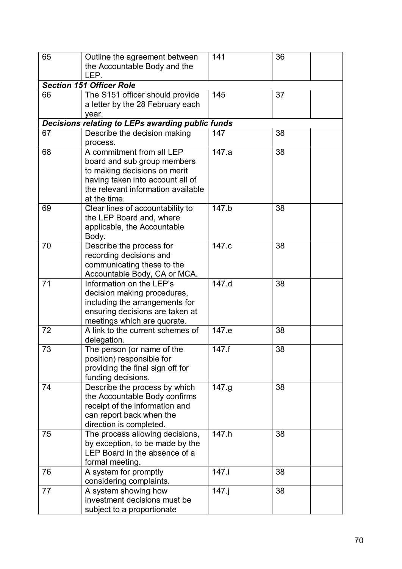| 65 | Outline the agreement between                    | 141      | 36 |  |
|----|--------------------------------------------------|----------|----|--|
|    | the Accountable Body and the                     |          |    |  |
|    | LEP.                                             |          |    |  |
|    | <b>Section 151 Officer Role</b>                  |          |    |  |
| 66 | The S151 officer should provide                  | 145      | 37 |  |
|    | a letter by the 28 February each                 |          |    |  |
|    | year.                                            |          |    |  |
|    | Decisions relating to LEPs awarding public funds |          |    |  |
| 67 | Describe the decision making                     | 147      | 38 |  |
|    | process.                                         |          |    |  |
| 68 | A commitment from all LEP                        | 147.a    | 38 |  |
|    | board and sub group members                      |          |    |  |
|    | to making decisions on merit                     |          |    |  |
|    | having taken into account all of                 |          |    |  |
|    | the relevant information available               |          |    |  |
|    | at the time.                                     |          |    |  |
| 69 | Clear lines of accountability to                 | 147.b    | 38 |  |
|    | the LEP Board and, where                         |          |    |  |
|    | applicable, the Accountable                      |          |    |  |
|    | Body.                                            |          |    |  |
| 70 | Describe the process for                         | 147.c    | 38 |  |
|    | recording decisions and                          |          |    |  |
|    | communicating these to the                       |          |    |  |
|    | Accountable Body, CA or MCA.                     |          |    |  |
| 71 | Information on the LEP's                         | 147.d    | 38 |  |
|    | decision making procedures,                      |          |    |  |
|    | including the arrangements for                   |          |    |  |
|    | ensuring decisions are taken at                  |          |    |  |
|    | meetings which are quorate.                      |          |    |  |
| 72 | A link to the current schemes of                 | 147.e    | 38 |  |
|    | delegation.                                      |          |    |  |
| 73 | The person (or name of the                       | 147.f    | 38 |  |
|    | position) responsible for                        |          |    |  |
|    | providing the final sign off for                 |          |    |  |
|    | funding decisions.                               |          |    |  |
| 74 | Describe the process by which                    | 147.9    | 38 |  |
|    | the Accountable Body confirms                    |          |    |  |
|    | receipt of the information and                   |          |    |  |
|    | can report back when the                         |          |    |  |
|    | direction is completed.                          |          |    |  |
| 75 | The process allowing decisions,                  | 147.h    | 38 |  |
|    | by exception, to be made by the                  |          |    |  |
|    | LEP Board in the absence of a                    |          |    |  |
|    | formal meeting.                                  |          |    |  |
| 76 | A system for promptly                            | 147.i    | 38 |  |
|    | considering complaints.                          |          |    |  |
| 77 | A system showing how                             | $147.$ j | 38 |  |
|    | investment decisions must be                     |          |    |  |
|    | subject to a proportionate                       |          |    |  |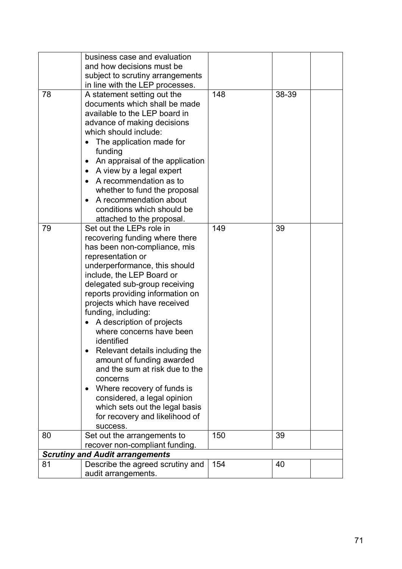|                                        | business case and evaluation                                     |     |       |  |  |
|----------------------------------------|------------------------------------------------------------------|-----|-------|--|--|
|                                        | and how decisions must be                                        |     |       |  |  |
|                                        | subject to scrutiny arrangements                                 |     |       |  |  |
|                                        | in line with the LEP processes.                                  |     |       |  |  |
| 78                                     | A statement setting out the                                      | 148 | 38-39 |  |  |
|                                        | documents which shall be made                                    |     |       |  |  |
|                                        | available to the LEP board in                                    |     |       |  |  |
|                                        | advance of making decisions                                      |     |       |  |  |
|                                        | which should include:                                            |     |       |  |  |
|                                        | The application made for                                         |     |       |  |  |
|                                        | funding                                                          |     |       |  |  |
|                                        | An appraisal of the application<br>$\bullet$                     |     |       |  |  |
|                                        | A view by a legal expert<br>$\bullet$                            |     |       |  |  |
|                                        | A recommendation as to                                           |     |       |  |  |
|                                        | whether to fund the proposal                                     |     |       |  |  |
|                                        | A recommendation about                                           |     |       |  |  |
|                                        | conditions which should be                                       |     |       |  |  |
|                                        | attached to the proposal.                                        |     |       |  |  |
| 79                                     | Set out the LEPs role in                                         | 149 | 39    |  |  |
|                                        | recovering funding where there                                   |     |       |  |  |
|                                        | has been non-compliance, mis                                     |     |       |  |  |
|                                        | representation or                                                |     |       |  |  |
|                                        | underperformance, this should                                    |     |       |  |  |
|                                        | include, the LEP Board or                                        |     |       |  |  |
|                                        | delegated sub-group receiving                                    |     |       |  |  |
|                                        | reports providing information on                                 |     |       |  |  |
|                                        | projects which have received                                     |     |       |  |  |
|                                        | funding, including:                                              |     |       |  |  |
|                                        | A description of projects                                        |     |       |  |  |
|                                        | where concerns have been                                         |     |       |  |  |
|                                        | identified                                                       |     |       |  |  |
|                                        | Relevant details including the                                   |     |       |  |  |
|                                        | amount of funding awarded<br>and the sum at risk due to the      |     |       |  |  |
|                                        |                                                                  |     |       |  |  |
|                                        | concerns                                                         |     |       |  |  |
|                                        | Where recovery of funds is                                       |     |       |  |  |
|                                        | considered, a legal opinion                                      |     |       |  |  |
|                                        | which sets out the legal basis<br>for recovery and likelihood of |     |       |  |  |
|                                        | success.                                                         |     |       |  |  |
| 80                                     | Set out the arrangements to                                      | 150 | 39    |  |  |
|                                        | recover non-compliant funding.                                   |     |       |  |  |
| <b>Scrutiny and Audit arrangements</b> |                                                                  |     |       |  |  |
| 81                                     | Describe the agreed scrutiny and                                 | 154 | 40    |  |  |
|                                        | audit arrangements.                                              |     |       |  |  |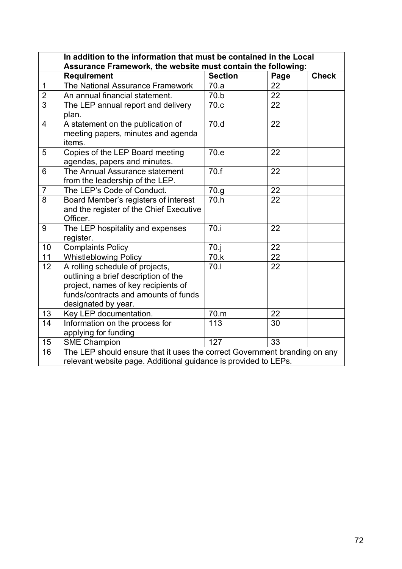|                 | In addition to the information that must be contained in the Local<br>Assurance Framework, the website must contain the following:                                            |                |      |              |  |
|-----------------|-------------------------------------------------------------------------------------------------------------------------------------------------------------------------------|----------------|------|--------------|--|
|                 | <b>Requirement</b>                                                                                                                                                            | <b>Section</b> | Page | <b>Check</b> |  |
| $\mathbf 1$     | The National Assurance Framework                                                                                                                                              | 70.a           | 22   |              |  |
| $\overline{2}$  | An annual financial statement.                                                                                                                                                | 70.b           | 22   |              |  |
| $\overline{3}$  | The LEP annual report and delivery<br>plan.                                                                                                                                   | 70.c           | 22   |              |  |
| $\overline{4}$  | A statement on the publication of<br>meeting papers, minutes and agenda<br>items.                                                                                             | 70.d           | 22   |              |  |
| 5               | Copies of the LEP Board meeting<br>agendas, papers and minutes.                                                                                                               | 70.e           | 22   |              |  |
| 6               | The Annual Assurance statement<br>from the leadership of the LEP.                                                                                                             | 70.f           | 22   |              |  |
| $\overline{7}$  | The LEP's Code of Conduct.                                                                                                                                                    | 70.g           | 22   |              |  |
| $\overline{8}$  | Board Member's registers of interest<br>and the register of the Chief Executive<br>Officer.                                                                                   | 70.h           | 22   |              |  |
| 9               | The LEP hospitality and expenses<br>register.                                                                                                                                 | 70.i           | 22   |              |  |
| 10              | <b>Complaints Policy</b>                                                                                                                                                      | 70.1           | 22   |              |  |
| 11              | <b>Whistleblowing Policy</b>                                                                                                                                                  | 70.k           | 22   |              |  |
| 12 <sup>2</sup> | A rolling schedule of projects,<br>outlining a brief description of the<br>project, names of key recipients of<br>funds/contracts and amounts of funds<br>designated by year. | 70.I           | 22   |              |  |
| 13              | Key LEP documentation.                                                                                                                                                        | 70.m           | 22   |              |  |
| 14              | Information on the process for<br>applying for funding                                                                                                                        | 113            | 30   |              |  |
| 15              | <b>SME Champion</b>                                                                                                                                                           | 127            | 33   |              |  |
| 16              | The LEP should ensure that it uses the correct Government branding on any<br>relevant website page. Additional guidance is provided to LEPs.                                  |                |      |              |  |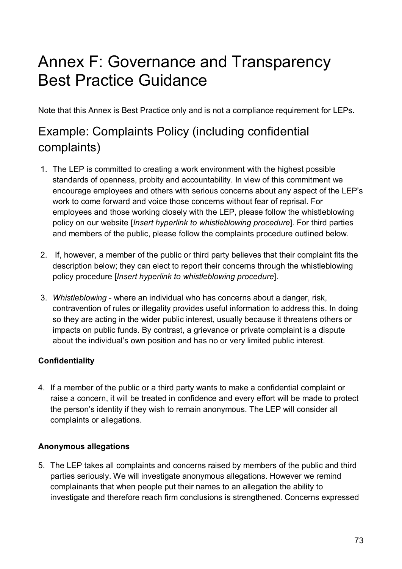# Annex F: Governance and Transparency Best Practice Guidance

Note that this Annex is Best Practice only and is not a compliance requirement for LEPs.

# Example: Complaints Policy (including confidential complaints)

- 1. The LEP is committed to creating a work environment with the highest possible standards of openness, probity and accountability. In view of this commitment we encourage employees and others with serious concerns about any aspect of the LEP's work to come forward and voice those concerns without fear of reprisal. For employees and those working closely with the LEP, please follow the whistleblowing policy on our website [*Insert hyperlink to whistleblowing procedure*]. For third parties and members of the public, please follow the complaints procedure outlined below.
- 2. If, however, a member of the public or third party believes that their complaint fits the description below; they can elect to report their concerns through the whistleblowing policy procedure [*Insert hyperlink to whistleblowing procedure*].
- 3. *Whistleblowing* where an individual who has concerns about a danger, risk, contravention of rules or illegality provides useful information to address this. In doing so they are acting in the wider public interest, usually because it threatens others or impacts on public funds. By contrast, a grievance or private complaint is a dispute about the individual's own position and has no or very limited public interest.

### **Confidentiality**

4. If a member of the public or a third party wants to make a confidential complaint or raise a concern, it will be treated in confidence and every effort will be made to protect the person's identity if they wish to remain anonymous. The LEP will consider all complaints or allegations.

#### **Anonymous allegations**

5. The LEP takes all complaints and concerns raised by members of the public and third parties seriously. We will investigate anonymous allegations. However we remind complainants that when people put their names to an allegation the ability to investigate and therefore reach firm conclusions is strengthened. Concerns expressed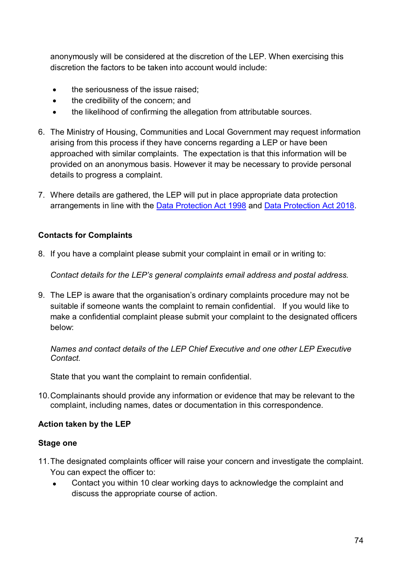anonymously will be considered at the discretion of the LEP. When exercising this discretion the factors to be taken into account would include:

- the seriousness of the issue raised:
- the credibility of the concern; and
- the likelihood of confirming the allegation from attributable sources.
- 6. The Ministry of Housing, Communities and Local Government may request information arising from this process if they have concerns regarding a LEP or have been approached with similar complaints. The expectation is that this information will be provided on an anonymous basis. However it may be necessary to provide personal details to progress a complaint.
- 7. Where details are gathered, the LEP will put in place appropriate data protection arrangements in line with the [Data Protection Act 1998](http://www.legislation.gov.uk/ukpga/1998/29/contents) and [Data Protection Act 2018.](http://www.legislation.gov.uk/ukpga/2018/12/contents/enacted)

#### **Contacts for Complaints**

8. If you have a complaint please submit your complaint in email or in writing to:

*Contact details for the LEP's general complaints email address and postal address.* 

9. The LEP is aware that the organisation's ordinary complaints procedure may not be suitable if someone wants the complaint to remain confidential. If you would like to make a confidential complaint please submit your complaint to the designated officers below:

*Names and contact details of the LEP Chief Executive and one other LEP Executive Contact.* 

State that you want the complaint to remain confidential.

10.Complainants should provide any information or evidence that may be relevant to the complaint, including names, dates or documentation in this correspondence.

#### **Action taken by the LEP**

#### **Stage one**

- 11.The designated complaints officer will raise your concern and investigate the complaint. You can expect the officer to:
	- Contact you within 10 clear working days to acknowledge the complaint and discuss the appropriate course of action.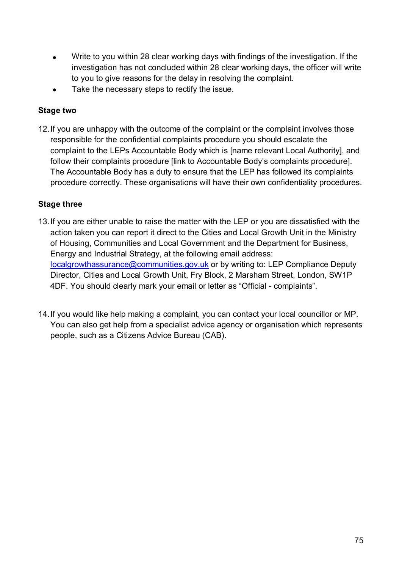- Write to you within 28 clear working days with findings of the investigation. If the investigation has not concluded within 28 clear working days, the officer will write to you to give reasons for the delay in resolving the complaint.
- Take the necessary steps to rectify the issue.

#### **Stage two**

12.If you are unhappy with the outcome of the complaint or the complaint involves those responsible for the confidential complaints procedure you should escalate the complaint to the LEPs Accountable Body which is [name relevant Local Authority], and follow their complaints procedure [link to Accountable Body's complaints procedure]. The Accountable Body has a duty to ensure that the LEP has followed its complaints procedure correctly. These organisations will have their own confidentiality procedures.

#### **Stage three**

- 13.If you are either unable to raise the matter with the LEP or you are dissatisfied with the action taken you can report it direct to the Cities and Local Growth Unit in the Ministry of Housing, Communities and Local Government and the Department for Business, Energy and Industrial Strategy, at the following email address: [localgrowthassurance@communities.gov.uk](mailto:localgrowthassurance@communities.gov.uk) or by writing to: LEP Compliance Deputy Director, Cities and Local Growth Unit, Fry Block, 2 Marsham Street, London, SW1P 4DF. You should clearly mark your email or letter as "Official - complaints".
- 14.If you would like help making a complaint, you can contact your local councillor or MP. You can also get help from a specialist advice agency or organisation which represents people, such as a Citizens Advice Bureau (CAB).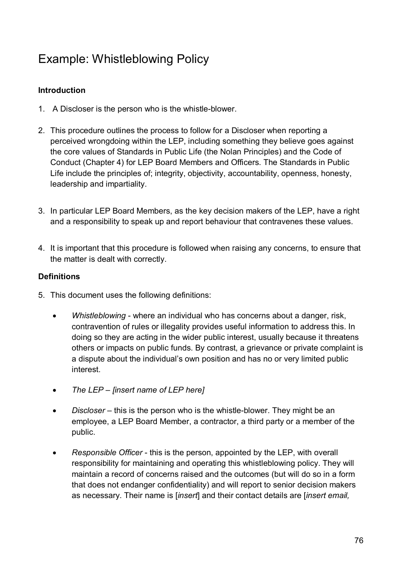# Example: Whistleblowing Policy

### **Introduction**

- 1. A Discloser is the person who is the whistle-blower.
- 2. This procedure outlines the process to follow for a Discloser when reporting a perceived wrongdoing within the LEP, including something they believe goes against the core values of Standards in Public Life (the Nolan Principles) and the Code of Conduct (Chapter 4) for LEP Board Members and Officers. The Standards in Public Life include the principles of; integrity, objectivity, accountability, openness, honesty, leadership and impartiality.
- 3. In particular LEP Board Members, as the key decision makers of the LEP, have a right and a responsibility to speak up and report behaviour that contravenes these values.
- 4. It is important that this procedure is followed when raising any concerns, to ensure that the matter is dealt with correctly.

#### **Definitions**

- 5. This document uses the following definitions:
	- *Whistleblowing* where an individual who has concerns about a danger, risk, contravention of rules or illegality provides useful information to address this. In doing so they are acting in the wider public interest, usually because it threatens others or impacts on public funds. By contrast, a grievance or private complaint is a dispute about the individual's own position and has no or very limited public interest.
	- *The LEP [insert name of LEP here]*
	- *Discloser* this is the person who is the whistle-blower. They might be an employee, a LEP Board Member, a contractor, a third party or a member of the public.
	- *Responsible Officer*  this is the person, appointed by the LEP, with overall responsibility for maintaining and operating this whistleblowing policy. They will maintain a record of concerns raised and the outcomes (but will do so in a form that does not endanger confidentiality) and will report to senior decision makers as necessary. Their name is [*insert*] and their contact details are [*insert email,*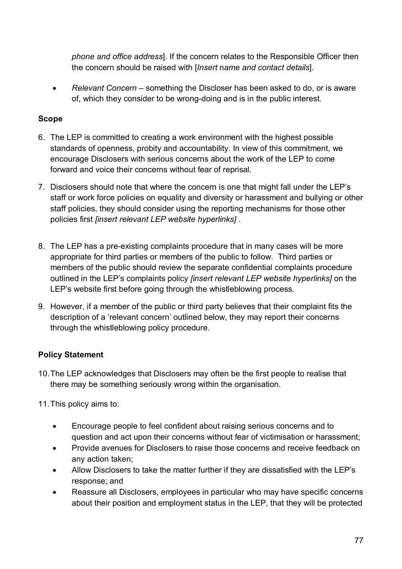*phone and office address*]. If the concern relates to the Responsible Officer then the concern should be raised with [*Insert* n*ame and contact details*].

• *Relevant Concern* – something the Discloser has been asked to do, or is aware of, which they consider to be wrong-doing and is in the public interest.

#### **Scope**

- 6. The LEP is committed to creating a work environment with the highest possible standards of openness, probity and accountability. In view of this commitment, we encourage Disclosers with serious concerns about the work of the LEP to come forward and voice their concerns without fear of reprisal.
- 7. Disclosers should note that where the concern is one that might fall under the LEP's staff or work force policies on equality and diversity or harassment and bullying or other staff policies, they should consider using the reporting mechanisms for those other policies first *[insert relevant LEP website hyperlinks]* .
- 8. The LEP has a pre-existing complaints procedure that in many cases will be more appropriate for third parties or members of the public to follow. Third parties or members of the public should review the separate confidential complaints procedure outlined in the LEP's complaints policy *[insert relevant LEP website hyperlinks]* on the LEP's website first before going through the whistleblowing process.
- 9. However, if a member of the public or third party believes that their complaint fits the description of a 'relevant concern' outlined below, they may report their concerns through the whistleblowing policy procedure.

## **Policy Statement**

- 10.The LEP acknowledges that Disclosers may often be the first people to realise that there may be something seriously wrong within the organisation.
- 11.This policy aims to:
	- Encourage people to feel confident about raising serious concerns and to question and act upon their concerns without fear of victimisation or harassment;
	- Provide avenues for Disclosers to raise those concerns and receive feedback on any action taken;
	- Allow Disclosers to take the matter further if they are dissatisfied with the LEP's response; and
	- Reassure all Disclosers, employees in particular who may have specific concerns about their position and employment status in the LEP, that they will be protected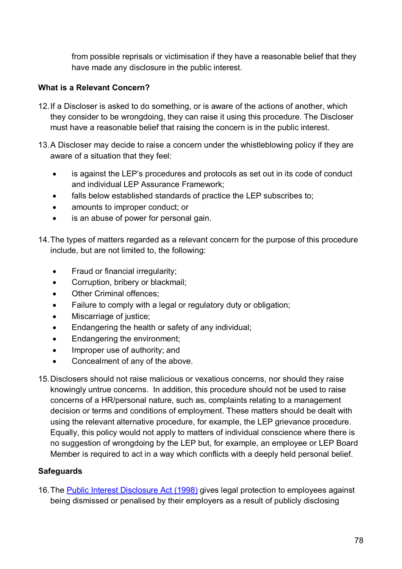from possible reprisals or victimisation if they have a reasonable belief that they have made any disclosure in the public interest.

#### **What is a Relevant Concern?**

- 12.If a Discloser is asked to do something, or is aware of the actions of another, which they consider to be wrongdoing, they can raise it using this procedure. The Discloser must have a reasonable belief that raising the concern is in the public interest.
- 13.A Discloser may decide to raise a concern under the whistleblowing policy if they are aware of a situation that they feel:
	- is against the LEP's procedures and protocols as set out in its code of conduct and individual LEP Assurance Framework;
	- falls below established standards of practice the LEP subscribes to;
	- amounts to improper conduct; or
	- is an abuse of power for personal gain.
- 14.The types of matters regarded as a relevant concern for the purpose of this procedure include, but are not limited to, the following:
	- Fraud or financial irregularity;
	- Corruption, bribery or blackmail;
	- Other Criminal offences:
	- Failure to comply with a legal or regulatory duty or obligation;
	- Miscarriage of justice;
	- Endangering the health or safety of any individual;
	- Endangering the environment;
	- Improper use of authority; and
	- Concealment of any of the above.
- 15.Disclosers should not raise malicious or vexatious concerns, nor should they raise knowingly untrue concerns. In addition, this procedure should not be used to raise concerns of a HR/personal nature, such as, complaints relating to a management decision or terms and conditions of employment. These matters should be dealt with using the relevant alternative procedure, for example, the LEP grievance procedure. Equally, this policy would not apply to matters of individual conscience where there is no suggestion of wrongdoing by the LEP but, for example, an employee or LEP Board Member is required to act in a way which conflicts with a deeply held personal belief.

#### **Safeguards**

16. The [Public Interest Disclosure Act \(1998\)](https://www.legislation.gov.uk/ukpga/1998/23/contents) gives legal protection to employees against being dismissed or penalised by their employers as a result of publicly disclosing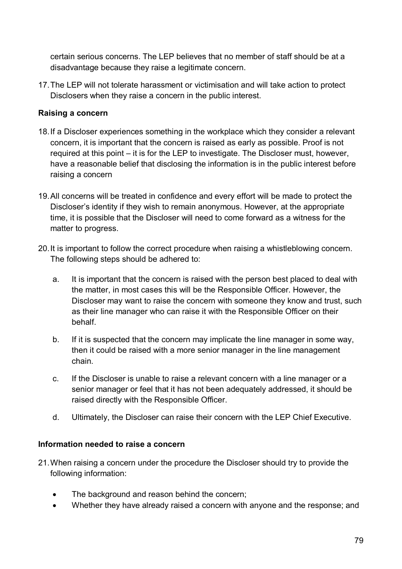certain serious concerns. The LEP believes that no member of staff should be at a disadvantage because they raise a legitimate concern.

17.The LEP will not tolerate harassment or victimisation and will take action to protect Disclosers when they raise a concern in the public interest.

#### **Raising a concern**

- 18.If a Discloser experiences something in the workplace which they consider a relevant concern, it is important that the concern is raised as early as possible. Proof is not required at this point – it is for the LEP to investigate. The Discloser must, however, have a reasonable belief that disclosing the information is in the public interest before raising a concern
- 19.All concerns will be treated in confidence and every effort will be made to protect the Discloser's identity if they wish to remain anonymous. However, at the appropriate time, it is possible that the Discloser will need to come forward as a witness for the matter to progress.
- 20.It is important to follow the correct procedure when raising a whistleblowing concern. The following steps should be adhered to:
	- a. It is important that the concern is raised with the person best placed to deal with the matter, in most cases this will be the Responsible Officer. However, the Discloser may want to raise the concern with someone they know and trust, such as their line manager who can raise it with the Responsible Officer on their behalf.
	- b. If it is suspected that the concern may implicate the line manager in some way, then it could be raised with a more senior manager in the line management chain.
	- c. If the Discloser is unable to raise a relevant concern with a line manager or a senior manager or feel that it has not been adequately addressed, it should be raised directly with the Responsible Officer.
	- d. Ultimately, the Discloser can raise their concern with the LEP Chief Executive.

#### **Information needed to raise a concern**

- 21.When raising a concern under the procedure the Discloser should try to provide the following information:
	- The background and reason behind the concern;
	- Whether they have already raised a concern with anyone and the response; and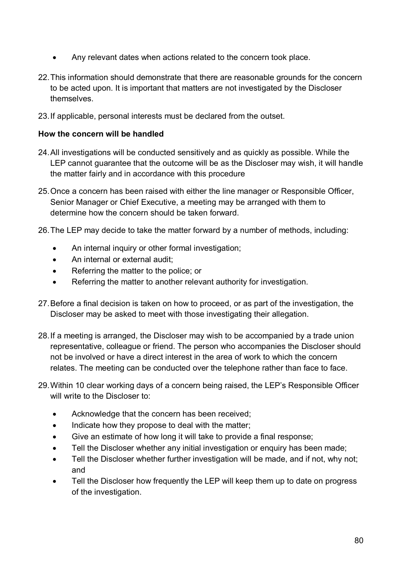- Any relevant dates when actions related to the concern took place.
- 22.This information should demonstrate that there are reasonable grounds for the concern to be acted upon. It is important that matters are not investigated by the Discloser themselves.
- 23.If applicable, personal interests must be declared from the outset.

#### **How the concern will be handled**

- 24.All investigations will be conducted sensitively and as quickly as possible. While the LEP cannot guarantee that the outcome will be as the Discloser may wish, it will handle the matter fairly and in accordance with this procedure
- 25.Once a concern has been raised with either the line manager or Responsible Officer, Senior Manager or Chief Executive, a meeting may be arranged with them to determine how the concern should be taken forward.
- 26.The LEP may decide to take the matter forward by a number of methods, including:
	- An internal inquiry or other formal investigation;
	- An internal or external audit;
	- Referring the matter to the police; or
	- Referring the matter to another relevant authority for investigation.
- 27.Before a final decision is taken on how to proceed, or as part of the investigation, the Discloser may be asked to meet with those investigating their allegation.
- 28.If a meeting is arranged, the Discloser may wish to be accompanied by a trade union representative, colleague or friend. The person who accompanies the Discloser should not be involved or have a direct interest in the area of work to which the concern relates. The meeting can be conducted over the telephone rather than face to face.
- 29.Within 10 clear working days of a concern being raised, the LEP's Responsible Officer will write to the Discloser to:
	- Acknowledge that the concern has been received;
	- Indicate how they propose to deal with the matter;
	- Give an estimate of how long it will take to provide a final response;
	- Tell the Discloser whether any initial investigation or enquiry has been made;
	- Tell the Discloser whether further investigation will be made, and if not, why not; and
	- Tell the Discloser how frequently the LEP will keep them up to date on progress of the investigation.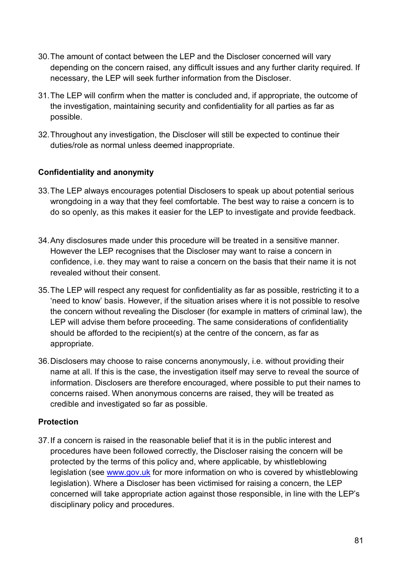- 30.The amount of contact between the LEP and the Discloser concerned will vary depending on the concern raised, any difficult issues and any further clarity required. If necessary, the LEP will seek further information from the Discloser.
- 31.The LEP will confirm when the matter is concluded and, if appropriate, the outcome of the investigation, maintaining security and confidentiality for all parties as far as possible.
- 32.Throughout any investigation, the Discloser will still be expected to continue their duties/role as normal unless deemed inappropriate.

#### **Confidentiality and anonymity**

- 33.The LEP always encourages potential Disclosers to speak up about potential serious wrongdoing in a way that they feel comfortable. The best way to raise a concern is to do so openly, as this makes it easier for the LEP to investigate and provide feedback.
- 34.Any disclosures made under this procedure will be treated in a sensitive manner. However the LEP recognises that the Discloser may want to raise a concern in confidence, i.e. they may want to raise a concern on the basis that their name it is not revealed without their consent.
- 35.The LEP will respect any request for confidentiality as far as possible, restricting it to a 'need to know' basis. However, if the situation arises where it is not possible to resolve the concern without revealing the Discloser (for example in matters of criminal law), the LEP will advise them before proceeding. The same considerations of confidentiality should be afforded to the recipient(s) at the centre of the concern, as far as appropriate.
- 36.Disclosers may choose to raise concerns anonymously, i.e. without providing their name at all. If this is the case, the investigation itself may serve to reveal the source of information. Disclosers are therefore encouraged, where possible to put their names to concerns raised. When anonymous concerns are raised, they will be treated as credible and investigated so far as possible.

### **Protection**

37.If a concern is raised in the reasonable belief that it is in the public interest and procedures have been followed correctly, the Discloser raising the concern will be protected by the terms of this policy and, where applicable, by whistleblowing legislation (see [www.gov.uk](http://www.gov.uk/) for more information on who is covered by whistleblowing legislation). Where a Discloser has been victimised for raising a concern, the LEP concerned will take appropriate action against those responsible, in line with the LEP's disciplinary policy and procedures.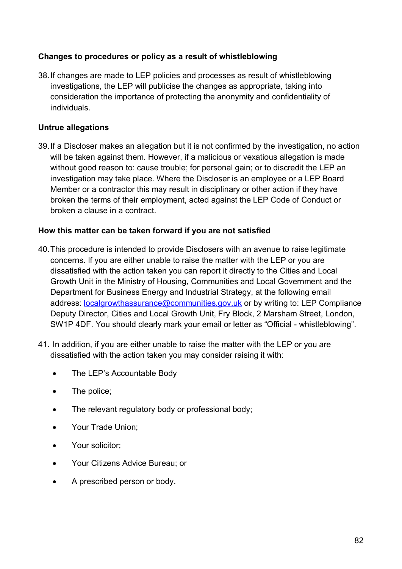#### **Changes to procedures or policy as a result of whistleblowing**

38.If changes are made to LEP policies and processes as result of whistleblowing investigations, the LEP will publicise the changes as appropriate, taking into consideration the importance of protecting the anonymity and confidentiality of individuals.

#### **Untrue allegations**

39.If a Discloser makes an allegation but it is not confirmed by the investigation, no action will be taken against them. However, if a malicious or vexatious allegation is made without good reason to: cause trouble; for personal gain; or to discredit the LEP an investigation may take place. Where the Discloser is an employee or a LEP Board Member or a contractor this may result in disciplinary or other action if they have broken the terms of their employment, acted against the LEP Code of Conduct or broken a clause in a contract.

#### **How this matter can be taken forward if you are not satisfied**

- 40.This procedure is intended to provide Disclosers with an avenue to raise legitimate concerns. If you are either unable to raise the matter with the LEP or you are dissatisfied with the action taken you can report it directly to the Cities and Local Growth Unit in the Ministry of Housing, Communities and Local Government and the Department for Business Energy and Industrial Strategy, at the following email address: [localgrowthassurance@communities.gov.uk](mailto:localgrowthassurance@communities.gov.uk) or by writing to: LEP Compliance Deputy Director, Cities and Local Growth Unit, Fry Block, 2 Marsham Street, London, SW1P 4DF. You should clearly mark your email or letter as "Official - whistleblowing".
- 41. In addition, if you are either unable to raise the matter with the LEP or you are dissatisfied with the action taken you may consider raising it with:
	- The LEP's Accountable Body
	- The police;
	- The relevant regulatory body or professional body;
	- Your Trade Union;
	- Your solicitor;
	- Your Citizens Advice Bureau; or
	- A prescribed person or body.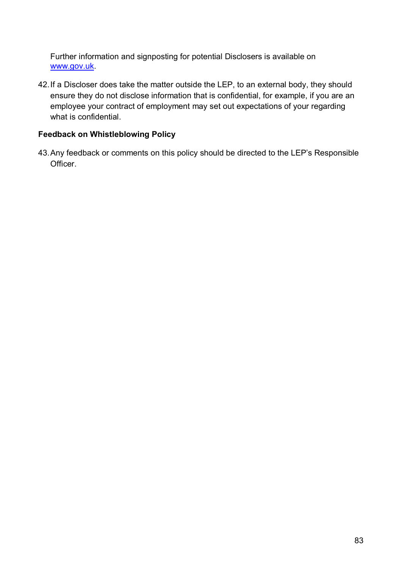Further information and signposting for potential Disclosers is available on [www.gov.uk.](https://www.gov.uk/whistleblowing)

42.If a Discloser does take the matter outside the LEP, to an external body, they should ensure they do not disclose information that is confidential, for example, if you are an employee your contract of employment may set out expectations of your regarding what is confidential.

#### **Feedback on Whistleblowing Policy**

43.Any feedback or comments on this policy should be directed to the LEP's Responsible Officer.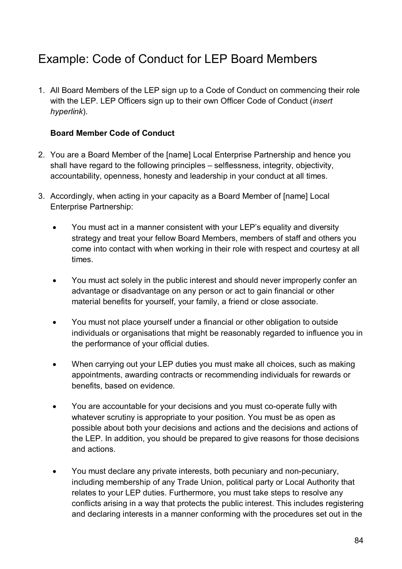# Example: Code of Conduct for LEP Board Members

1. All Board Members of the LEP sign up to a Code of Conduct on commencing their role with the LEP. LEP Officers sign up to their own Officer Code of Conduct (*insert hyperlink*).

#### **Board Member Code of Conduct**

- 2. You are a Board Member of the [name] Local Enterprise Partnership and hence you shall have regard to the following principles – selflessness, integrity, objectivity, accountability, openness, honesty and leadership in your conduct at all times.
- 3. Accordingly, when acting in your capacity as a Board Member of [name] Local Enterprise Partnership:
	- You must act in a manner consistent with your LEP's equality and diversity strategy and treat your fellow Board Members, members of staff and others you come into contact with when working in their role with respect and courtesy at all times.
	- You must act solely in the public interest and should never improperly confer an advantage or disadvantage on any person or act to gain financial or other material benefits for yourself, your family, a friend or close associate.
	- You must not place yourself under a financial or other obligation to outside individuals or organisations that might be reasonably regarded to influence you in the performance of your official duties.
	- When carrying out your LEP duties you must make all choices, such as making appointments, awarding contracts or recommending individuals for rewards or benefits, based on evidence.
	- You are accountable for your decisions and you must co-operate fully with whatever scrutiny is appropriate to your position. You must be as open as possible about both your decisions and actions and the decisions and actions of the LEP. In addition, you should be prepared to give reasons for those decisions and actions.
	- You must declare any private interests, both pecuniary and non-pecuniary, including membership of any Trade Union, political party or Local Authority that relates to your LEP duties. Furthermore, you must take steps to resolve any conflicts arising in a way that protects the public interest. This includes registering and declaring interests in a manner conforming with the procedures set out in the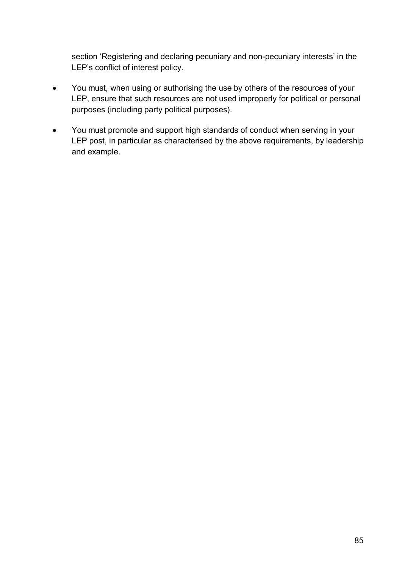section 'Registering and declaring pecuniary and non-pecuniary interests' in the LEP's conflict of interest policy.

- You must, when using or authorising the use by others of the resources of your LEP, ensure that such resources are not used improperly for political or personal purposes (including party political purposes).
- You must promote and support high standards of conduct when serving in your LEP post, in particular as characterised by the above requirements, by leadership and example.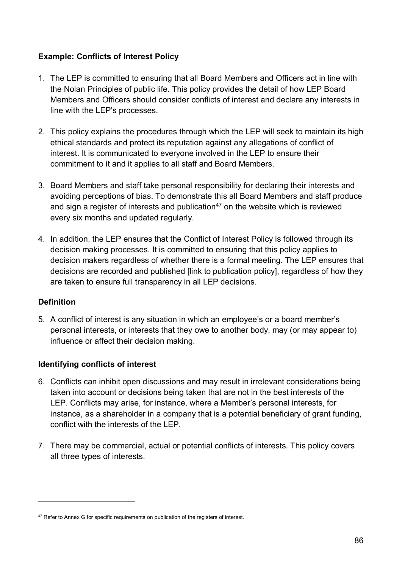#### **Example: Conflicts of Interest Policy**

- 1. The LEP is committed to ensuring that all Board Members and Officers act in line with the Nolan Principles of public life. This policy provides the detail of how LEP Board Members and Officers should consider conflicts of interest and declare any interests in line with the LEP's processes.
- 2. This policy explains the procedures through which the LEP will seek to maintain its high ethical standards and protect its reputation against any allegations of conflict of interest. It is communicated to everyone involved in the LEP to ensure their commitment to it and it applies to all staff and Board Members.
- 3. Board Members and staff take personal responsibility for declaring their interests and avoiding perceptions of bias. To demonstrate this all Board Members and staff produce and sign a register of interests and publication $47$  on the website which is reviewed every six months and updated regularly.
- 4. In addition, the LEP ensures that the Conflict of Interest Policy is followed through its decision making processes. It is committed to ensuring that this policy applies to decision makers regardless of whether there is a formal meeting. The LEP ensures that decisions are recorded and published [link to publication policy], regardless of how they are taken to ensure full transparency in all LEP decisions.

#### **Definition**

-

5. A conflict of interest is any situation in which an employee's or a board member's personal interests, or interests that they owe to another body, may (or may appear to) influence or affect their decision making.

#### **Identifying conflicts of interest**

- 6. Conflicts can inhibit open discussions and may result in irrelevant considerations being taken into account or decisions being taken that are not in the best interests of the LEP. Conflicts may arise, for instance, where a Member's personal interests, for instance, as a shareholder in a company that is a potential beneficiary of grant funding, conflict with the interests of the LEP.
- 7. There may be commercial, actual or potential conflicts of interests. This policy covers all three types of interests.

<span id="page-85-0"></span><sup>&</sup>lt;sup>47</sup> Refer to Annex G for specific requirements on publication of the registers of interest.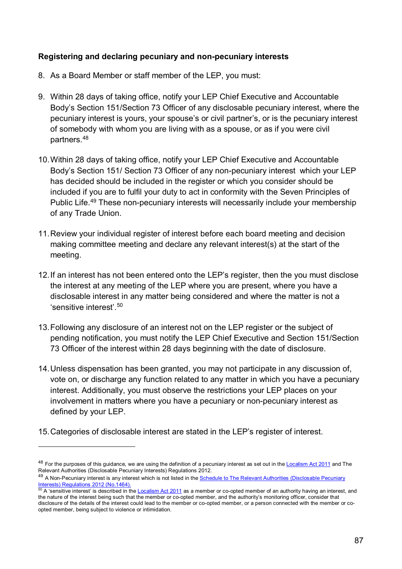#### **Registering and declaring pecuniary and non-pecuniary interests**

- 8. As a Board Member or staff member of the LEP, you must:
- 9. Within 28 days of taking office, notify your LEP Chief Executive and Accountable Body's Section 151/Section 73 Officer of any disclosable pecuniary interest, where the pecuniary interest is yours, your spouse's or civil partner's, or is the pecuniary interest of somebody with whom you are living with as a spouse, or as if you were civil partners[.48](#page-86-0)
- 10.Within 28 days of taking office, notify your LEP Chief Executive and Accountable Body's Section 151/ Section 73 Officer of any non-pecuniary interest which your LEP has decided should be included in the register or which you consider should be included if you are to fulfil your duty to act in conformity with the Seven Principles of Public Life.[49](#page-86-1) These non-pecuniary interests will necessarily include your membership of any Trade Union.
- 11.Review your individual register of interest before each board meeting and decision making committee meeting and declare any relevant interest(s) at the start of the meeting.
- 12.If an interest has not been entered onto the LEP's register, then the you must disclose the interest at any meeting of the LEP where you are present, where you have a disclosable interest in any matter being considered and where the matter is not a 'sensitive interest'. [50](#page-86-2)
- 13.Following any disclosure of an interest not on the LEP register or the subject of pending notification, you must notify the LEP Chief Executive and Section 151/Section 73 Officer of the interest within 28 days beginning with the date of disclosure.
- 14.Unless dispensation has been granted, you may not participate in any discussion of, vote on, or discharge any function related to any matter in which you have a pecuniary interest. Additionally, you must observe the restrictions your LEP places on your involvement in matters where you have a pecuniary or non-pecuniary interest as defined by your LEP.
- 15.Categories of disclosable interest are stated in the LEP's register of interest.

-

<span id="page-86-0"></span><sup>&</sup>lt;sup>48</sup> For the purposes of this guidance, we are using the definition of a pecuniary interest as set out in th[e Localism Act 2011](http://www.legislation.gov.uk/uksi/2012/1464/pdfs/uksi_20121464_en.pdf) and The Relevant Authorities (Disclosable Pecuniary Interests) Regulations 2012.

<span id="page-86-1"></span><sup>49</sup> A Non-Pecuniary interest is any interest which is not listed in the Schedule to The Relevant Authorities (Disclosable Pecuniary [Interests\) Regulations 2012 \(No.1464\).](http://www.legislation.gov.uk/uksi/2012/1464/made)

<span id="page-86-2"></span><sup>&</sup>lt;sup>50</sup> A 'sensitive interest' is described in the [Localism Act 2011](http://www.legislation.gov.uk/uksi/2012/1464/pdfs/uksi_20121464_en.pdf)</u> as a member or co-opted member of an authority having an interest, and the nature of the interest being such that the member or co-opted member, and the authority's monitoring officer, consider that disclosure of the details of the interest could lead to the member or co-opted member, or a person connected with the member or coopted member, being subject to violence or intimidation.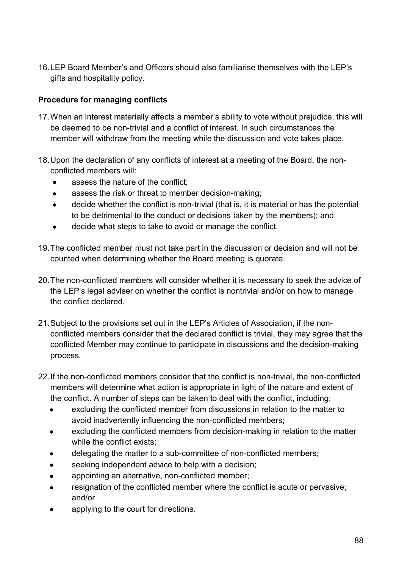16.LEP Board Member's and Officers should also familiarise themselves with the LEP's gifts and hospitality policy.

#### **Procedure for managing conflicts**

- 17.When an interest materially affects a member's ability to vote without prejudice, this will be deemed to be non-trivial and a conflict of interest. In such circumstances the member will withdraw from the meeting while the discussion and vote takes place.
- 18.Upon the declaration of any conflicts of interest at a meeting of the Board, the nonconflicted members will:
	- assess the nature of the conflict:
	- assess the risk or threat to member decision-making;
	- decide whether the conflict is non-trivial (that is, it is material or has the potential to be detrimental to the conduct or decisions taken by the members); and
	- decide what steps to take to avoid or manage the conflict.
- 19.The conflicted member must not take part in the discussion or decision and will not be counted when determining whether the Board meeting is quorate.
- 20.The non-conflicted members will consider whether it is necessary to seek the advice of the LEP's legal adviser on whether the conflict is nontrivial and/or on how to manage the conflict declared.
- 21.Subject to the provisions set out in the LEP's Articles of Association, if the nonconflicted members consider that the declared conflict is trivial, they may agree that the conflicted Member may continue to participate in discussions and the decision-making process.
- 22.If the non-conflicted members consider that the conflict is non-trivial, the non-conflicted members will determine what action is appropriate in light of the nature and extent of the conflict. A number of steps can be taken to deal with the conflict, including:
	- excluding the conflicted member from discussions in relation to the matter to avoid inadvertently influencing the non-conflicted members;
	- excluding the conflicted members from decision-making in relation to the matter while the conflict exists:
	- delegating the matter to a sub-committee of non-conflicted members;
	- seeking independent advice to help with a decision;
	- appointing an alternative, non-conflicted member;
	- resignation of the conflicted member where the conflict is acute or pervasive; and/or
	- applying to the court for directions.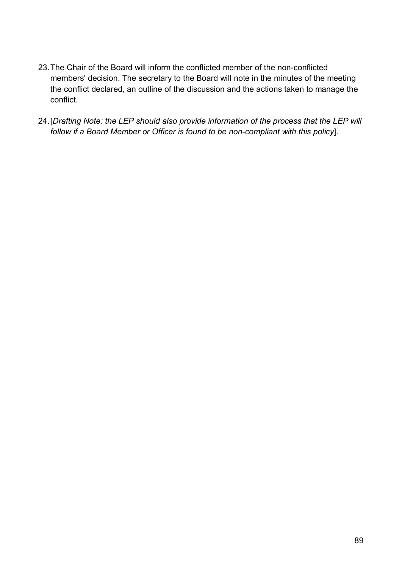- 23.The Chair of the Board will inform the conflicted member of the non-conflicted members' decision. The secretary to the Board will note in the minutes of the meeting the conflict declared, an outline of the discussion and the actions taken to manage the conflict.
- 24.[*Drafting Note: the LEP should also provide information of the process that the LEP will follow if a Board Member or Officer is found to be non-compliant with this policy*].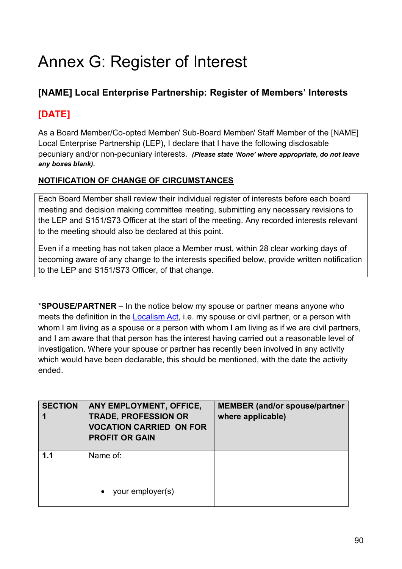# Annex G: Register of Interest

## **[NAME] Local Enterprise Partnership: Register of Members' Interests**

# **[DATE]**

As a Board Member/Co-opted Member/ Sub-Board Member/ Staff Member of the [NAME] Local Enterprise Partnership (LEP), I declare that I have the following disclosable pecuniary and/or non-pecuniary interests. *(Please state 'None' where appropriate, do not leave any boxes blank).*

### **NOTIFICATION OF CHANGE OF CIRCUMSTANCES**

Each Board Member shall review their individual register of interests before each board meeting and decision making committee meeting, submitting any necessary revisions to the LEP and S151/S73 Officer at the start of the meeting. Any recorded interests relevant to the meeting should also be declared at this point.

Even if a meeting has not taken place a Member must, within 28 clear working days of becoming aware of any change to the interests specified below, provide written notification to the LEP and S151/S73 Officer, of that change.

\***SPOUSE/PARTNER** – In the notice below my spouse or partner means anyone who meets the definition in the [Localism Act,](http://www.legislation.gov.uk/ukpga/2011/20/contents/enacted) i.e. my spouse or civil partner, or a person with whom I am living as a spouse or a person with whom I am living as if we are civil partners, and I am aware that that person has the interest having carried out a reasonable level of investigation. Where your spouse or partner has recently been involved in any activity which would have been declarable, this should be mentioned, with the date the activity ended.

| <b>SECTION</b> | ANY EMPLOYMENT, OFFICE,<br><b>TRADE, PROFESSION OR</b><br><b>VOCATION CARRIED ON FOR</b><br><b>PROFIT OR GAIN</b> | <b>MEMBER (and/or spouse/partner</b><br>where applicable) |
|----------------|-------------------------------------------------------------------------------------------------------------------|-----------------------------------------------------------|
| 1.1            | Name of:<br>your employer(s)<br>$\bullet$                                                                         |                                                           |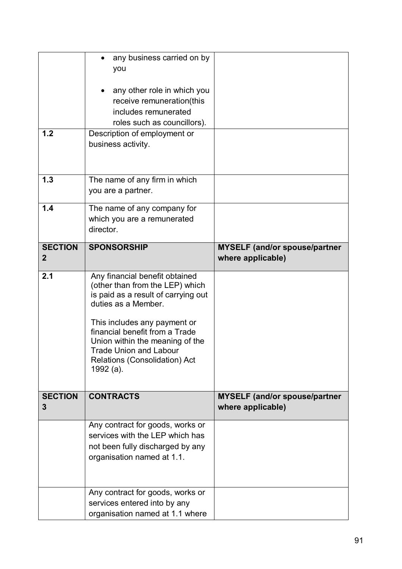|                                | any business carried on by<br>you                                                                                                                                                                                                    |                                                           |
|--------------------------------|--------------------------------------------------------------------------------------------------------------------------------------------------------------------------------------------------------------------------------------|-----------------------------------------------------------|
|                                | any other role in which you<br>receive remuneration(this<br>includes remunerated<br>roles such as councillors).                                                                                                                      |                                                           |
| 1.2                            | Description of employment or<br>business activity.                                                                                                                                                                                   |                                                           |
| 1.3                            | The name of any firm in which<br>you are a partner.                                                                                                                                                                                  |                                                           |
| 1.4                            | The name of any company for<br>which you are a remunerated<br>director.                                                                                                                                                              |                                                           |
| <b>SECTION</b><br>$\mathbf{2}$ | <b>SPONSORSHIP</b>                                                                                                                                                                                                                   | <b>MYSELF (and/or spouse/partner</b><br>where applicable) |
| 2.1                            | Any financial benefit obtained<br>(other than from the LEP) which<br>is paid as a result of carrying out<br>duties as a Member.<br>This includes any payment or<br>financial benefit from a Trade<br>Union within the meaning of the |                                                           |
|                                | <b>Trade Union and Labour</b><br>Relations (Consolidation) Act<br>1992 (a).                                                                                                                                                          |                                                           |
| <b>SECTION</b><br>3            | <b>CONTRACTS</b>                                                                                                                                                                                                                     | <b>MYSELF (and/or spouse/partner</b><br>where applicable) |
|                                | Any contract for goods, works or<br>services with the LEP which has<br>not been fully discharged by any<br>organisation named at 1.1.                                                                                                |                                                           |
|                                |                                                                                                                                                                                                                                      |                                                           |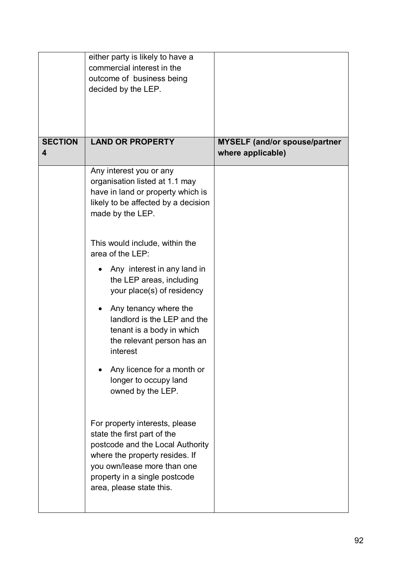|                | either party is likely to have a<br>commercial interest in the<br>outcome of business being<br>decided by the LEP.                                                                                                              |                                      |
|----------------|---------------------------------------------------------------------------------------------------------------------------------------------------------------------------------------------------------------------------------|--------------------------------------|
| <b>SECTION</b> | <b>LAND OR PROPERTY</b>                                                                                                                                                                                                         | <b>MYSELF (and/or spouse/partner</b> |
| 4              |                                                                                                                                                                                                                                 | where applicable)                    |
|                | Any interest you or any<br>organisation listed at 1.1 may<br>have in land or property which is<br>likely to be affected by a decision<br>made by the LEP.                                                                       |                                      |
|                | This would include, within the<br>area of the LEP:                                                                                                                                                                              |                                      |
|                | Any interest in any land in<br>the LEP areas, including<br>your place(s) of residency                                                                                                                                           |                                      |
|                | Any tenancy where the<br>$\bullet$<br>landlord is the LEP and the<br>tenant is a body in which<br>the relevant person has an<br>interest                                                                                        |                                      |
|                | Any licence for a month or<br>longer to occupy land<br>owned by the LEP.                                                                                                                                                        |                                      |
|                | For property interests, please<br>state the first part of the<br>postcode and the Local Authority<br>where the property resides. If<br>you own/lease more than one<br>property in a single postcode<br>area, please state this. |                                      |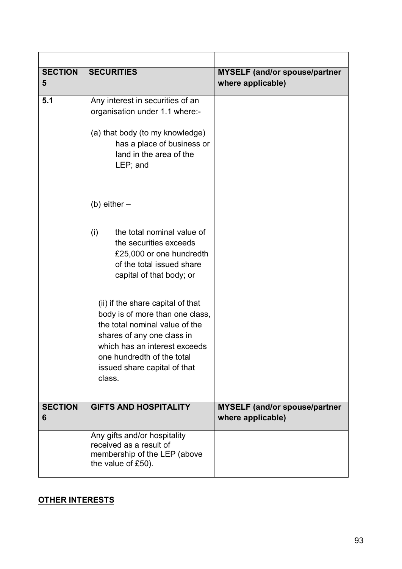| <b>SECTION</b><br>5 | <b>SECURITIES</b>                                                                                                                                                                                                                             | <b>MYSELF (and/or spouse/partner</b><br>where applicable) |
|---------------------|-----------------------------------------------------------------------------------------------------------------------------------------------------------------------------------------------------------------------------------------------|-----------------------------------------------------------|
| 5.1                 | Any interest in securities of an<br>organisation under 1.1 where:-<br>(a) that body (to my knowledge)<br>has a place of business or<br>land in the area of the<br>LEP; and                                                                    |                                                           |
|                     | $(b)$ either $-$                                                                                                                                                                                                                              |                                                           |
|                     | the total nominal value of<br>(i)<br>the securities exceeds<br>£25,000 or one hundredth<br>of the total issued share<br>capital of that body; or                                                                                              |                                                           |
|                     | (ii) if the share capital of that<br>body is of more than one class,<br>the total nominal value of the<br>shares of any one class in<br>which has an interest exceeds<br>one hundredth of the total<br>issued share capital of that<br>class. |                                                           |
| <b>SECTION</b><br>6 | <b>GIFTS AND HOSPITALITY</b>                                                                                                                                                                                                                  | <b>MYSELF (and/or spouse/partner</b><br>where applicable) |
|                     | Any gifts and/or hospitality<br>received as a result of<br>membership of the LEP (above<br>the value of £50).                                                                                                                                 |                                                           |

#### **OTHER INTERESTS**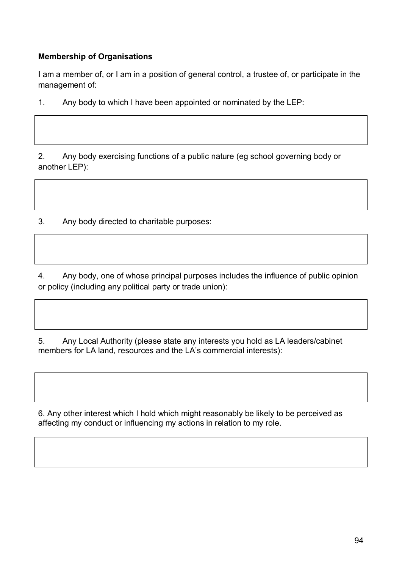#### **Membership of Organisations**

I am a member of, or I am in a position of general control, a trustee of, or participate in the management of:

1. Any body to which I have been appointed or nominated by the LEP:

2. Any body exercising functions of a public nature (eg school governing body or another LEP):

3. Any body directed to charitable purposes:

4. Any body, one of whose principal purposes includes the influence of public opinion or policy (including any political party or trade union):

5. Any Local Authority (please state any interests you hold as LA leaders/cabinet members for LA land, resources and the LA's commercial interests):

6. Any other interest which I hold which might reasonably be likely to be perceived as affecting my conduct or influencing my actions in relation to my role.